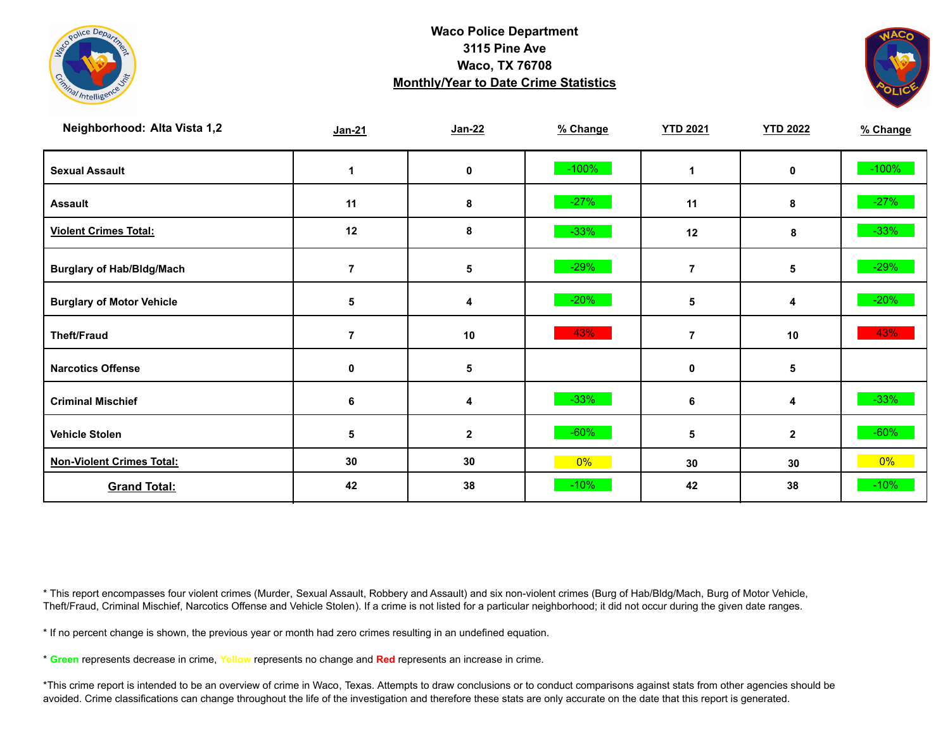



| Neighborhood: Alta Vista 1,2     | Jan-21         | $Jan-22$     | % Change | <b>YTD 2021</b> | <b>YTD 2022</b> | % Change |
|----------------------------------|----------------|--------------|----------|-----------------|-----------------|----------|
| <b>Sexual Assault</b>            | 1              | 0            | $-100%$  |                 | 0               | $-100%$  |
| <b>Assault</b>                   | 11             | 8            | $-27%$   | 11              | 8               | $-27%$   |
| <b>Violent Crimes Total:</b>     | 12             | 8            | $-33%$   | 12              | 8               | $-33%$   |
| <b>Burglary of Hab/Bldg/Mach</b> |                | 5            | $-29%$   | 7               | 5               | $-29%$   |
| <b>Burglary of Motor Vehicle</b> | $\sqrt{5}$     | 4            | $-20%$   | 5               | 4               | $-20%$   |
| <b>Theft/Fraud</b>               | $\overline{7}$ | 10           | 43%      | 7               | 10              | 43%      |
| <b>Narcotics Offense</b>         | 0              | 5            |          | 0               | 5               |          |
| <b>Criminal Mischief</b>         | 6              | 4            | $-33%$   | 6               | 4               | $-33%$   |
| <b>Vehicle Stolen</b>            | 5              | $\mathbf{2}$ | $-60%$   | 5               | $\mathbf{2}$    | $-60%$   |
| <b>Non-Violent Crimes Total:</b> | 30             | 30           | 0%       | 30              | 30              | $0\%$    |
| <b>Grand Total:</b>              | 42             | 38           | $-10%$   | 42              | 38              | $-10%$   |

\* This report encompasses four violent crimes (Murder, Sexual Assault, Robbery and Assault) and six non-violent crimes (Burg of Hab/Bldg/Mach, Burg of Motor Vehicle, Theft/Fraud, Criminal Mischief, Narcotics Offense and Vehicle Stolen). If a crime is not listed for a particular neighborhood; it did not occur during the given date ranges.

\* If no percent change is shown, the previous year or month had zero crimes resulting in an undefined equation.

\* **Green** represents decrease in crime, **Yellow** represents no change and **Red** represents an increase in crime.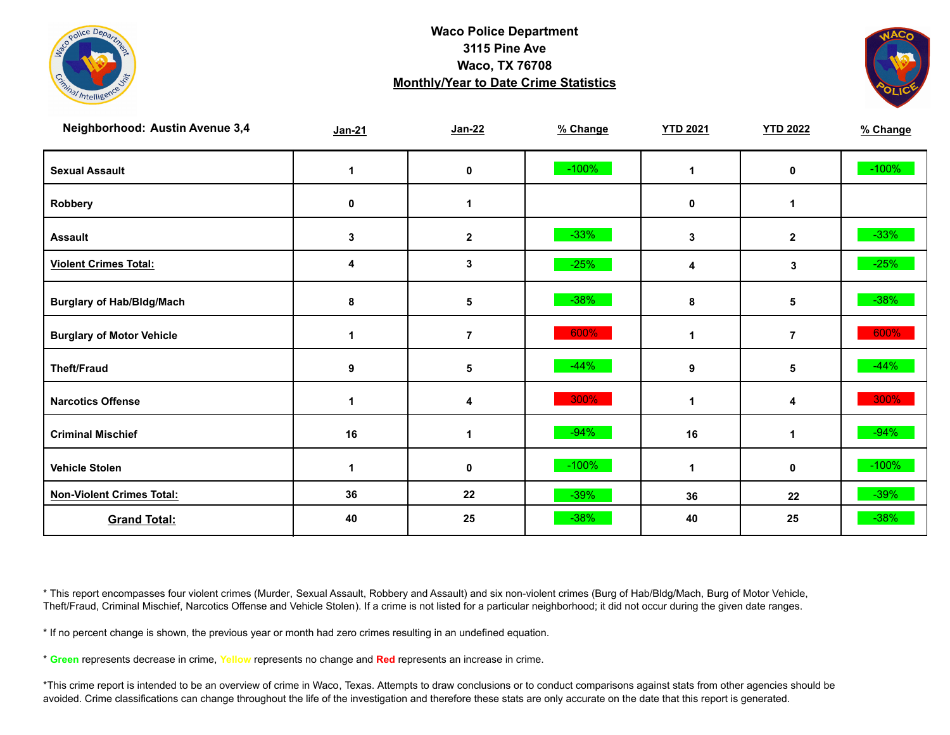



| <b>Neighborhood: Austin Avenue 3,4</b> | $Jan-21$    | $Jan-22$       | % Change | <b>YTD 2021</b> | <b>YTD 2022</b> | % Change |
|----------------------------------------|-------------|----------------|----------|-----------------|-----------------|----------|
| <b>Sexual Assault</b>                  | $\mathbf 1$ | 0              | $-100%$  | 1               | 0               | $-100%$  |
| Robbery                                | 0           | 1              |          | 0               | $\mathbf 1$     |          |
| <b>Assault</b>                         | 3           | $\mathbf{2}$   | $-33%$   | 3               | $\mathbf{2}$    | $-33%$   |
| <b>Violent Crimes Total:</b>           | 4           | 3              | $-25%$   | 4               | 3               | $-25%$   |
| <b>Burglary of Hab/Bldg/Mach</b>       | 8           | 5              | $-38%$   | 8               | 5               | $-38%$   |
| <b>Burglary of Motor Vehicle</b>       | -1          | $\overline{7}$ | 600%     | 1               | $\overline{7}$  | 600%     |
| <b>Theft/Fraud</b>                     | 9           | 5              | $-44%$   | 9               | 5               | $-44%$   |
| <b>Narcotics Offense</b>               | 1           | 4              | 300%     | 1               | 4               | 300%     |
| <b>Criminal Mischief</b>               | 16          | 1              | $-94%$   | 16              | 1               | $-94%$   |
| <b>Vehicle Stolen</b>                  | 1           | $\mathbf 0$    | $-100%$  | 1               | 0               | $-100%$  |
| <b>Non-Violent Crimes Total:</b>       | 36          | 22             | $-39%$   | 36              | 22              | $-39%$   |
| <b>Grand Total:</b>                    | 40          | 25             | $-38%$   | 40              | 25              | $-38%$   |

\* This report encompasses four violent crimes (Murder, Sexual Assault, Robbery and Assault) and six non-violent crimes (Burg of Hab/Bldg/Mach, Burg of Motor Vehicle, Theft/Fraud, Criminal Mischief, Narcotics Offense and Vehicle Stolen). If a crime is not listed for a particular neighborhood; it did not occur during the given date ranges.

\* If no percent change is shown, the previous year or month had zero crimes resulting in an undefined equation.

\* **Green** represents decrease in crime, **Yellow** represents no change and **Red** represents an increase in crime.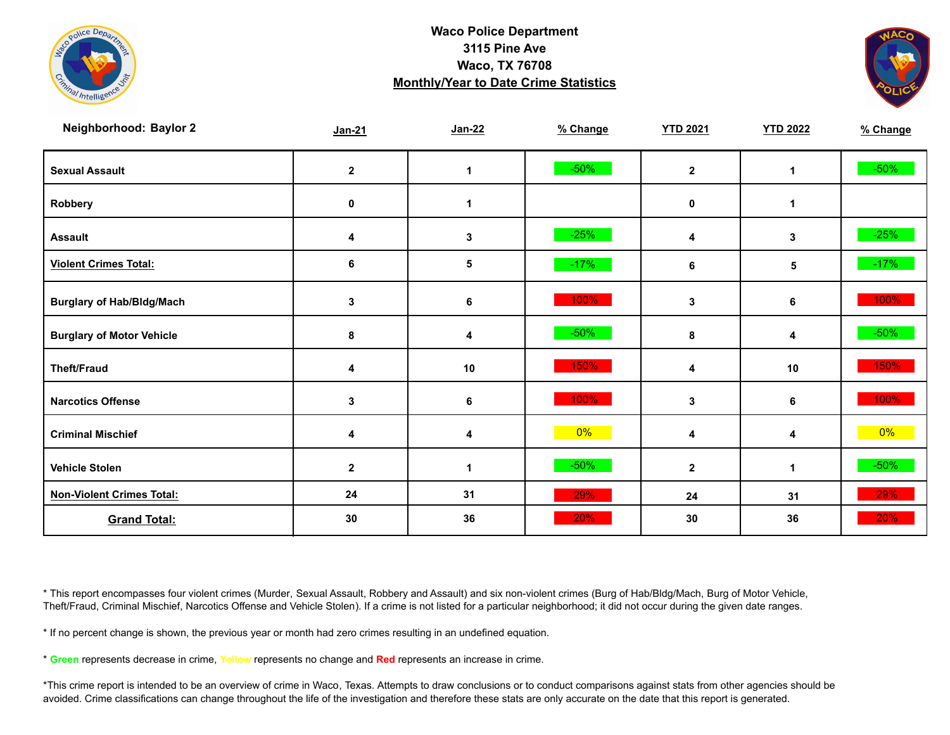



| Neighborhood: Baylor 2           | Jan-21           | $Jan-22$                | % Change | <b>YTD 2021</b>         | <b>YTD 2022</b> | % Change |
|----------------------------------|------------------|-------------------------|----------|-------------------------|-----------------|----------|
| <b>Sexual Assault</b>            | $\boldsymbol{2}$ | 1                       | $-50%$   | $\overline{\mathbf{2}}$ | 1               | $-50\%$  |
| Robbery                          | 0                | 1                       |          | 0                       | $\mathbf 1$     |          |
| <b>Assault</b>                   | 4                | 3                       | $-25%$   | 4                       | 3               | $-25%$   |
| <b>Violent Crimes Total:</b>     | 6                | 5                       | $-17%$   | 6                       | 5               | $-17%$   |
| <b>Burglary of Hab/Bldg/Mach</b> | 3                | $\bf 6$                 | 100%     | 3                       | 6               | 100%     |
| <b>Burglary of Motor Vehicle</b> | 8                | 4                       | $-50%$   | 8                       | 4               | $-50\%$  |
| <b>Theft/Fraud</b>               | 4                | 10                      | 150%     | 4                       | 10              | 150%     |
| <b>Narcotics Offense</b>         | 3                | 6                       | 100%     | 3                       | 6               | 100%     |
| <b>Criminal Mischief</b>         | 4                | $\overline{\mathbf{4}}$ | $0\%$    | 4                       | 4               | $0\%$    |
| <b>Vehicle Stolen</b>            | $\mathbf 2$      | $\mathbf{1}$            | $-50%$   | $\mathbf 2$             | 1               | $-50\%$  |
| <b>Non-Violent Crimes Total:</b> | 24               | 31                      | 29%      | 24                      | 31              | 29%      |
| <b>Grand Total:</b>              | 30               | 36                      | 20%      | 30                      | 36              | 20%      |

\* This report encompasses four violent crimes (Murder, Sexual Assault, Robbery and Assault) and six non-violent crimes (Burg of Hab/Bldg/Mach, Burg of Motor Vehicle, Theft/Fraud, Criminal Mischief, Narcotics Offense and Vehicle Stolen). If a crime is not listed for a particular neighborhood; it did not occur during the given date ranges.

\* If no percent change is shown, the previous year or month had zero crimes resulting in an undefined equation.

\* **Green** represents decrease in crime, **Yellow** represents no change and **Red** represents an increase in crime.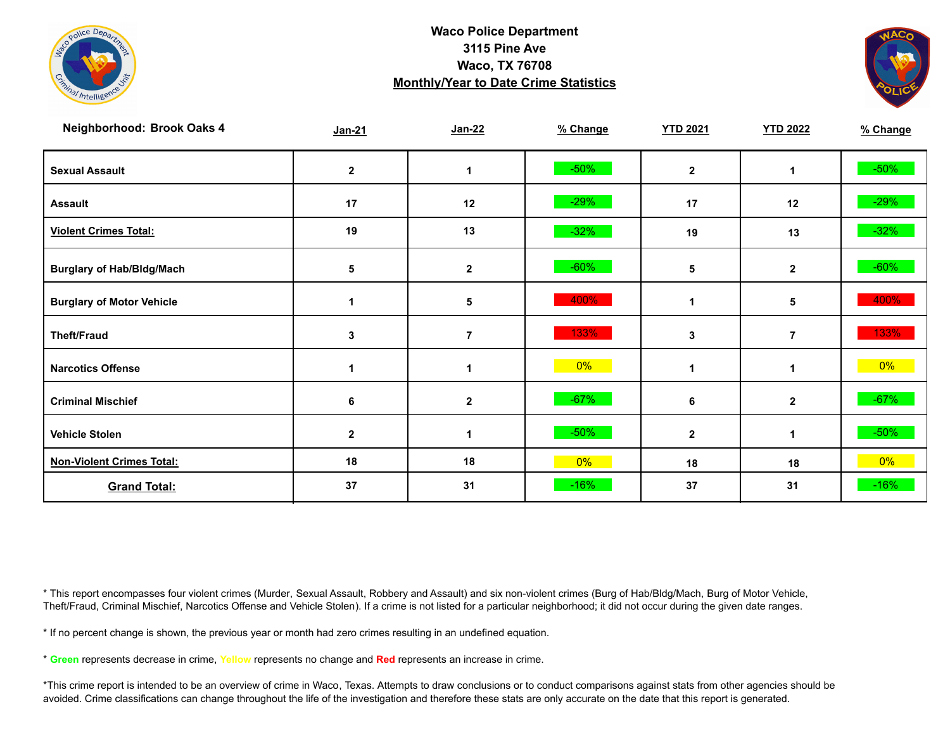



| Neighborhood: Brook Oaks 4       | $Jan-21$     | Jan-22         | % Change | <b>YTD 2021</b> | <b>YTD 2022</b> | % Change |
|----------------------------------|--------------|----------------|----------|-----------------|-----------------|----------|
| <b>Sexual Assault</b>            | $\mathbf{2}$ | 1              | $-50%$   | $\mathbf{2}$    | 1               | $-50\%$  |
| <b>Assault</b>                   | 17           | 12             | $-29%$   | 17              | 12              | $-29%$   |
| <b>Violent Crimes Total:</b>     | 19           | 13             | $-32%$   | 19              | 13              | $-32%$   |
| <b>Burglary of Hab/Bldg/Mach</b> | 5            | $\mathbf{2}$   | $-60%$   | 5               | $\mathbf{2}$    | $-60%$   |
| <b>Burglary of Motor Vehicle</b> | 1            | 5              | 400%     | 1               | 5               | 400%     |
| <b>Theft/Fraud</b>               | 3            | $\overline{7}$ | 133%     | 3               | $\overline{7}$  | 133%     |
| <b>Narcotics Offense</b>         |              | 1              | $0\%$    |                 | 1               | $0\%$    |
| <b>Criminal Mischief</b>         | 6            | $\mathbf{2}$   | $-67%$   | 6               | $\mathbf{2}$    | $-67%$   |
| <b>Vehicle Stolen</b>            | $\mathbf{2}$ | 1              | $-50%$   | $\mathbf{2}$    | 1               | $-50%$   |
| <b>Non-Violent Crimes Total:</b> | 18           | 18             | 0%       | 18              | 18              | $0\%$    |
| <b>Grand Total:</b>              | 37           | 31             | $-16%$   | 37              | 31              | $-16%$   |

\* This report encompasses four violent crimes (Murder, Sexual Assault, Robbery and Assault) and six non-violent crimes (Burg of Hab/Bldg/Mach, Burg of Motor Vehicle, Theft/Fraud, Criminal Mischief, Narcotics Offense and Vehicle Stolen). If a crime is not listed for a particular neighborhood; it did not occur during the given date ranges.

\* If no percent change is shown, the previous year or month had zero crimes resulting in an undefined equation.

\* **Green** represents decrease in crime, **Yellow** represents no change and **Red** represents an increase in crime.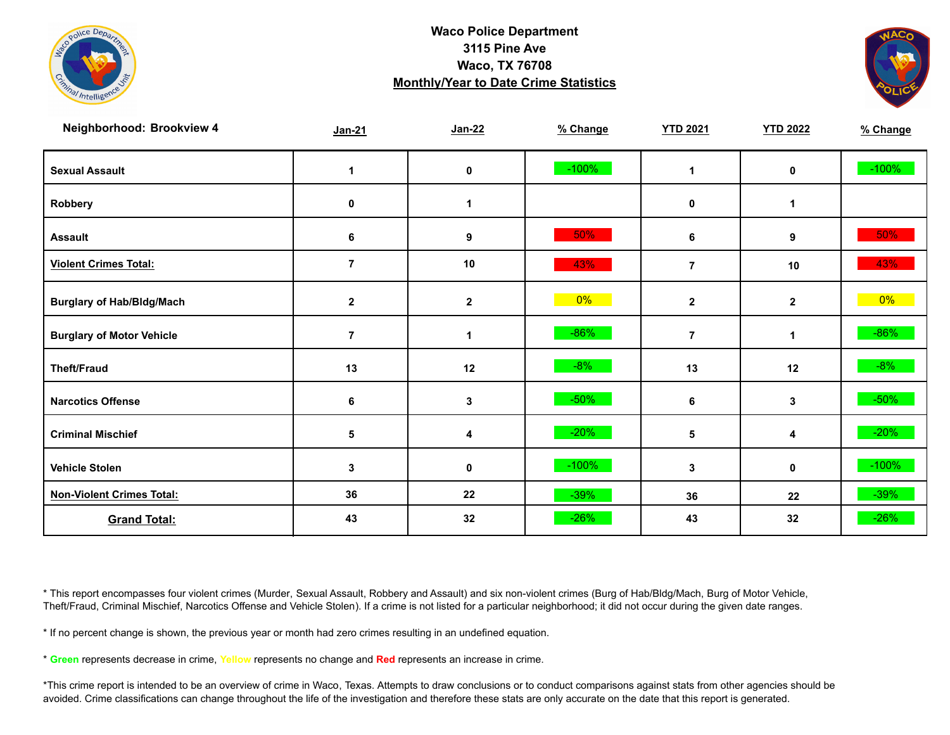



| Neighborhood: Brookview 4        | $Jan-21$       | $Jan-22$     | % Change | <b>YTD 2021</b> | <b>YTD 2022</b> | % Change |
|----------------------------------|----------------|--------------|----------|-----------------|-----------------|----------|
| <b>Sexual Assault</b>            | 1              | 0            | $-100%$  | $\mathbf 1$     | 0               | $-100%$  |
| Robbery                          | 0              | $\mathbf 1$  |          | 0               | 1               |          |
| <b>Assault</b>                   | 6              | 9            | 50%      | 6               | 9               | 50%      |
| <b>Violent Crimes Total:</b>     | $\overline{7}$ | 10           | 43%      | $\overline{7}$  | 10              | 43%      |
| <b>Burglary of Hab/Bldg/Mach</b> | $\mathbf{2}$   | $\mathbf{2}$ | $0\%$    | $\mathbf{2}$    | $\mathbf{2}$    | $0\%$    |
| <b>Burglary of Motor Vehicle</b> | $\overline{7}$ | $\mathbf 1$  | $-86%$   | $\overline{7}$  | 1               | $-86%$   |
| <b>Theft/Fraud</b>               | 13             | 12           | $-8%$    | 13              | 12              | $-8%$    |
| <b>Narcotics Offense</b>         | 6              | 3            | $-50%$   | 6               | 3               | $-50\%$  |
| <b>Criminal Mischief</b>         | $\sqrt{5}$     | 4            | $-20%$   | 5               | 4               | $-20%$   |
| <b>Vehicle Stolen</b>            | 3              | 0            | $-100%$  | 3               | 0               | $-100%$  |
| <b>Non-Violent Crimes Total:</b> | 36             | 22           | $-39%$   | 36              | 22              | $-39%$   |
| <b>Grand Total:</b>              | 43             | 32           | $-26%$   | 43              | 32              | $-26%$   |

\* This report encompasses four violent crimes (Murder, Sexual Assault, Robbery and Assault) and six non-violent crimes (Burg of Hab/Bldg/Mach, Burg of Motor Vehicle, Theft/Fraud, Criminal Mischief, Narcotics Offense and Vehicle Stolen). If a crime is not listed for a particular neighborhood; it did not occur during the given date ranges.

\* If no percent change is shown, the previous year or month had zero crimes resulting in an undefined equation.

\* **Green** represents decrease in crime, **Yellow** represents no change and **Red** represents an increase in crime.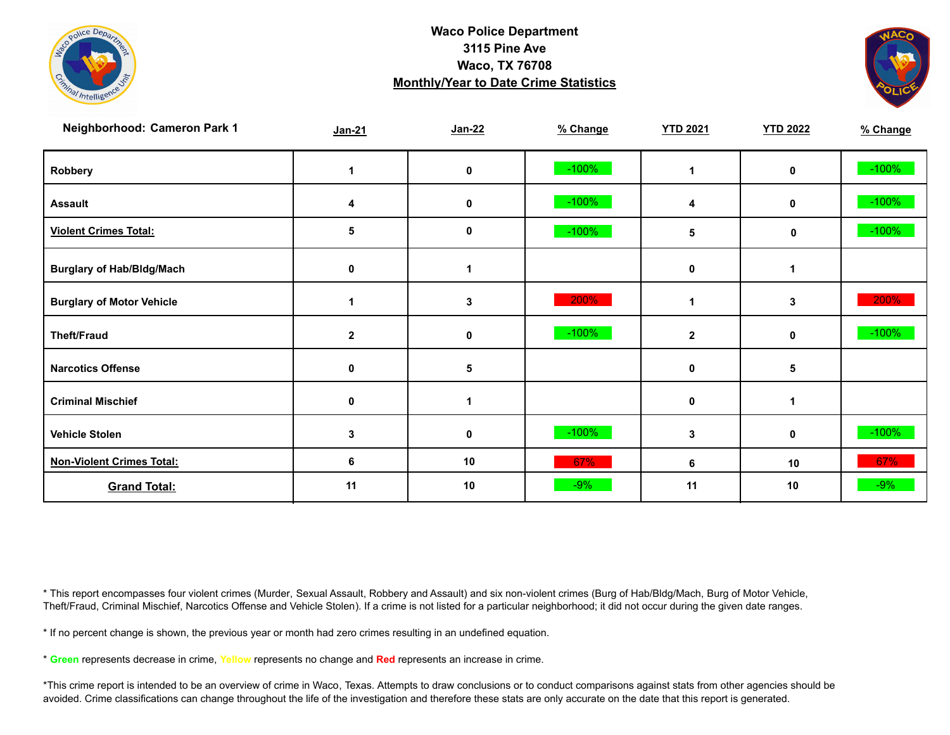



| Neighborhood: Cameron Park 1     | $Jan-21$     | $Jan-22$    | % Change | <b>YTD 2021</b> | <b>YTD 2022</b> | % Change |
|----------------------------------|--------------|-------------|----------|-----------------|-----------------|----------|
| Robbery                          |              | 0           | $-100%$  |                 | 0               | $-100%$  |
| <b>Assault</b>                   | 4            | $\mathbf 0$ | $-100%$  | 4               | 0               | $-100%$  |
| <b>Violent Crimes Total:</b>     | 5            | 0           | $-100%$  | 5               | $\mathbf 0$     | $-100%$  |
| <b>Burglary of Hab/Bldg/Mach</b> | $\mathbf 0$  |             |          | 0               |                 |          |
| <b>Burglary of Motor Vehicle</b> |              | 3           | 200%     |                 | 3               | 200%     |
| <b>Theft/Fraud</b>               | $\mathbf{2}$ | $\mathbf 0$ | $-100%$  | $\mathbf{2}$    | 0               | $-100%$  |
| <b>Narcotics Offense</b>         | $\mathbf 0$  | 5           |          | 0               | 5               |          |
| <b>Criminal Mischief</b>         | 0            |             |          | $\mathbf 0$     | 1               |          |
| <b>Vehicle Stolen</b>            | 3            | 0           | $-100%$  | 3               | 0               | $-100%$  |
| <b>Non-Violent Crimes Total:</b> | 6            | 10          | 67%      | 6               | 10              | 67%      |
| <b>Grand Total:</b>              | 11           | 10          | $-9%$    | 11              | 10              | $-9%$    |

\* This report encompasses four violent crimes (Murder, Sexual Assault, Robbery and Assault) and six non-violent crimes (Burg of Hab/Bldg/Mach, Burg of Motor Vehicle, Theft/Fraud, Criminal Mischief, Narcotics Offense and Vehicle Stolen). If a crime is not listed for a particular neighborhood; it did not occur during the given date ranges.

\* If no percent change is shown, the previous year or month had zero crimes resulting in an undefined equation.

\* **Green** represents decrease in crime, **Yellow** represents no change and **Red** represents an increase in crime.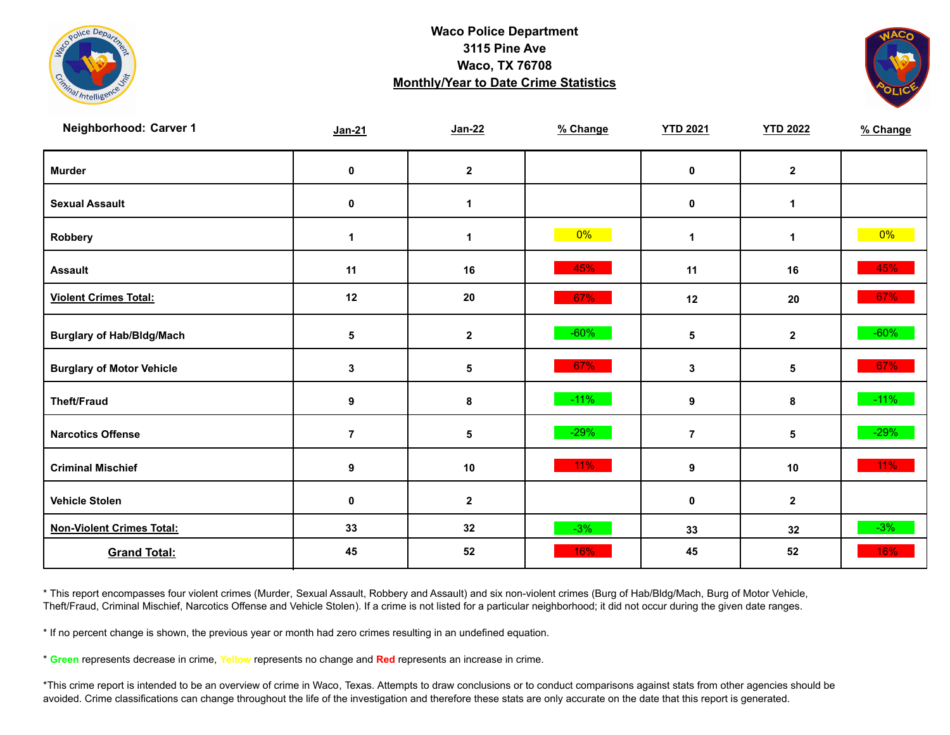



| Neighborhood: Carver 1           | $Jan-21$       | $Jan-22$     | % Change | <b>YTD 2021</b> | <b>YTD 2022</b>  | % Change |
|----------------------------------|----------------|--------------|----------|-----------------|------------------|----------|
| <b>Murder</b>                    | $\pmb{0}$      | $\mathbf{2}$ |          | $\mathbf 0$     | $\mathbf{2}$     |          |
| <b>Sexual Assault</b>            | $\mathbf 0$    | $\mathbf 1$  |          | 0               | $\mathbf{1}$     |          |
| Robbery                          | $\overline{1}$ | $\mathbf 1$  | $0\%$    | $\mathbf 1$     | $\mathbf{1}$     | $0\%$    |
| <b>Assault</b>                   | 11             | 16           | 45%      | 11              | 16               | 45%      |
| <b>Violent Crimes Total:</b>     | 12             | ${\bf 20}$   | 67%      | 12              | 20               | 67%      |
| <b>Burglary of Hab/Bldg/Mach</b> | $\sqrt{5}$     | $\mathbf 2$  | $-60%$   | 5               | $\mathbf 2$      | $-60%$   |
| <b>Burglary of Motor Vehicle</b> | 3              | 5            | 67%      | $\mathbf{3}$    | $\sqrt{5}$       | 67%      |
| <b>Theft/Fraud</b>               | 9              | 8            | $-11%$   | 9               | 8                | $-11\%$  |
| <b>Narcotics Offense</b>         | $\overline{7}$ | 5            | $-29%$   | $\overline{7}$  | 5                | $-29%$   |
| <b>Criminal Mischief</b>         | 9              | 10           | $11\%$   | 9               | 10               | $11\%$   |
| <b>Vehicle Stolen</b>            | $\pmb{0}$      | $\mathbf 2$  |          | $\pmb{0}$       | $\boldsymbol{2}$ |          |
| <b>Non-Violent Crimes Total:</b> | 33             | 32           | $-3%$    | 33              | 32               | $-3%$    |
| <b>Grand Total:</b>              | 45             | 52           | 16%      | 45              | 52               | 16%      |

\* This report encompasses four violent crimes (Murder, Sexual Assault, Robbery and Assault) and six non-violent crimes (Burg of Hab/Bldg/Mach, Burg of Motor Vehicle, Theft/Fraud, Criminal Mischief, Narcotics Offense and Vehicle Stolen). If a crime is not listed for a particular neighborhood; it did not occur during the given date ranges.

\* If no percent change is shown, the previous year or month had zero crimes resulting in an undefined equation.

\* **Green** represents decrease in crime, **Yellow** represents no change and **Red** represents an increase in crime.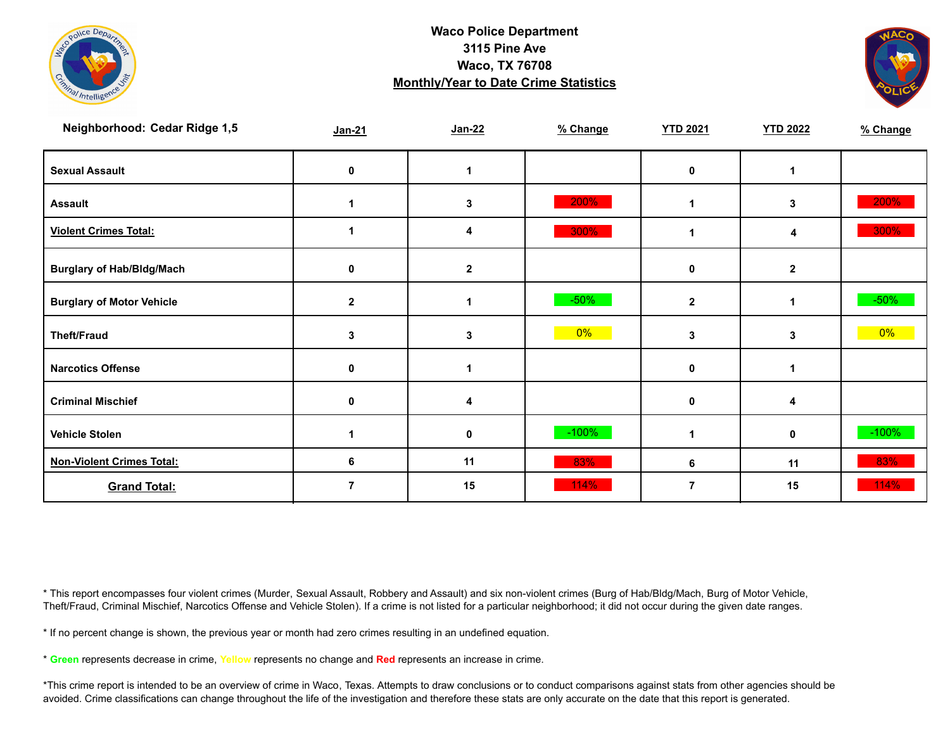



| Neighborhood: Cedar Ridge 1,5    | $Jan-21$     | $Jan-22$    | % Change | <b>YTD 2021</b> | <b>YTD 2022</b> | % Change |
|----------------------------------|--------------|-------------|----------|-----------------|-----------------|----------|
| <b>Sexual Assault</b>            | 0            |             |          | $\mathbf 0$     |                 |          |
| <b>Assault</b>                   |              | 3           | 200%     |                 | 3               | 200%     |
| <b>Violent Crimes Total:</b>     |              | 4           | 300%     |                 | 4               | 300%     |
| <b>Burglary of Hab/Bldg/Mach</b> | 0            | $\mathbf 2$ |          | $\mathbf 0$     | $\mathbf{2}$    |          |
| <b>Burglary of Motor Vehicle</b> | $\mathbf{2}$ |             | $-50%$   | $\overline{2}$  | 1               | $-50\%$  |
| <b>Theft/Fraud</b>               | 3            | 3           | 0%       | 3               | 3               | $0\%$    |
| <b>Narcotics Offense</b>         | 0            |             |          | $\mathbf 0$     |                 |          |
| <b>Criminal Mischief</b>         | 0            | 4           |          | 0               | 4               |          |
| <b>Vehicle Stolen</b>            |              | 0           | $-100%$  |                 | $\mathbf 0$     | $-100%$  |
| <b>Non-Violent Crimes Total:</b> | 6            | 11          | 83%      | 6               | 11              | 83%      |
| <b>Grand Total:</b>              |              | 15          | 114%     |                 | 15              | 114%     |

\* This report encompasses four violent crimes (Murder, Sexual Assault, Robbery and Assault) and six non-violent crimes (Burg of Hab/Bldg/Mach, Burg of Motor Vehicle, Theft/Fraud, Criminal Mischief, Narcotics Offense and Vehicle Stolen). If a crime is not listed for a particular neighborhood; it did not occur during the given date ranges.

\* If no percent change is shown, the previous year or month had zero crimes resulting in an undefined equation.

\* **Green** represents decrease in crime, **Yellow** represents no change and **Red** represents an increase in crime.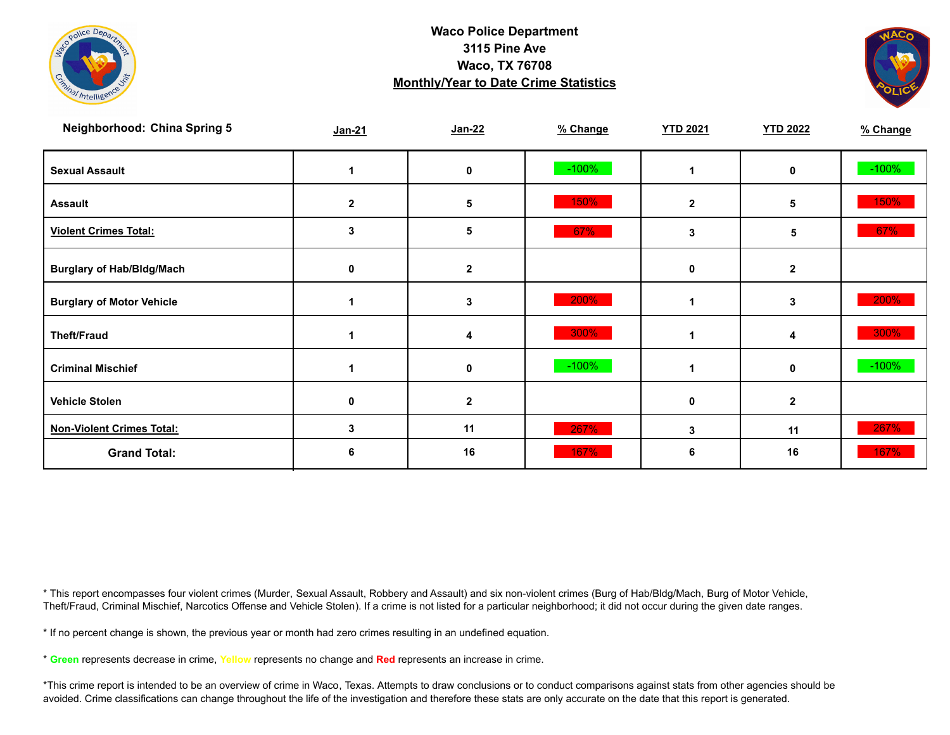



| <b>Neighborhood: China Spring 5</b> | $Jan-21$     | Jan-22       | % Change | <b>YTD 2021</b> | <b>YTD 2022</b> | % Change |
|-------------------------------------|--------------|--------------|----------|-----------------|-----------------|----------|
| <b>Sexual Assault</b>               |              | 0            | $-100%$  |                 | $\mathbf 0$     | $-100%$  |
| <b>Assault</b>                      | $\mathbf{2}$ | 5            | 150%     | $\mathbf{2}$    | 5               | 150%     |
| <b>Violent Crimes Total:</b>        | 3            | 5            | 67%      | 3               | 5               | 67%      |
| <b>Burglary of Hab/Bldg/Mach</b>    | 0            | $\mathbf{2}$ |          | $\mathbf 0$     | $\mathbf{2}$    |          |
| <b>Burglary of Motor Vehicle</b>    |              | 3            | 200%     |                 | 3               | 200%     |
| <b>Theft/Fraud</b>                  |              | 4            | 300%     |                 | 4               | 300%     |
| <b>Criminal Mischief</b>            |              | 0            | $-100%$  |                 | $\mathbf 0$     | $-100%$  |
| <b>Vehicle Stolen</b>               | 0            | 2            |          | 0               | $\mathbf{2}$    |          |
| <b>Non-Violent Crimes Total:</b>    | 3            | 11           | 267%     | $\mathbf{3}$    | 11              | 267%     |
| <b>Grand Total:</b>                 |              | 16           | 167%     | 6               | 16              | 167%     |

\* This report encompasses four violent crimes (Murder, Sexual Assault, Robbery and Assault) and six non-violent crimes (Burg of Hab/Bldg/Mach, Burg of Motor Vehicle, Theft/Fraud, Criminal Mischief, Narcotics Offense and Vehicle Stolen). If a crime is not listed for a particular neighborhood; it did not occur during the given date ranges.

\* If no percent change is shown, the previous year or month had zero crimes resulting in an undefined equation.

\* **Green** represents decrease in crime, **Yellow** represents no change and **Red** represents an increase in crime.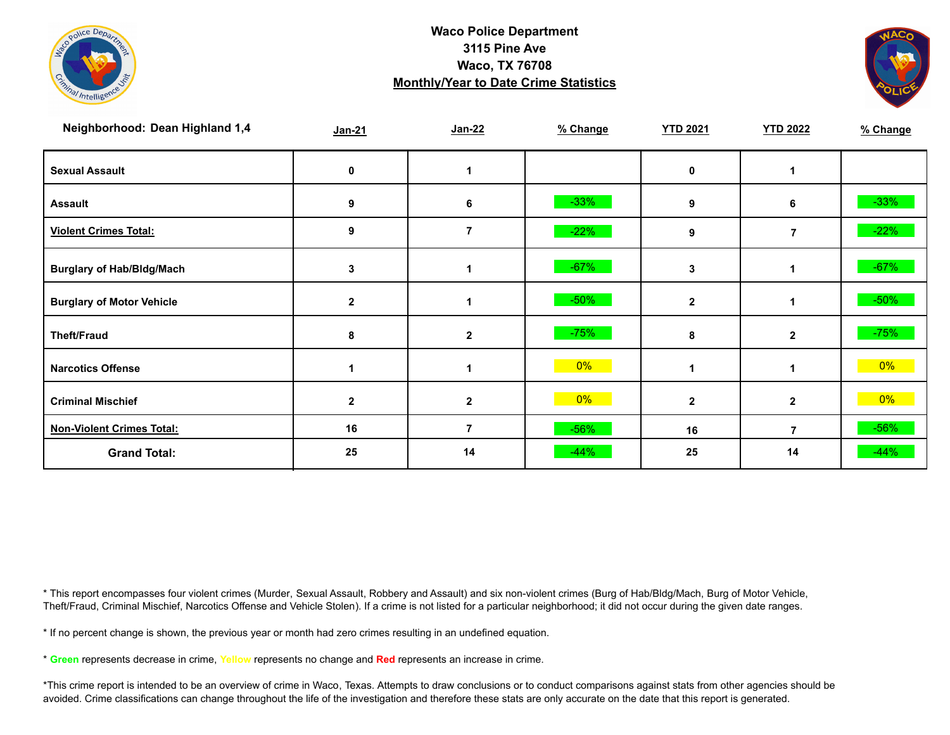



| Neighborhood: Dean Highland 1,4  | $Jan-21$     | $Jan-22$     | % Change | <b>YTD 2021</b> | <b>YTD 2022</b> | % Change |
|----------------------------------|--------------|--------------|----------|-----------------|-----------------|----------|
| <b>Sexual Assault</b>            | 0            |              |          | 0               |                 |          |
| <b>Assault</b>                   | 9            | 6            | $-33%$   | 9               | 6               | $-33%$   |
| <b>Violent Crimes Total:</b>     | 9            | 7            | $-22%$   | 9               | $\overline{7}$  | $-22%$   |
| <b>Burglary of Hab/Bldg/Mach</b> | 3            |              | $-67%$   | 3               |                 | $-67%$   |
| <b>Burglary of Motor Vehicle</b> | $\mathbf{2}$ |              | $-50%$   | $\mathbf{2}$    |                 | $-50\%$  |
| <b>Theft/Fraud</b>               | 8            | $\mathbf{2}$ | $-75%$   | 8               | $\overline{2}$  | $-75%$   |
| <b>Narcotics Offense</b>         |              |              | 0%       |                 | 1               | $0\%$    |
| <b>Criminal Mischief</b>         | 2            | $\mathbf{2}$ | 0%       | $\mathbf{2}$    | $\mathbf{2}$    | $0\%$    |
| <b>Non-Violent Crimes Total:</b> | 16           | 7            | $-56%$   | 16              | 7               | $-56%$   |
| <b>Grand Total:</b>              | 25           | 14           | $-44%$   | 25              | 14              | $-44%$   |

\* This report encompasses four violent crimes (Murder, Sexual Assault, Robbery and Assault) and six non-violent crimes (Burg of Hab/Bldg/Mach, Burg of Motor Vehicle, Theft/Fraud, Criminal Mischief, Narcotics Offense and Vehicle Stolen). If a crime is not listed for a particular neighborhood; it did not occur during the given date ranges.

\* If no percent change is shown, the previous year or month had zero crimes resulting in an undefined equation.

\* **Green** represents decrease in crime, **Yellow** represents no change and **Red** represents an increase in crime.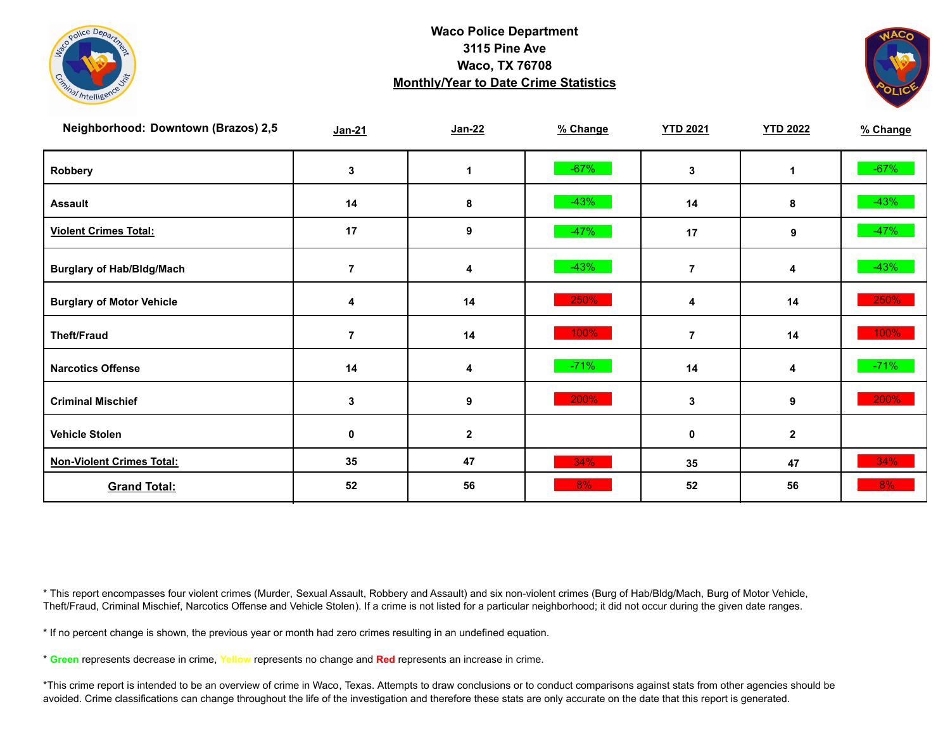



| Neighborhood: Downtown (Brazos) 2,5 | Jan-21         | $Jan-22$     | % Change | <b>YTD 2021</b> | <b>YTD 2022</b> | % Change |
|-------------------------------------|----------------|--------------|----------|-----------------|-----------------|----------|
| Robbery                             | 3              |              | $-67%$   | 3               | 1               | $-67%$   |
| <b>Assault</b>                      | 14             | 8            | $-43%$   | 14              | 8               | $-43%$   |
| <b>Violent Crimes Total:</b>        | 17             | 9            | $-47%$   | 17              | 9               | $-47%$   |
| <b>Burglary of Hab/Bldg/Mach</b>    |                | 4            | $-43%$   | 7               | 4               | $-43%$   |
| <b>Burglary of Motor Vehicle</b>    | 4              | 14           | 250%     | 4               | 14              | 250%     |
| <b>Theft/Fraud</b>                  | $\overline{7}$ | 14           | 100%     | $\overline{7}$  | 14              | 100%     |
| <b>Narcotics Offense</b>            | 14             | 4            | $-71%$   | 14              | 4               | $-71%$   |
| <b>Criminal Mischief</b>            | 3              | 9            | 200%     | 3               | 9               | 200%     |
| <b>Vehicle Stolen</b>               | 0              | $\mathbf{2}$ |          | 0               | $\mathbf{2}$    |          |
| <b>Non-Violent Crimes Total:</b>    | 35             | 47           | 34%      | 35              | 47              | 34%      |
| <b>Grand Total:</b>                 | 52             | 56           | 8%       | 52              | 56              | $8\%$    |

\* This report encompasses four violent crimes (Murder, Sexual Assault, Robbery and Assault) and six non-violent crimes (Burg of Hab/Bldg/Mach, Burg of Motor Vehicle, Theft/Fraud, Criminal Mischief, Narcotics Offense and Vehicle Stolen). If a crime is not listed for a particular neighborhood; it did not occur during the given date ranges.

\* If no percent change is shown, the previous year or month had zero crimes resulting in an undefined equation.

\* **Green** represents decrease in crime, **Yellow** represents no change and **Red** represents an increase in crime.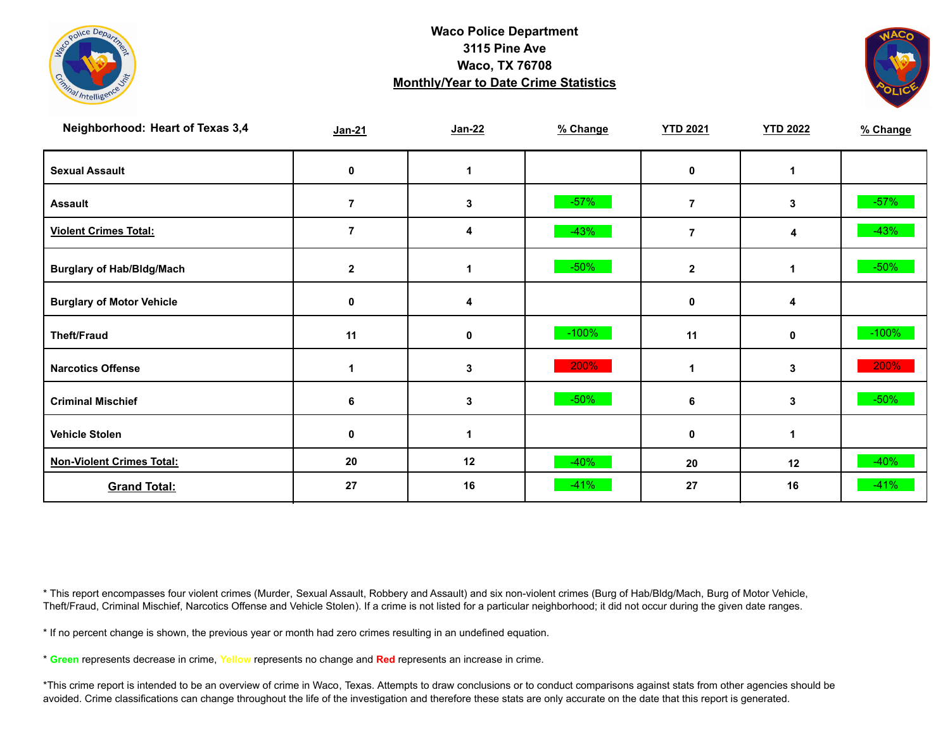



| Neighborhood: Heart of Texas 3,4 | Jan-21         | $Jan-22$ | % Change | <b>YTD 2021</b> | <b>YTD 2022</b> | % Change |
|----------------------------------|----------------|----------|----------|-----------------|-----------------|----------|
| <b>Sexual Assault</b>            | 0              | 1        |          | 0               |                 |          |
| <b>Assault</b>                   | $\overline{7}$ | 3        | $-57%$   | $\overline{7}$  | 3               | $-57%$   |
| <b>Violent Crimes Total:</b>     | $\overline{7}$ | 4        | $-43%$   | $\overline{7}$  | 4               | $-43%$   |
| <b>Burglary of Hab/Bldg/Mach</b> | $\mathbf{2}$   |          | $-50%$   | $\overline{2}$  |                 | $-50\%$  |
| <b>Burglary of Motor Vehicle</b> | 0              | 4        |          | $\mathbf 0$     | 4               |          |
| <b>Theft/Fraud</b>               | 11             | 0        | $-100%$  | 11              | $\mathbf{0}$    | $-100%$  |
| <b>Narcotics Offense</b>         |                | 3        | 200%     |                 | 3               | 200%     |
| <b>Criminal Mischief</b>         | 6              | 3        | $-50%$   | 6               | 3               | $-50%$   |
| <b>Vehicle Stolen</b>            | 0              |          |          | 0               |                 |          |
| <b>Non-Violent Crimes Total:</b> | 20             | 12       | $-40%$   | 20              | 12              | $-40%$   |
| <b>Grand Total:</b>              | 27             | 16       | $-41%$   | 27              | 16              | $-41%$   |

\* This report encompasses four violent crimes (Murder, Sexual Assault, Robbery and Assault) and six non-violent crimes (Burg of Hab/Bldg/Mach, Burg of Motor Vehicle, Theft/Fraud, Criminal Mischief, Narcotics Offense and Vehicle Stolen). If a crime is not listed for a particular neighborhood; it did not occur during the given date ranges.

\* If no percent change is shown, the previous year or month had zero crimes resulting in an undefined equation.

\* **Green** represents decrease in crime, **Yellow** represents no change and **Red** represents an increase in crime.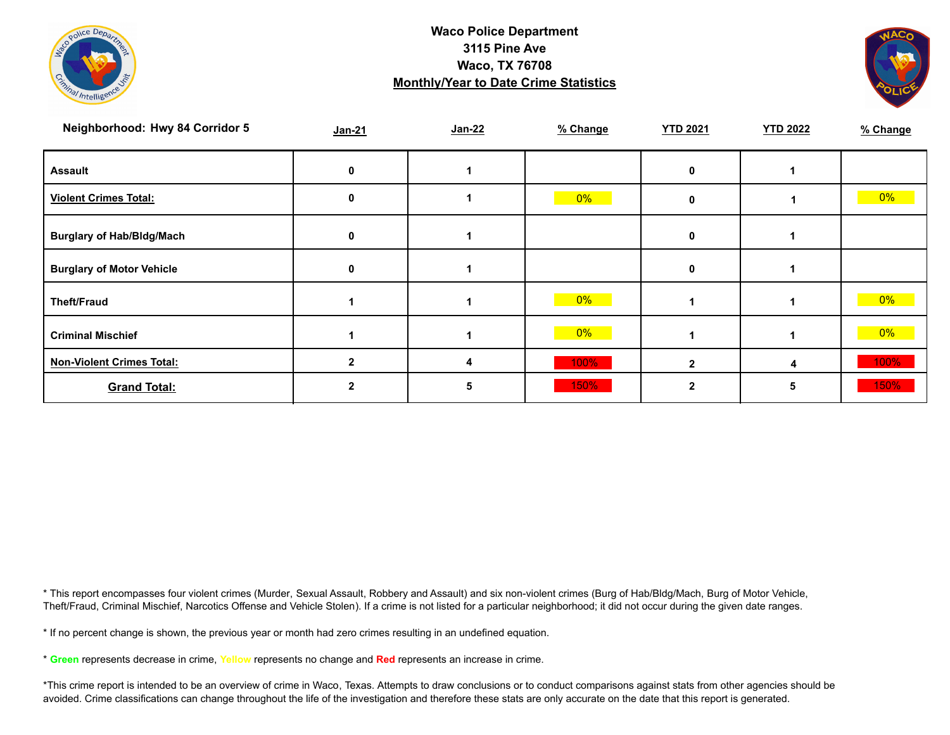



| Neighborhood: Hwy 84 Corridor 5  | $Jan-21$ | Jan-22 | % Change | <b>YTD 2021</b> | <b>YTD 2022</b> | % Change |
|----------------------------------|----------|--------|----------|-----------------|-----------------|----------|
| <b>Assault</b>                   |          |        |          |                 |                 |          |
| <b>Violent Crimes Total:</b>     |          |        | $0\%$    |                 |                 | $0\%$    |
| <b>Burglary of Hab/Bldg/Mach</b> |          |        |          | o               |                 |          |
| <b>Burglary of Motor Vehicle</b> |          |        |          |                 |                 |          |
| <b>Theft/Fraud</b>               |          |        | 0%       |                 |                 | $0\%$    |
| <b>Criminal Mischief</b>         |          |        | $0\%$    |                 |                 | $0\%$    |
| <b>Non-Violent Crimes Total:</b> |          | 4      | 100%     |                 | 4               | 100%     |
| <b>Grand Total:</b>              |          |        | 150%     |                 | 5               | 150%     |

\* This report encompasses four violent crimes (Murder, Sexual Assault, Robbery and Assault) and six non-violent crimes (Burg of Hab/Bldg/Mach, Burg of Motor Vehicle, Theft/Fraud, Criminal Mischief, Narcotics Offense and Vehicle Stolen). If a crime is not listed for a particular neighborhood; it did not occur during the given date ranges.

\* If no percent change is shown, the previous year or month had zero crimes resulting in an undefined equation.

\* **Green** represents decrease in crime, **Yellow** represents no change and **Red** represents an increase in crime.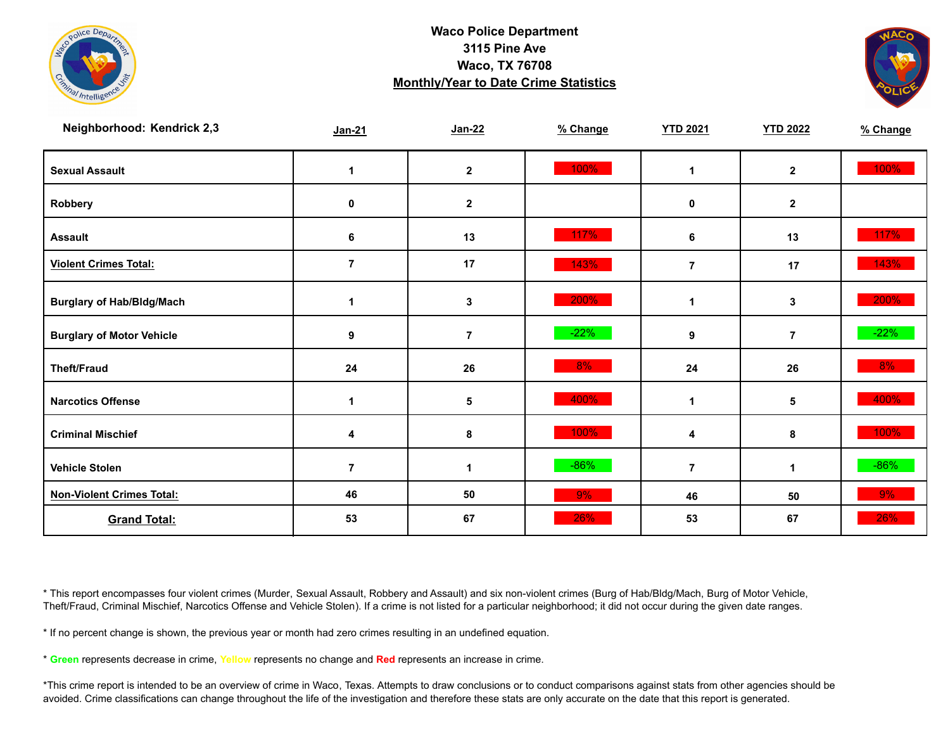



| Neighborhood: Kendrick 2,3       | Jan-21          | $Jan-22$       | % Change | <b>YTD 2021</b> | <b>YTD 2022</b> | % Change |
|----------------------------------|-----------------|----------------|----------|-----------------|-----------------|----------|
| <b>Sexual Assault</b>            | 1               | $\mathbf{2}$   | 100%     | 1               | $\mathbf{2}$    | 100%     |
| Robbery                          | 0               | $\mathbf{2}$   |          | 0               | $\mathbf{2}$    |          |
| <b>Assault</b>                   | $6\phantom{1}6$ | 13             | 117%     | 6               | 13              | 117%     |
| <b>Violent Crimes Total:</b>     | $\overline{7}$  | 17             | 143%     | $\overline{7}$  | 17              | 143%     |
| <b>Burglary of Hab/Bldg/Mach</b> | 1               | 3              | 200%     | $\mathbf{1}$    | 3               | 200%     |
| <b>Burglary of Motor Vehicle</b> | 9               | $\overline{7}$ | $-22%$   | 9               | $\overline{7}$  | $-22%$   |
| <b>Theft/Fraud</b>               | 24              | 26             | 8%       | 24              | 26              | 8%       |
| <b>Narcotics Offense</b>         | 1               | 5              | 400%     | 1               | $5\phantom{.0}$ | 400%     |
| <b>Criminal Mischief</b>         | 4               | 8              | 100%     | 4               | 8               | 100%     |
| <b>Vehicle Stolen</b>            | $\overline{7}$  | $\mathbf{1}$   | $-86%$   | $\overline{7}$  | 1               | $-86%$   |
| <b>Non-Violent Crimes Total:</b> | 46              | 50             | 9%       | 46              | 50              | 9%       |
| <b>Grand Total:</b>              | 53              | 67             | 26%      | 53              | 67              | 26%      |

\* This report encompasses four violent crimes (Murder, Sexual Assault, Robbery and Assault) and six non-violent crimes (Burg of Hab/Bldg/Mach, Burg of Motor Vehicle, Theft/Fraud, Criminal Mischief, Narcotics Offense and Vehicle Stolen). If a crime is not listed for a particular neighborhood; it did not occur during the given date ranges.

\* If no percent change is shown, the previous year or month had zero crimes resulting in an undefined equation.

\* **Green** represents decrease in crime, **Yellow** represents no change and **Red** represents an increase in crime.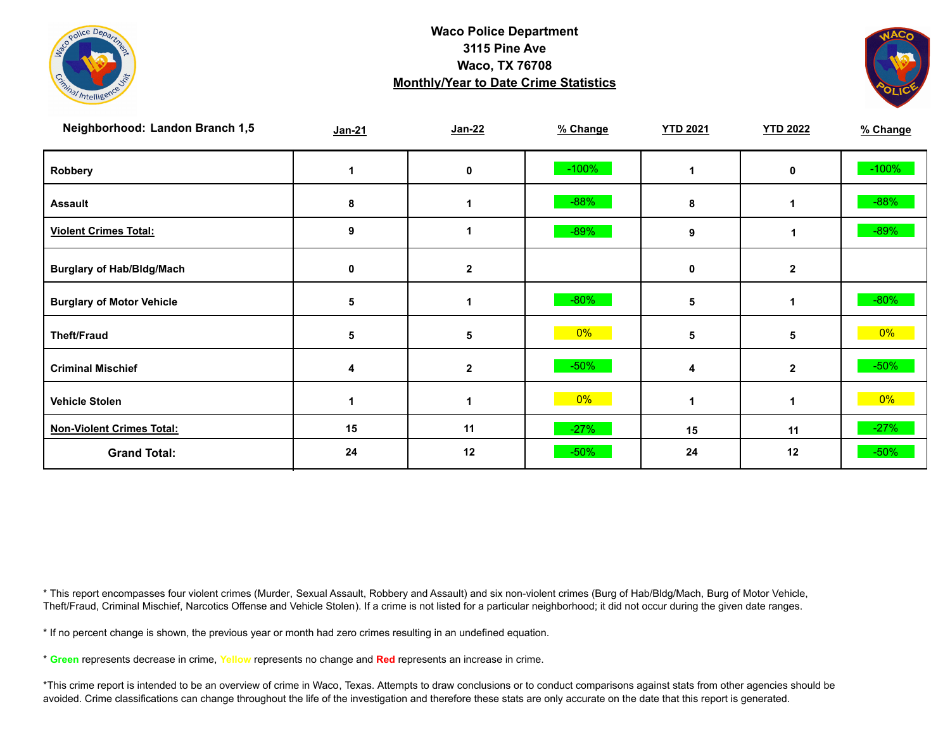



| Neighborhood: Landon Branch 1,5  | $Jan-21$    | Jan-22       | % Change | <b>YTD 2021</b> | <b>YTD 2022</b> | % Change |
|----------------------------------|-------------|--------------|----------|-----------------|-----------------|----------|
| Robbery                          |             | 0            | $-100%$  |                 | 0               | $-100%$  |
| <b>Assault</b>                   | 8           | 1            | $-88%$   | 8               | 1               | $-88%$   |
| <b>Violent Crimes Total:</b>     | 9           | 1            | $-89%$   | 9               |                 | $-89%$   |
| <b>Burglary of Hab/Bldg/Mach</b> | $\mathbf 0$ | $\mathbf{2}$ |          | $\mathbf 0$     | $\mathbf{2}$    |          |
| <b>Burglary of Motor Vehicle</b> | 5           | 1            | $-80%$   | 5               |                 | $-80%$   |
| <b>Theft/Fraud</b>               | 5           | 5            | $0\%$    | 5               | 5               | $0\%$    |
| <b>Criminal Mischief</b>         | 4           | $\mathbf{2}$ | $-50%$   | 4               | $\mathbf{2}$    | $-50%$   |
| <b>Vehicle Stolen</b>            |             |              | 0%       |                 |                 | 0%       |
| <b>Non-Violent Crimes Total:</b> | 15          | 11           | $-27%$   | 15              | 11              | $-27%$   |
| <b>Grand Total:</b>              | 24          | 12           | $-50%$   | 24              | 12              | $-50%$   |

\* This report encompasses four violent crimes (Murder, Sexual Assault, Robbery and Assault) and six non-violent crimes (Burg of Hab/Bldg/Mach, Burg of Motor Vehicle, Theft/Fraud, Criminal Mischief, Narcotics Offense and Vehicle Stolen). If a crime is not listed for a particular neighborhood; it did not occur during the given date ranges.

\* If no percent change is shown, the previous year or month had zero crimes resulting in an undefined equation.

\* **Green** represents decrease in crime, **Yellow** represents no change and **Red** represents an increase in crime.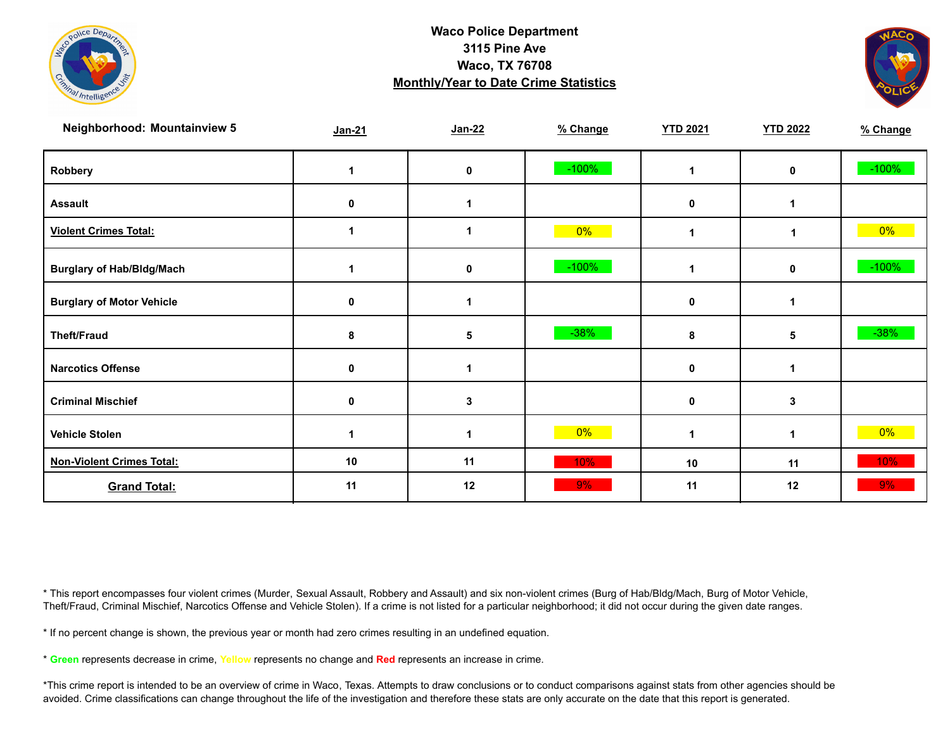



| <b>Neighborhood: Mountainview 5</b> | Jan-21 | Jan-22      | % Change | <b>YTD 2021</b> | <b>YTD 2022</b> | % Change |
|-------------------------------------|--------|-------------|----------|-----------------|-----------------|----------|
| Robbery                             | 1      | $\mathbf 0$ | $-100%$  | 1               | $\mathbf 0$     | $-100%$  |
| <b>Assault</b>                      | 0      | 1           |          | $\mathbf 0$     |                 |          |
| <b>Violent Crimes Total:</b>        | 1      | 1           | $0\%$    | 1               | 1               | $0\%$    |
| <b>Burglary of Hab/Bldg/Mach</b>    |        | 0           | $-100%$  | 1               | $\mathbf 0$     | $-100%$  |
| <b>Burglary of Motor Vehicle</b>    | 0      | 1           |          | 0               | 1               |          |
| <b>Theft/Fraud</b>                  | 8      | 5           | $-38%$   | 8               | 5               | $-38%$   |
| <b>Narcotics Offense</b>            | 0      |             |          | 0               |                 |          |
| <b>Criminal Mischief</b>            | 0      | 3           |          | 0               | 3               |          |
| <b>Vehicle Stolen</b>               | 1      | 1           | $0\%$    | 1               | 1               | $0\%$    |
| <b>Non-Violent Crimes Total:</b>    | 10     | 11          | 10%      | 10              | 11              | 10%      |
| <b>Grand Total:</b>                 | 11     | 12          | 9%       | 11              | 12              | 9%       |

\* This report encompasses four violent crimes (Murder, Sexual Assault, Robbery and Assault) and six non-violent crimes (Burg of Hab/Bldg/Mach, Burg of Motor Vehicle, Theft/Fraud, Criminal Mischief, Narcotics Offense and Vehicle Stolen). If a crime is not listed for a particular neighborhood; it did not occur during the given date ranges.

\* If no percent change is shown, the previous year or month had zero crimes resulting in an undefined equation.

\* **Green** represents decrease in crime, **Yellow** represents no change and **Red** represents an increase in crime.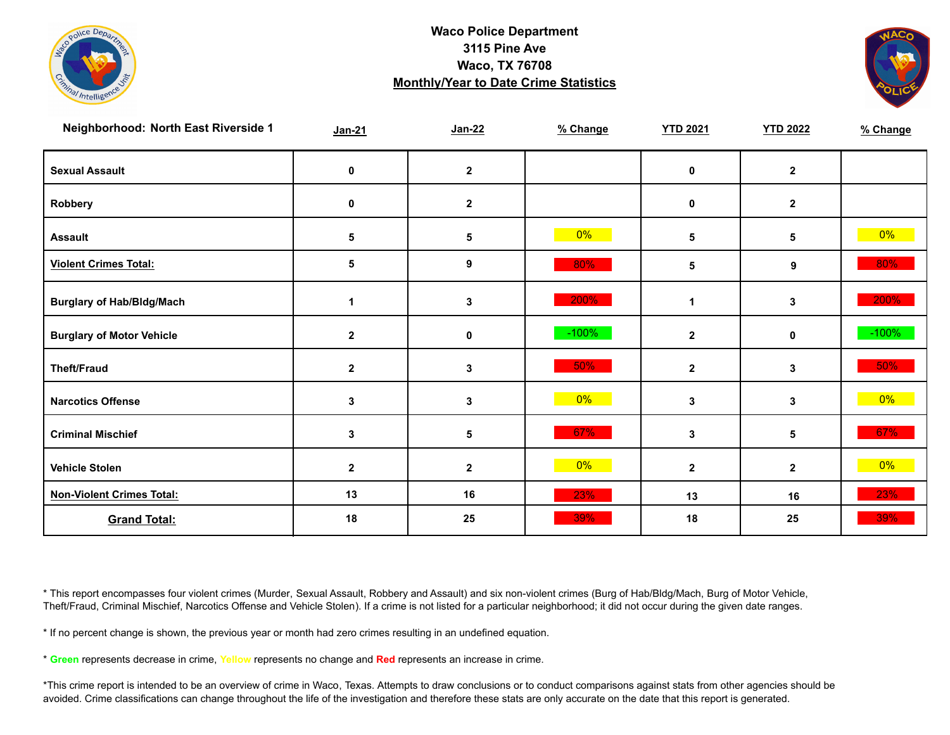



| Neighborhood: North East Riverside 1 | $Jan-21$     | $Jan-22$     | % Change | <b>YTD 2021</b> | <b>YTD 2022</b> | % Change |
|--------------------------------------|--------------|--------------|----------|-----------------|-----------------|----------|
| <b>Sexual Assault</b>                | 0            | $\mathbf{2}$ |          | $\mathbf 0$     | $\mathbf{2}$    |          |
| Robbery                              | 0            | $\mathbf{2}$ |          | 0               | $\mathbf{2}$    |          |
| <b>Assault</b>                       | 5            | $\sqrt{5}$   | 0%       | $5\phantom{.0}$ | 5               | $0\%$    |
| <b>Violent Crimes Total:</b>         | 5            | 9            | 80%      | 5               | 9               | 80%      |
| <b>Burglary of Hab/Bldg/Mach</b>     | 1            | $\mathbf 3$  | 200%     | 1               | 3               | 200%     |
| <b>Burglary of Motor Vehicle</b>     | $\mathbf{2}$ | $\mathbf 0$  | $-100%$  | $\mathbf{2}$    | $\mathbf 0$     | $-100%$  |
| <b>Theft/Fraud</b>                   | $\mathbf 2$  | $\mathbf{3}$ | 50%      | $\mathbf{2}$    | 3               | 50%      |
| <b>Narcotics Offense</b>             | 3            | $\mathbf{3}$ | $0\%$    | 3               | 3               | $0\%$    |
| <b>Criminal Mischief</b>             | 3            | 5            | 67%      | 3               | 5               | 67%      |
| <b>Vehicle Stolen</b>                | $\mathbf 2$  | $\mathbf{2}$ | $0\%$    | $\mathbf{2}$    | $\mathbf{2}$    | $0\%$    |
| <b>Non-Violent Crimes Total:</b>     | 13           | 16           | 23%      | 13              | 16              | 23%      |
| <b>Grand Total:</b>                  | 18           | 25           | 39%      | 18              | 25              | 39%      |

\* This report encompasses four violent crimes (Murder, Sexual Assault, Robbery and Assault) and six non-violent crimes (Burg of Hab/Bldg/Mach, Burg of Motor Vehicle, Theft/Fraud, Criminal Mischief, Narcotics Offense and Vehicle Stolen). If a crime is not listed for a particular neighborhood; it did not occur during the given date ranges.

\* If no percent change is shown, the previous year or month had zero crimes resulting in an undefined equation.

\* **Green** represents decrease in crime, **Yellow** represents no change and **Red** represents an increase in crime.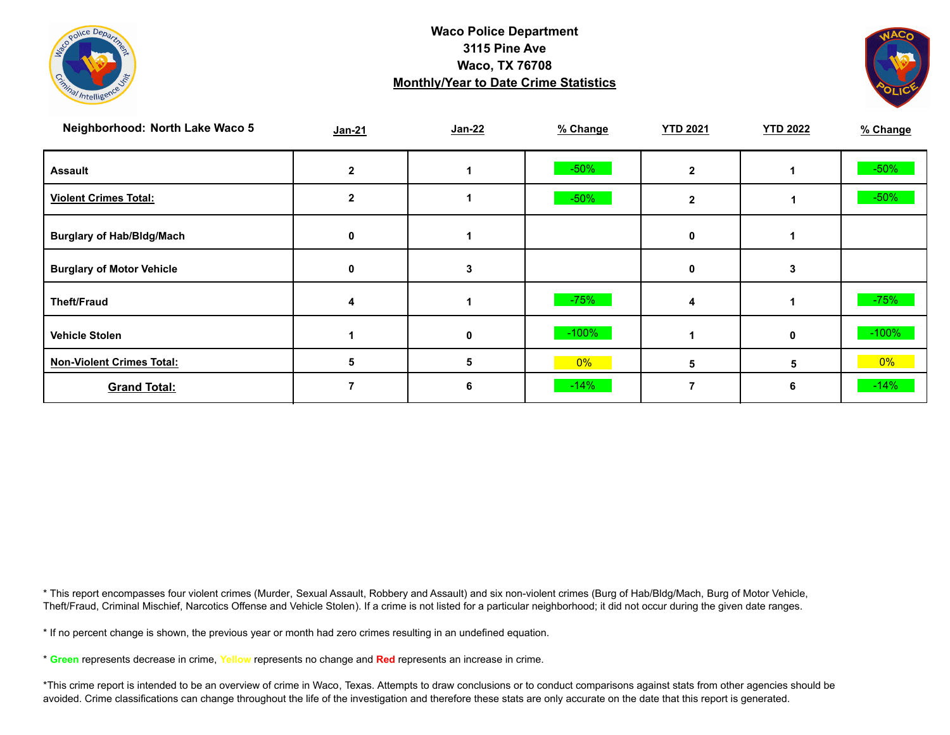



| Neighborhood: North Lake Waco 5  | Jan-21 | Jan-22 | % Change | <b>YTD 2021</b> | <b>YTD 2022</b> | % Change |
|----------------------------------|--------|--------|----------|-----------------|-----------------|----------|
| <b>Assault</b>                   |        |        | $-50%$   |                 |                 | $-50\%$  |
| <b>Violent Crimes Total:</b>     |        |        | $-50%$   | 2               |                 | $-50%$   |
| <b>Burglary of Hab/Bldg/Mach</b> | 0      |        |          | 0               |                 |          |
| <b>Burglary of Motor Vehicle</b> |        |        |          | 0               | 3               |          |
| <b>Theft/Fraud</b>               |        |        | $-75%$   | 4               |                 | $-75%$   |
| <b>Vehicle Stolen</b>            |        | 0      | $-100%$  |                 | $\mathbf{0}$    | $-100%$  |
| <b>Non-Violent Crimes Total:</b> | 5      | 5      | $0\%$    | h               | 5.              | $0\%$    |
| <b>Grand Total:</b>              |        | 6      | $-14%$   |                 | 6               | $-14%$   |

\* This report encompasses four violent crimes (Murder, Sexual Assault, Robbery and Assault) and six non-violent crimes (Burg of Hab/Bldg/Mach, Burg of Motor Vehicle, Theft/Fraud, Criminal Mischief, Narcotics Offense and Vehicle Stolen). If a crime is not listed for a particular neighborhood; it did not occur during the given date ranges.

\* If no percent change is shown, the previous year or month had zero crimes resulting in an undefined equation.

\* **Green** represents decrease in crime, **Yellow** represents no change and **Red** represents an increase in crime.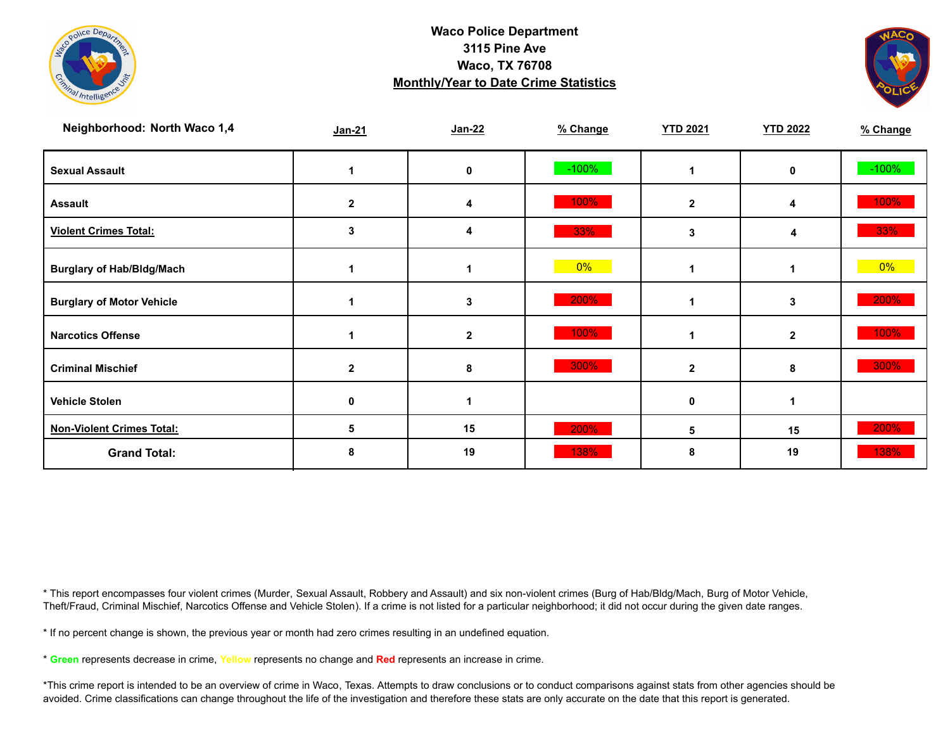



| Neighborhood: North Waco 1,4     | $Jan-21$     | Jan-22       | % Change | <b>YTD 2021</b> | <b>YTD 2022</b> | % Change |
|----------------------------------|--------------|--------------|----------|-----------------|-----------------|----------|
| <b>Sexual Assault</b>            |              | 0            | $-100%$  |                 | $\mathbf 0$     | $-100%$  |
| <b>Assault</b>                   | $\mathbf{2}$ | 4            | 100%     | $\mathbf{2}$    | 4               | 100%     |
| <b>Violent Crimes Total:</b>     | 3            | 4            | 33%      | 3               |                 | 33%      |
| <b>Burglary of Hab/Bldg/Mach</b> |              | 1            | 0%       |                 | 1               | $0\%$    |
| <b>Burglary of Motor Vehicle</b> |              | 3            | 200%     |                 | 3               | 200%     |
| <b>Narcotics Offense</b>         |              | $\mathbf{2}$ | 100%     |                 | $\overline{2}$  | 100%     |
| <b>Criminal Mischief</b>         | $\mathbf{2}$ | 8            | 300%     | $\mathbf{2}$    | 8               | 300%     |
| <b>Vehicle Stolen</b>            | 0            |              |          | 0               |                 |          |
| <b>Non-Violent Crimes Total:</b> | 5            | 15           | 200%     | 5               | 15              | 200%     |
| <b>Grand Total:</b>              | 8            | 19           | 138%     | 8               | 19              | 138%     |

\* This report encompasses four violent crimes (Murder, Sexual Assault, Robbery and Assault) and six non-violent crimes (Burg of Hab/Bldg/Mach, Burg of Motor Vehicle, Theft/Fraud, Criminal Mischief, Narcotics Offense and Vehicle Stolen). If a crime is not listed for a particular neighborhood; it did not occur during the given date ranges.

\* If no percent change is shown, the previous year or month had zero crimes resulting in an undefined equation.

\* **Green** represents decrease in crime, **Yellow** represents no change and **Red** represents an increase in crime.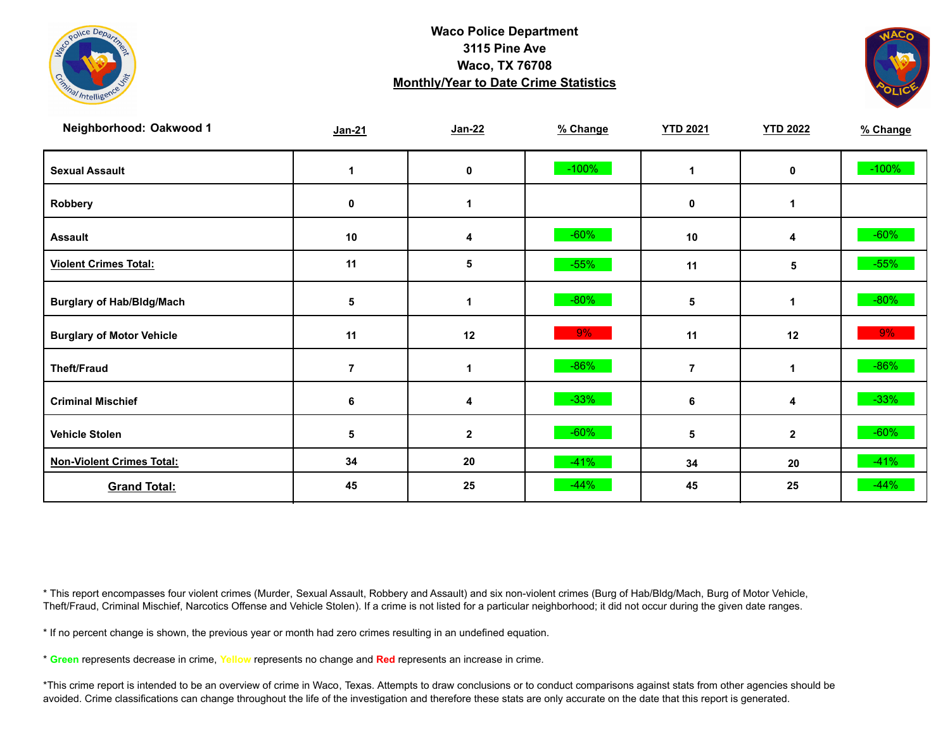



| Neighborhood: Oakwood 1          | $Jan-21$ | $Jan-22$     | % Change | <b>YTD 2021</b> | <b>YTD 2022</b> | % Change |
|----------------------------------|----------|--------------|----------|-----------------|-----------------|----------|
| <b>Sexual Assault</b>            |          | 0            | $-100%$  | 1               | 0               | $-100%$  |
| Robbery                          | 0        | 1            |          | $\mathbf 0$     | 1               |          |
| <b>Assault</b>                   | $10$     | 4            | $-60%$   | 10              | 4               | $-60%$   |
| <b>Violent Crimes Total:</b>     | 11       | 5            | $-55%$   | 11              | 5               | $-55%$   |
| <b>Burglary of Hab/Bldg/Mach</b> | 5        | 1            | $-80%$   | 5               | $\mathbf 1$     | $-80%$   |
| <b>Burglary of Motor Vehicle</b> | 11       | 12           | 9%       | 11              | 12              | 9%       |
| <b>Theft/Fraud</b>               | 7        | 1            | $-86%$   | $\overline{7}$  | 1               | $-86%$   |
| <b>Criminal Mischief</b>         | 6        | 4            | $-33%$   | 6               | 4               | $-33%$   |
| <b>Vehicle Stolen</b>            | 5        | $\mathbf{2}$ | $-60%$   | 5               | $\mathbf{2}$    | $-60\%$  |
| <b>Non-Violent Crimes Total:</b> | 34       | 20           | $-41%$   | 34              | 20              | $-41%$   |
| <b>Grand Total:</b>              | 45       | 25           | $-44%$   | 45              | 25              | $-44%$   |

\* This report encompasses four violent crimes (Murder, Sexual Assault, Robbery and Assault) and six non-violent crimes (Burg of Hab/Bldg/Mach, Burg of Motor Vehicle, Theft/Fraud, Criminal Mischief, Narcotics Offense and Vehicle Stolen). If a crime is not listed for a particular neighborhood; it did not occur during the given date ranges.

\* If no percent change is shown, the previous year or month had zero crimes resulting in an undefined equation.

\* **Green** represents decrease in crime, **Yellow** represents no change and **Red** represents an increase in crime.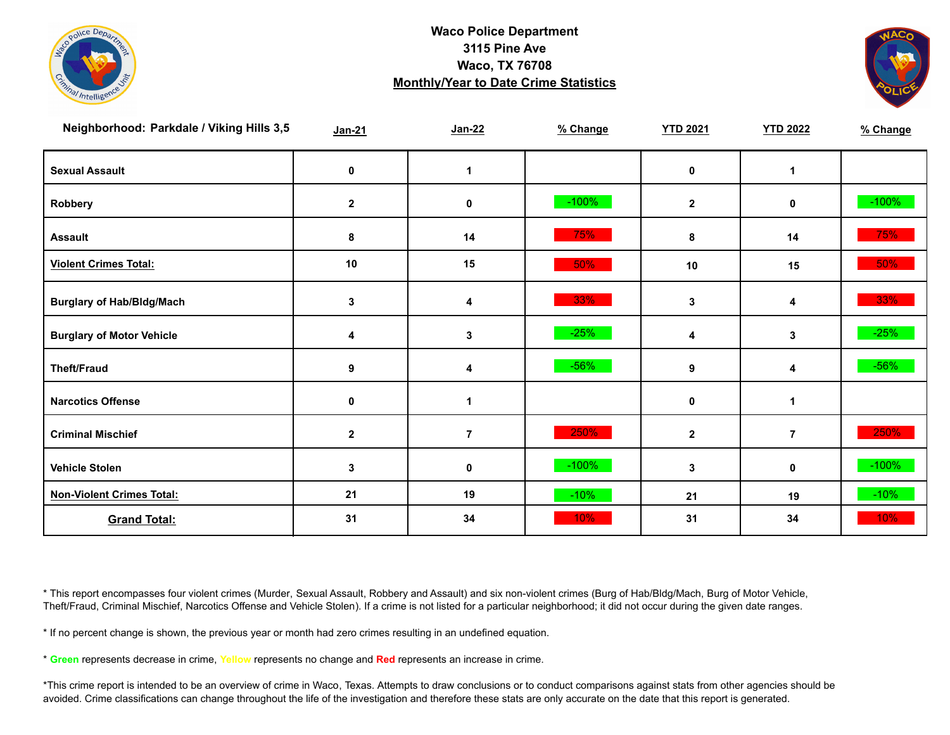



| Neighborhood: Parkdale / Viking Hills 3,5 | Jan-21       | $Jan-22$       | % Change | <b>YTD 2021</b> | <b>YTD 2022</b> | % Change |
|-------------------------------------------|--------------|----------------|----------|-----------------|-----------------|----------|
| <b>Sexual Assault</b>                     | 0            | $\mathbf 1$    |          | 0               | 1               |          |
| Robbery                                   | $\mathbf 2$  | 0              | $-100%$  | $\mathbf{2}$    | 0               | $-100%$  |
| <b>Assault</b>                            | 8            | 14             | 75%      | 8               | 14              | 75%      |
| <b>Violent Crimes Total:</b>              | 10           | 15             | 50%      | $10$            | 15              | $50\%$   |
| <b>Burglary of Hab/Bldg/Mach</b>          | 3            | 4              | 33%      | 3               | 4               | 33%      |
| <b>Burglary of Motor Vehicle</b>          | 4            | $\mathbf{3}$   | $-25%$   | 4               | 3               | $-25%$   |
| <b>Theft/Fraud</b>                        | 9            | 4              | $-56%$   | 9               | 4               | $-56%$   |
| <b>Narcotics Offense</b>                  | $\pmb{0}$    | 1              |          | 0               | 1               |          |
| <b>Criminal Mischief</b>                  | $\mathbf{2}$ | $\overline{7}$ | 250%     | $\mathbf{2}$    | $\overline{7}$  | 250%     |
| <b>Vehicle Stolen</b>                     | 3            | 0              | $-100\%$ | 3               | 0               | $-100%$  |
| <b>Non-Violent Crimes Total:</b>          | 21           | 19             | $-10%$   | 21              | 19              | $-10%$   |
| <b>Grand Total:</b>                       | 31           | 34             | 10%      | 31              | 34              | 10%      |

\* This report encompasses four violent crimes (Murder, Sexual Assault, Robbery and Assault) and six non-violent crimes (Burg of Hab/Bldg/Mach, Burg of Motor Vehicle, Theft/Fraud, Criminal Mischief, Narcotics Offense and Vehicle Stolen). If a crime is not listed for a particular neighborhood; it did not occur during the given date ranges.

\* If no percent change is shown, the previous year or month had zero crimes resulting in an undefined equation.

\* **Green** represents decrease in crime, **Yellow** represents no change and **Red** represents an increase in crime.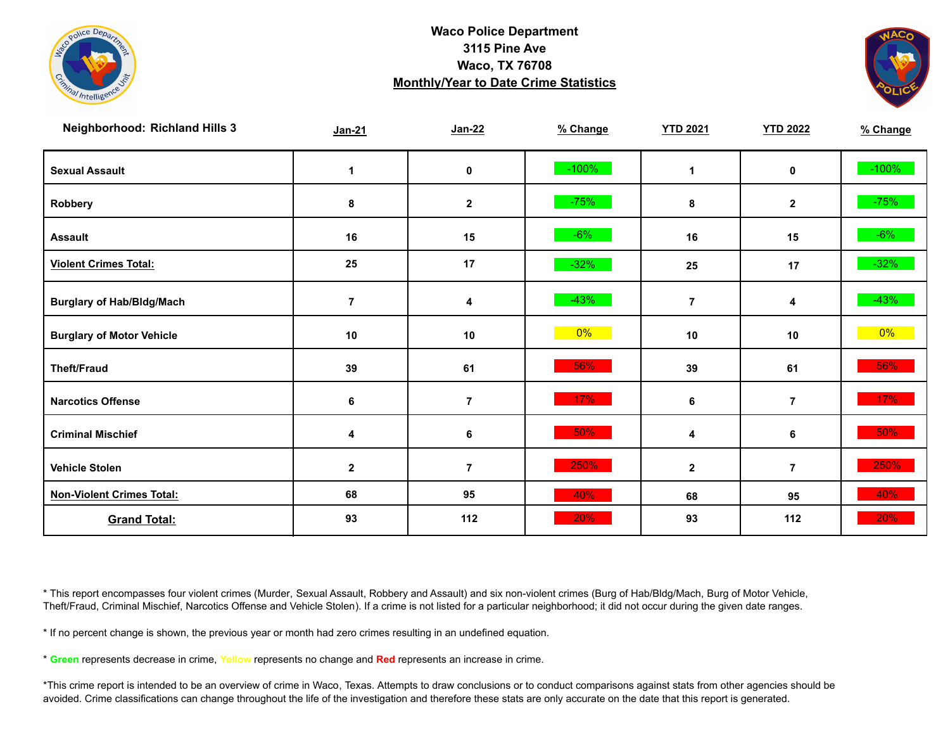



| <b>Neighborhood: Richland Hills 3</b> | Jan-21         | $Jan-22$       | % Change | <b>YTD 2021</b> | <b>YTD 2022</b> | % Change |
|---------------------------------------|----------------|----------------|----------|-----------------|-----------------|----------|
| <b>Sexual Assault</b>                 | 1              | $\pmb{0}$      | $-100%$  | 1               | 0               | $-100%$  |
| Robbery                               | 8              | $\mathbf 2$    | $-75%$   | 8               | $\mathbf{2}$    | $-75%$   |
| <b>Assault</b>                        | 16             | 15             | $-6%$    | 16              | 15              | $-6%$    |
| <b>Violent Crimes Total:</b>          | 25             | 17             | $-32%$   | 25              | 17              | $-32%$   |
| <b>Burglary of Hab/Bldg/Mach</b>      | $\overline{7}$ | 4              | $-43%$   | $\overline{7}$  | 4               | $-43%$   |
| <b>Burglary of Motor Vehicle</b>      | $10$           | $10$           | $0\%$    | 10              | 10              | $0\%$    |
| <b>Theft/Fraud</b>                    | 39             | 61             | 56%      | 39              | 61              | 56%      |
| <b>Narcotics Offense</b>              | $\bf 6$        | $\bf 7$        | 17%      | 6               | $\overline{7}$  | $17\%$   |
| <b>Criminal Mischief</b>              | 4              | 6              | 50%      | 4               | 6               | 50%      |
| <b>Vehicle Stolen</b>                 | $\mathbf{2}$   | $\overline{7}$ | 250%     | $\mathbf{2}$    | $\overline{7}$  | 250%     |
| <b>Non-Violent Crimes Total:</b>      | 68             | 95             | 40%      | 68              | 95              | 40%      |
| <b>Grand Total:</b>                   | 93             | 112            | 20%      | 93              | 112             | 20%      |

\* This report encompasses four violent crimes (Murder, Sexual Assault, Robbery and Assault) and six non-violent crimes (Burg of Hab/Bldg/Mach, Burg of Motor Vehicle, Theft/Fraud, Criminal Mischief, Narcotics Offense and Vehicle Stolen). If a crime is not listed for a particular neighborhood; it did not occur during the given date ranges.

\* If no percent change is shown, the previous year or month had zero crimes resulting in an undefined equation.

\* **Green** represents decrease in crime, **Yellow** represents no change and **Red** represents an increase in crime.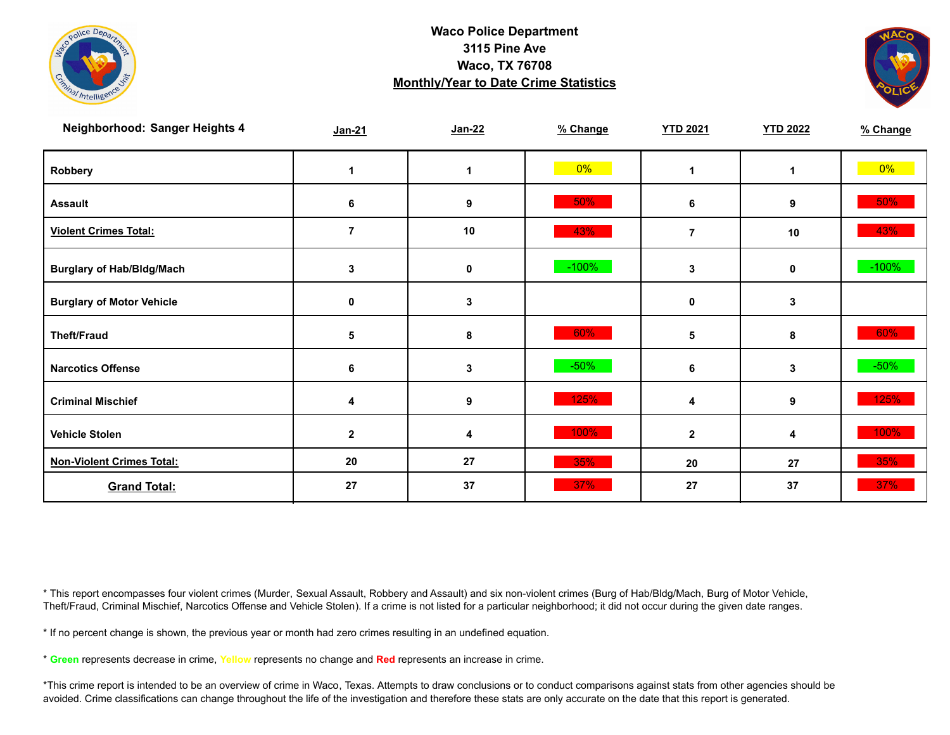



| Neighborhood: Sanger Heights 4   | $Jan-21$       | Jan-22           | % Change | <b>YTD 2021</b> | <b>YTD 2022</b> | % Change |
|----------------------------------|----------------|------------------|----------|-----------------|-----------------|----------|
| Robbery                          |                | 1                | $0\%$    | 1               | $\mathbf 1$     | $0\%$    |
| <b>Assault</b>                   | 6              | 9                | 50%      | 6               | 9               | 50%      |
| <b>Violent Crimes Total:</b>     | $\overline{7}$ | 10               | 43%      | $\overline{7}$  | 10              | 43%      |
| <b>Burglary of Hab/Bldg/Mach</b> | 3              | 0                | $-100%$  | 3               | 0               | $-100%$  |
| <b>Burglary of Motor Vehicle</b> | 0              | 3                |          | $\mathbf 0$     | 3               |          |
| <b>Theft/Fraud</b>               | 5              | 8                | 60%      | 5               | 8               | 60%      |
| <b>Narcotics Offense</b>         | 6              | 3                | $-50%$   | 6               | $\mathbf{3}$    | $-50\%$  |
| <b>Criminal Mischief</b>         | 4              | $\boldsymbol{9}$ | 125%     | 4               | 9               | 125%     |
| <b>Vehicle Stolen</b>            | $\mathbf{2}$   | 4                | 100%     | $\overline{2}$  | 4               | 100%     |
| <b>Non-Violent Crimes Total:</b> | 20             | 27               | 35%      | 20              | 27              | 35%      |
| <b>Grand Total:</b>              | 27             | 37               | 37%      | 27              | 37              | 37%      |

\* This report encompasses four violent crimes (Murder, Sexual Assault, Robbery and Assault) and six non-violent crimes (Burg of Hab/Bldg/Mach, Burg of Motor Vehicle, Theft/Fraud, Criminal Mischief, Narcotics Offense and Vehicle Stolen). If a crime is not listed for a particular neighborhood; it did not occur during the given date ranges.

\* If no percent change is shown, the previous year or month had zero crimes resulting in an undefined equation.

\* **Green** represents decrease in crime, **Yellow** represents no change and **Red** represents an increase in crime.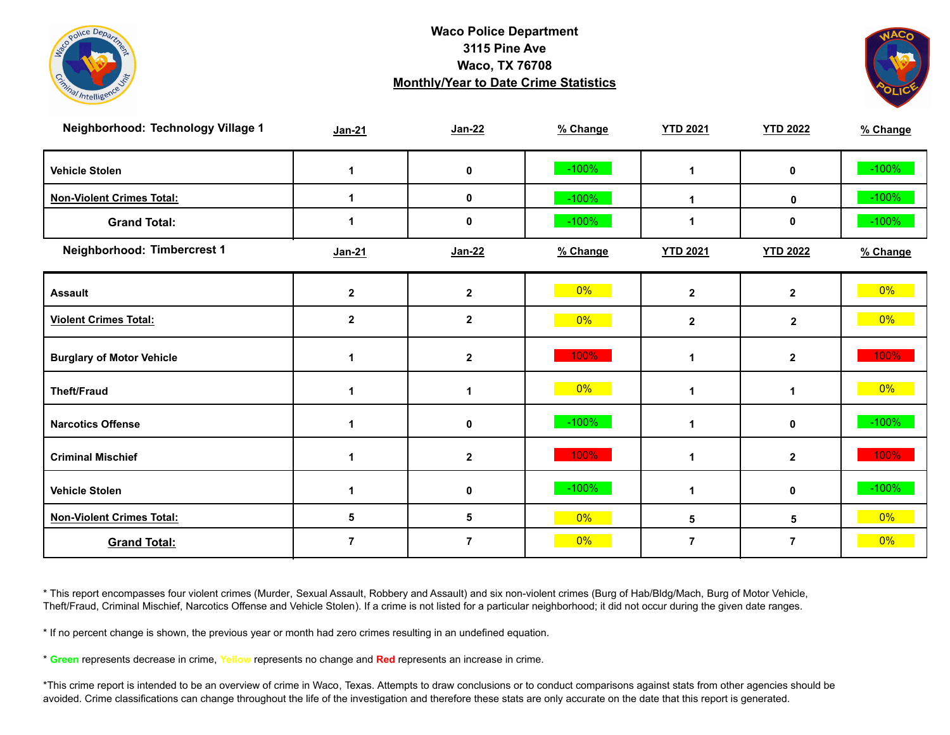



| Neighborhood: Technology Village 1 | Jan-21               | <b>Jan-22</b>    | % Change | <b>YTD 2021</b> | <b>YTD 2022</b> | % Change |
|------------------------------------|----------------------|------------------|----------|-----------------|-----------------|----------|
| <b>Vehicle Stolen</b>              | 1                    | 0                | $-100%$  | $\mathbf 1$     | $\mathbf 0$     | $-100%$  |
| <b>Non-Violent Crimes Total:</b>   |                      | 0                | $-100%$  | $\mathbf{1}$    | 0               | $-100%$  |
| <b>Grand Total:</b>                |                      | 0                | $-100%$  | $\mathbf 1$     | 0               | $-100%$  |
| Neighborhood: Timbercrest 1        | Jan-21               | Jan-22           | % Change | <b>YTD 2021</b> | <b>YTD 2022</b> | % Change |
| <b>Assault</b>                     | $\mathbf 2$          | $\mathbf 2$      | $0\%$    | $\mathbf{2}$    | $\mathbf{2}$    | $0\%$    |
| <b>Violent Crimes Total:</b>       | $\mathbf 2$          | $\mathbf{2}$     | $0\%$    | $\mathbf{2}$    | $\mathbf 2$     | $0\%$    |
| <b>Burglary of Motor Vehicle</b>   | $\blacktriangleleft$ | $\mathbf{2}$     | 100%     | $\mathbf{1}$    | $\mathbf{2}$    | 100%     |
| <b>Theft/Fraud</b>                 |                      | 1                | $0\%$    | 1               | 1               | $0\%$    |
| <b>Narcotics Offense</b>           | 1                    | 0                | $-100%$  | 1               | 0               | $-100%$  |
| <b>Criminal Mischief</b>           | 1                    | $\boldsymbol{2}$ | 100%     | $\mathbf{1}$    | $\mathbf{2}$    | 100%     |
| <b>Vehicle Stolen</b>              | 1                    | 0                | $-100%$  | $\mathbf 1$     | 0               | $-100%$  |
| <b>Non-Violent Crimes Total:</b>   | 5                    | 5                | $0\%$    | 5               | 5               | $0\%$    |
| <b>Grand Total:</b>                | $\overline{7}$       | $\overline{7}$   | $0\%$    | $\overline{7}$  | $\overline{7}$  | 0%       |

\* This report encompasses four violent crimes (Murder, Sexual Assault, Robbery and Assault) and six non-violent crimes (Burg of Hab/Bldg/Mach, Burg of Motor Vehicle, Theft/Fraud, Criminal Mischief, Narcotics Offense and Vehicle Stolen). If a crime is not listed for a particular neighborhood; it did not occur during the given date ranges.

\* If no percent change is shown, the previous year or month had zero crimes resulting in an undefined equation.

\* **Green** represents decrease in crime, **Yellow** represents no change and **Red** represents an increase in crime.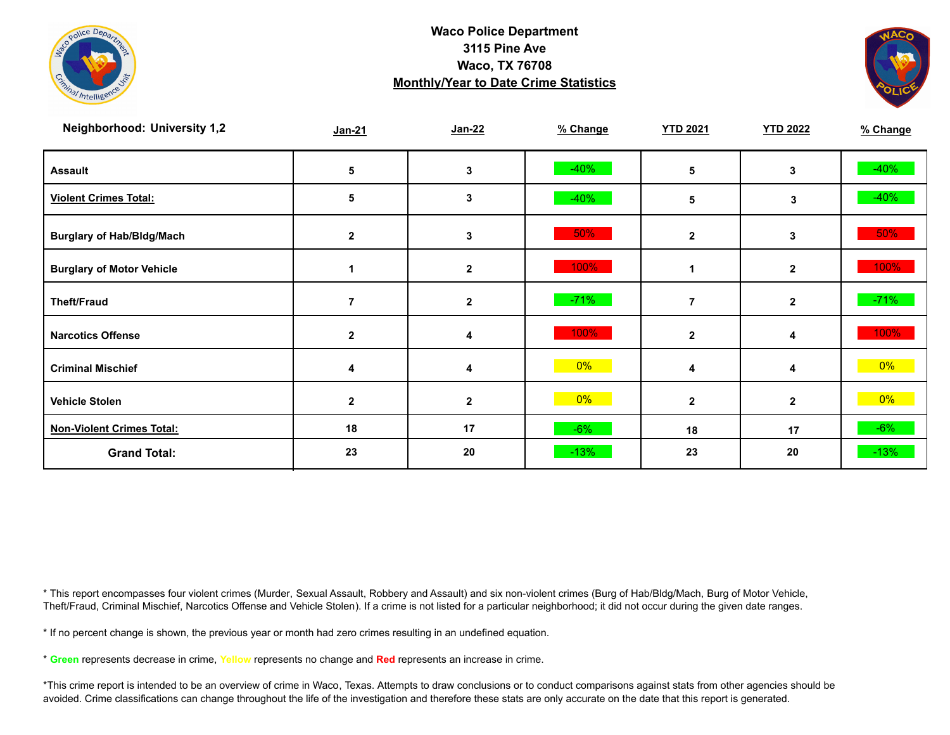



| <b>Neighborhood: University 1,2</b> | $Jan-21$       | Jan-22       | % Change | <b>YTD 2021</b> | <b>YTD 2022</b> | % Change |
|-------------------------------------|----------------|--------------|----------|-----------------|-----------------|----------|
| <b>Assault</b>                      | 5              | 3            | $-40%$   | 5               | 3               | $-40%$   |
| <b>Violent Crimes Total:</b>        | 5              | 3            | $-40%$   | 5               | 3               | $-40%$   |
| <b>Burglary of Hab/Bldg/Mach</b>    | $\mathbf{2}$   | 3            | 50%      | $\mathbf{2}$    | 3               | $50\%$   |
| <b>Burglary of Motor Vehicle</b>    |                | $\mathbf{2}$ | 100%     |                 | $\mathbf{2}$    | 100%     |
| <b>Theft/Fraud</b>                  |                | $\mathbf 2$  | $-71%$   |                 | $\mathbf{2}$    | $-71%$   |
| <b>Narcotics Offense</b>            | $\overline{2}$ | 4            | 100%     | $\mathbf{2}$    | 4               | 100%     |
| <b>Criminal Mischief</b>            | 4              | 4            | $0\%$    | 4               | 4               | $0\%$    |
| <b>Vehicle Stolen</b>               | $\mathbf{2}$   | $\mathbf{2}$ | $0\%$    | $\mathbf{2}$    | $\overline{2}$  | $0\%$    |
| <b>Non-Violent Crimes Total:</b>    | 18             | 17           | $-6%$    | 18              | 17              | $-6%$    |
| <b>Grand Total:</b>                 | 23             | 20           | $-13%$   | 23              | 20              | $-13%$   |

\* This report encompasses four violent crimes (Murder, Sexual Assault, Robbery and Assault) and six non-violent crimes (Burg of Hab/Bldg/Mach, Burg of Motor Vehicle, Theft/Fraud, Criminal Mischief, Narcotics Offense and Vehicle Stolen). If a crime is not listed for a particular neighborhood; it did not occur during the given date ranges.

\* If no percent change is shown, the previous year or month had zero crimes resulting in an undefined equation.

\* **Green** represents decrease in crime, **Yellow** represents no change and **Red** represents an increase in crime.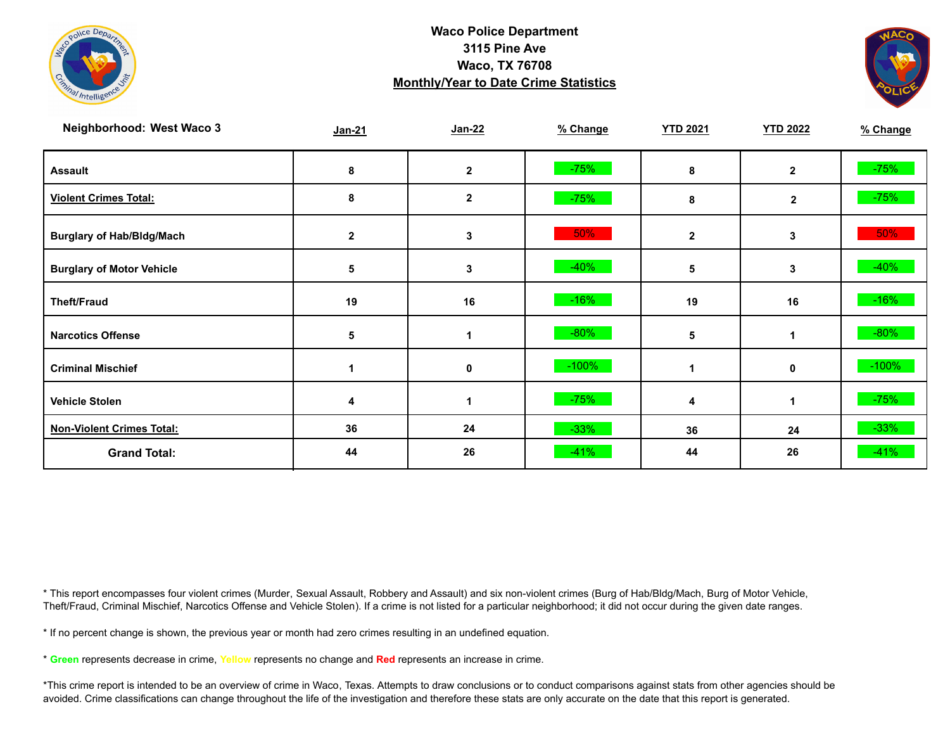



| <b>Neighborhood: West Waco 3</b> | Jan-21       | $Jan-22$     | % Change | <b>YTD 2021</b> | <b>YTD 2022</b> | % Change |
|----------------------------------|--------------|--------------|----------|-----------------|-----------------|----------|
| <b>Assault</b>                   | 8            | $\mathbf{2}$ | $-75%$   | 8               | $\overline{2}$  | $-75%$   |
| <b>Violent Crimes Total:</b>     | 8            | $\mathbf{2}$ | $-75%$   | 8               | $\mathbf{2}$    | $-75%$   |
| <b>Burglary of Hab/Bldg/Mach</b> | $\mathbf{2}$ | 3            | 50%      | $\mathbf{2}$    | 3               | $50\%$   |
| <b>Burglary of Motor Vehicle</b> | 5            | 3            | $-40%$   | 5               | 3               | $-40%$   |
| <b>Theft/Fraud</b>               | 19           | 16           | $-16%$   | 19              | 16              | $-16%$   |
| <b>Narcotics Offense</b>         | 5            |              | $-80%$   | 5               |                 | $-80%$   |
| <b>Criminal Mischief</b>         |              | 0            | $-100%$  |                 | $\mathbf 0$     | $-100%$  |
| <b>Vehicle Stolen</b>            |              |              | $-75%$   | 4               |                 | $-75%$   |
| <b>Non-Violent Crimes Total:</b> | 36           | 24           | $-33%$   | 36              | 24              | $-33%$   |
| <b>Grand Total:</b>              | 44           | 26           | $-41%$   | 44              | 26              | $-41%$   |

\* This report encompasses four violent crimes (Murder, Sexual Assault, Robbery and Assault) and six non-violent crimes (Burg of Hab/Bldg/Mach, Burg of Motor Vehicle, Theft/Fraud, Criminal Mischief, Narcotics Offense and Vehicle Stolen). If a crime is not listed for a particular neighborhood; it did not occur during the given date ranges.

\* If no percent change is shown, the previous year or month had zero crimes resulting in an undefined equation.

\* **Green** represents decrease in crime, **Yellow** represents no change and **Red** represents an increase in crime.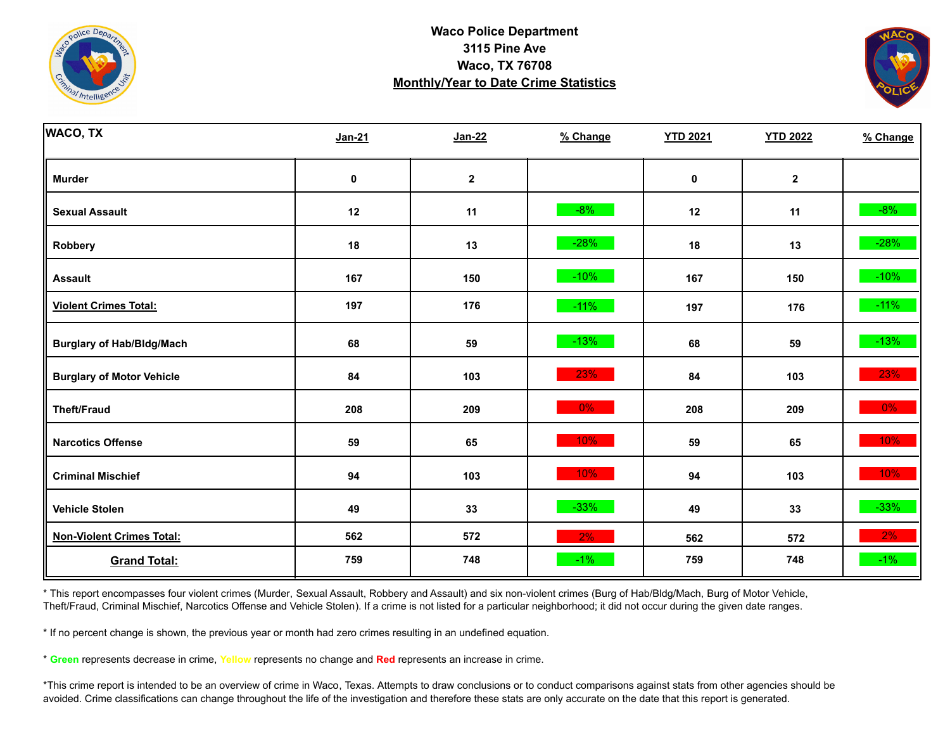



| <b>WACO, TX</b>                  | <b>Jan-21</b> | <b>Jan-22</b>    | % Change | <b>YTD 2021</b> | <b>YTD 2022</b>         | % Change |
|----------------------------------|---------------|------------------|----------|-----------------|-------------------------|----------|
| <b>Murder</b>                    | $\pmb{0}$     | $\boldsymbol{2}$ |          | $\pmb{0}$       | $\overline{\mathbf{2}}$ |          |
| <b>Sexual Assault</b>            | 12            | 11               | $-8%$    | 12              | 11                      | $-8%$    |
| Robbery                          | 18            | 13               | $-28%$   | 18              | 13                      | $-28%$   |
| <b>Assault</b>                   | 167           | 150              | $-10%$   | 167             | 150                     | $-10%$   |
| <b>Violent Crimes Total:</b>     | 197           | 176              | $-11%$   | 197             | 176                     | $-11%$   |
| <b>Burglary of Hab/Bldg/Mach</b> | 68            | 59               | $-13%$   | 68              | 59                      | $-13%$   |
| <b>Burglary of Motor Vehicle</b> | 84            | 103              | 23%      | 84              | 103                     | 23%      |
| <b>Theft/Fraud</b>               | 208           | 209              | $0\%$    | 208             | 209                     | 0%       |
| <b>Narcotics Offense</b>         | 59            | 65               | 10%      | 59              | 65                      | 10%      |
| <b>Criminal Mischief</b>         | 94            | 103              | 10%      | 94              | 103                     | 10%      |
| <b>Vehicle Stolen</b>            | 49            | 33               | $-33%$   | 49              | 33                      | $-33%$   |
| <b>Non-Violent Crimes Total:</b> | 562           | 572              | 2%       | 562             | 572                     | 2%       |
| <b>Grand Total:</b>              | 759           | 748              | $-1%$    | 759             | 748                     | $-1\%$   |

\* This report encompasses four violent crimes (Murder, Sexual Assault, Robbery and Assault) and six non-violent crimes (Burg of Hab/Bldg/Mach, Burg of Motor Vehicle, Theft/Fraud, Criminal Mischief, Narcotics Offense and Vehicle Stolen). If a crime is not listed for a particular neighborhood; it did not occur during the given date ranges.

\* If no percent change is shown, the previous year or month had zero crimes resulting in an undefined equation.

\* **Green** represents decrease in crime, **Yellow** represents no change and **Red** represents an increase in crime.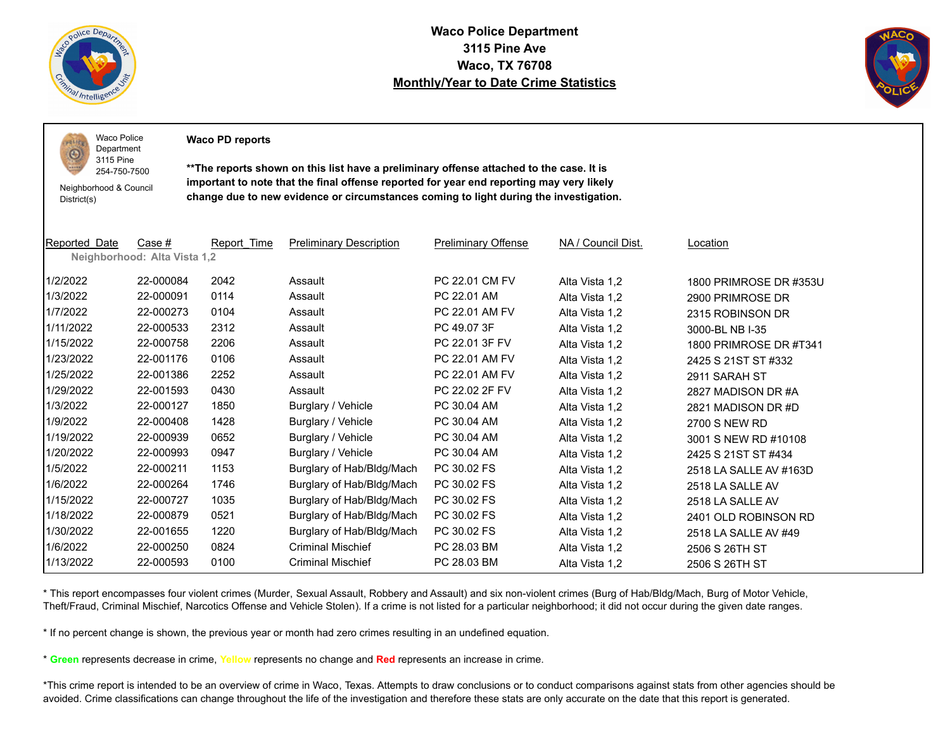

 $1011$ O

**Waco Police Department 3115 Pine Ave Waco, TX 76708 Monthly/Year to Date Crime Statistics**



Waco Police Department

**Waco PD reports**

Neighborhood & Council District(s)

3115 Pine 254-750-7500

**\*\*The reports shown on this list have a preliminary offense attached to the case. It is important to note that the final offense reported for year end reporting may very likely change due to new evidence or circumstances coming to light during the investigation.**

| <b>Reported Date</b> | Case #<br>Neighborhood: Alta Vista 1,2 | Report Time | <b>Preliminary Description</b> | <b>Preliminary Offense</b> | NA / Council Dist. | Location               |
|----------------------|----------------------------------------|-------------|--------------------------------|----------------------------|--------------------|------------------------|
| 1/2/2022             | 22-000084                              | 2042        | Assault                        | PC 22.01 CM FV             | Alta Vista 1,2     | 1800 PRIMROSE DR #353U |
| 1/3/2022             | 22-000091                              | 0114        | Assault                        | PC 22.01 AM                | Alta Vista 1,2     | 2900 PRIMROSE DR       |
| 1/7/2022             | 22-000273                              | 0104        | Assault                        | PC 22.01 AM FV             | Alta Vista 1,2     | 2315 ROBINSON DR       |
| 1/11/2022            | 22-000533                              | 2312        | Assault                        | PC 49.07 3F                | Alta Vista 1,2     | 3000-BL NB I-35        |
| 1/15/2022            | 22-000758                              | 2206        | Assault                        | PC 22.01 3F FV             | Alta Vista 1,2     | 1800 PRIMROSE DR #T341 |
| 1/23/2022            | 22-001176                              | 0106        | Assault                        | PC 22.01 AM FV             | Alta Vista 1,2     | 2425 S 21ST ST #332    |
| 1/25/2022            | 22-001386                              | 2252        | Assault                        | PC 22.01 AM FV             | Alta Vista 1,2     | 2911 SARAH ST          |
| 1/29/2022            | 22-001593                              | 0430        | Assault                        | PC 22.02 2F FV             | Alta Vista 1,2     | 2827 MADISON DR#A      |
| 1/3/2022             | 22-000127                              | 1850        | Burglary / Vehicle             | PC 30.04 AM                | Alta Vista 1,2     | 2821 MADISON DR #D     |
| 1/9/2022             | 22-000408                              | 1428        | Burglary / Vehicle             | PC 30.04 AM                | Alta Vista 1,2     | 2700 S NEW RD          |
| 1/19/2022            | 22-000939                              | 0652        | Burglary / Vehicle             | PC 30.04 AM                | Alta Vista 1,2     | 3001 S NEW RD #10108   |
| 1/20/2022            | 22-000993                              | 0947        | Burglary / Vehicle             | PC 30.04 AM                | Alta Vista 1,2     | 2425 S 21ST ST #434    |
| 1/5/2022             | 22-000211                              | 1153        | Burglary of Hab/Bldg/Mach      | PC 30.02 FS                | Alta Vista 1,2     | 2518 LA SALLE AV #163D |
| 1/6/2022             | 22-000264                              | 1746        | Burglary of Hab/Bldg/Mach      | PC 30.02 FS                | Alta Vista 1,2     | 2518 LA SALLE AV       |
| 1/15/2022            | 22-000727                              | 1035        | Burglary of Hab/Bldg/Mach      | PC 30.02 FS                | Alta Vista 1,2     | 2518 LA SALLE AV       |
| 1/18/2022            | 22-000879                              | 0521        | Burglary of Hab/Bldg/Mach      | PC 30.02 FS                | Alta Vista 1,2     | 2401 OLD ROBINSON RD   |
| 1/30/2022            | 22-001655                              | 1220        | Burglary of Hab/Bldg/Mach      | PC 30.02 FS                | Alta Vista 1,2     | 2518 LA SALLE AV #49   |
| 1/6/2022             | 22-000250                              | 0824        | <b>Criminal Mischief</b>       | PC 28.03 BM                | Alta Vista 1,2     | 2506 S 26TH ST         |
| 1/13/2022            | 22-000593                              | 0100        | <b>Criminal Mischief</b>       | PC 28.03 BM                | Alta Vista 1,2     | 2506 S 26TH ST         |

\* This report encompasses four violent crimes (Murder, Sexual Assault, Robbery and Assault) and six non-violent crimes (Burg of Hab/Bldg/Mach, Burg of Motor Vehicle, Theft/Fraud, Criminal Mischief, Narcotics Offense and Vehicle Stolen). If a crime is not listed for a particular neighborhood; it did not occur during the given date ranges.

\* If no percent change is shown, the previous year or month had zero crimes resulting in an undefined equation.

\* **Green** represents decrease in crime, **Yellow** represents no change and **Red** represents an increase in crime.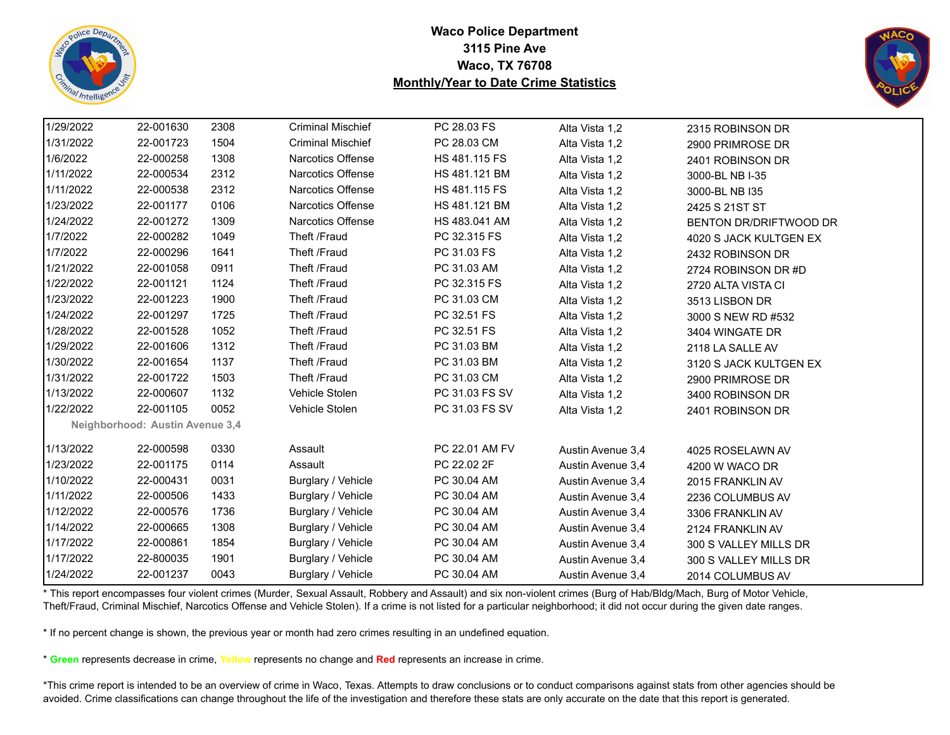



| 1/29/2022 | 22-001630                       | 2308 | <b>Criminal Mischief</b> | PC 28.03 FS    | Alta Vista 1,2    | 2315 ROBINSON DR       |
|-----------|---------------------------------|------|--------------------------|----------------|-------------------|------------------------|
| 1/31/2022 | 22-001723                       | 1504 | <b>Criminal Mischief</b> | PC 28.03 CM    | Alta Vista 1,2    | 2900 PRIMROSE DR       |
| 1/6/2022  | 22-000258                       | 1308 | <b>Narcotics Offense</b> | HS 481.115 FS  | Alta Vista 1,2    | 2401 ROBINSON DR       |
| 1/11/2022 | 22-000534                       | 2312 | <b>Narcotics Offense</b> | HS 481.121 BM  | Alta Vista 1,2    | 3000-BL NB I-35        |
| 1/11/2022 | 22-000538                       | 2312 | Narcotics Offense        | HS 481.115 FS  | Alta Vista 1,2    | 3000-BL NB I35         |
| 1/23/2022 | 22-001177                       | 0106 | <b>Narcotics Offense</b> | HS 481.121 BM  | Alta Vista 1,2    | 2425 S 21ST ST         |
| 1/24/2022 | 22-001272                       | 1309 | <b>Narcotics Offense</b> | HS 483.041 AM  | Alta Vista 1,2    | BENTON DR/DRIFTWOOD DR |
| 1/7/2022  | 22-000282                       | 1049 | Theft /Fraud             | PC 32.315 FS   | Alta Vista 1,2    | 4020 S JACK KULTGEN EX |
| 1/7/2022  | 22-000296                       | 1641 | Theft /Fraud             | PC 31.03 FS    | Alta Vista 1,2    | 2432 ROBINSON DR       |
| 1/21/2022 | 22-001058                       | 0911 | Theft /Fraud             | PC 31.03 AM    | Alta Vista 1,2    | 2724 ROBINSON DR #D    |
| 1/22/2022 | 22-001121                       | 1124 | Theft /Fraud             | PC 32.315 FS   | Alta Vista 1,2    | 2720 ALTA VISTA CI     |
| 1/23/2022 | 22-001223                       | 1900 | Theft /Fraud             | PC 31.03 CM    | Alta Vista 1,2    | 3513 LISBON DR         |
| 1/24/2022 | 22-001297                       | 1725 | Theft /Fraud             | PC 32.51 FS    | Alta Vista 1,2    | 3000 S NEW RD #532     |
| 1/28/2022 | 22-001528                       | 1052 | Theft /Fraud             | PC 32.51 FS    | Alta Vista 1,2    | 3404 WINGATE DR        |
| 1/29/2022 | 22-001606                       | 1312 | Theft /Fraud             | PC 31.03 BM    | Alta Vista 1,2    | 2118 LA SALLE AV       |
| 1/30/2022 | 22-001654                       | 1137 | Theft /Fraud             | PC 31.03 BM    | Alta Vista 1,2    | 3120 S JACK KULTGEN EX |
| 1/31/2022 | 22-001722                       | 1503 | Theft /Fraud             | PC 31.03 CM    | Alta Vista 1,2    | 2900 PRIMROSE DR       |
| 1/13/2022 | 22-000607                       | 1132 | Vehicle Stolen           | PC 31.03 FS SV | Alta Vista 1,2    | 3400 ROBINSON DR       |
| 1/22/2022 | 22-001105                       | 0052 | Vehicle Stolen           | PC 31.03 FS SV | Alta Vista 1,2    | 2401 ROBINSON DR       |
|           | Neighborhood: Austin Avenue 3,4 |      |                          |                |                   |                        |
| 1/13/2022 | 22-000598                       | 0330 | Assault                  | PC 22.01 AM FV | Austin Avenue 3,4 | 4025 ROSELAWN AV       |
| 1/23/2022 | 22-001175                       | 0114 | Assault                  | PC 22.02 2F    | Austin Avenue 3,4 | 4200 W WACO DR         |
| 1/10/2022 | 22-000431                       | 0031 | Burglary / Vehicle       | PC 30.04 AM    | Austin Avenue 3,4 | 2015 FRANKLIN AV       |
| 1/11/2022 | 22-000506                       | 1433 | Burglary / Vehicle       | PC 30.04 AM    | Austin Avenue 3,4 | 2236 COLUMBUS AV       |
| 1/12/2022 | 22-000576                       | 1736 | Burglary / Vehicle       | PC 30.04 AM    | Austin Avenue 3,4 | 3306 FRANKLIN AV       |
| 1/14/2022 | 22-000665                       | 1308 | Burglary / Vehicle       | PC 30.04 AM    | Austin Avenue 3,4 | 2124 FRANKLIN AV       |
| 1/17/2022 | 22-000861                       | 1854 | Burglary / Vehicle       | PC 30.04 AM    | Austin Avenue 3,4 | 300 S VALLEY MILLS DR  |
| 1/17/2022 | 22-800035                       | 1901 | Burglary / Vehicle       | PC 30.04 AM    | Austin Avenue 3,4 | 300 S VALLEY MILLS DR  |
| 1/24/2022 | 22-001237                       | 0043 | Burglary / Vehicle       | PC 30.04 AM    | Austin Avenue 3,4 | 2014 COLUMBUS AV       |

\* This report encompasses four violent crimes (Murder, Sexual Assault, Robbery and Assault) and six non-violent crimes (Burg of Hab/Bldg/Mach, Burg of Motor Vehicle, Theft/Fraud, Criminal Mischief, Narcotics Offense and Vehicle Stolen). If a crime is not listed for a particular neighborhood; it did not occur during the given date ranges.

\* If no percent change is shown, the previous year or month had zero crimes resulting in an undefined equation.

\* **Green** represents decrease in crime, **Yellow** represents no change and **Red** represents an increase in crime.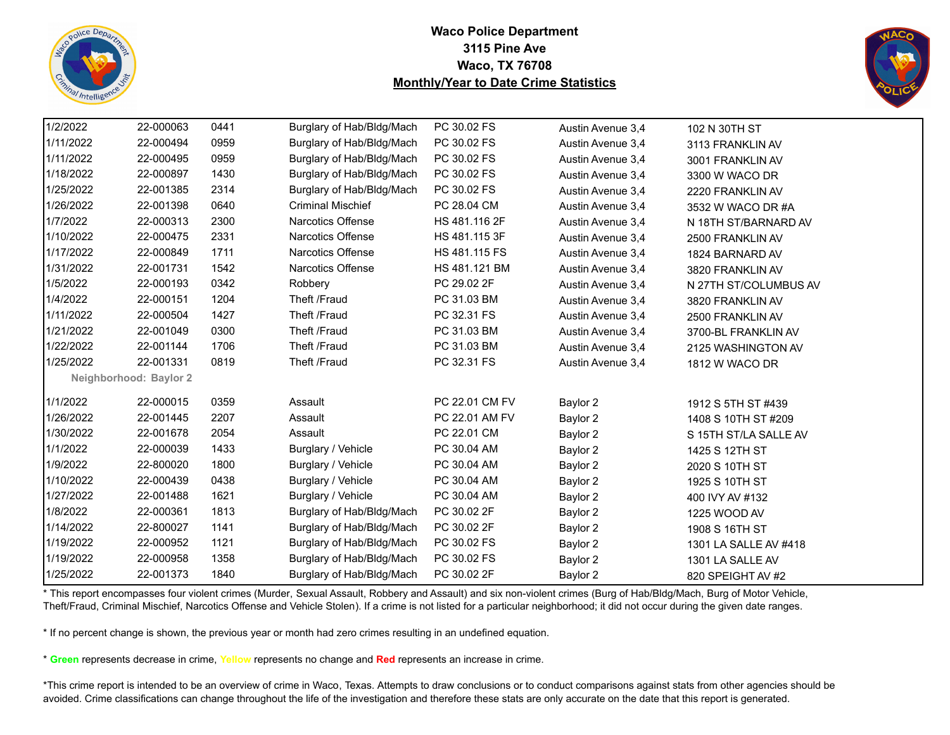



| 1/2/2022  | 22-000063              | 0441 | Burglary of Hab/Bldg/Mach | PC 30.02 FS    | Austin Avenue 3,4 | 102 N 30TH ST         |  |
|-----------|------------------------|------|---------------------------|----------------|-------------------|-----------------------|--|
| 1/11/2022 | 22-000494              | 0959 | Burglary of Hab/Bldg/Mach | PC 30.02 FS    | Austin Avenue 3,4 | 3113 FRANKLIN AV      |  |
| 1/11/2022 | 22-000495              | 0959 | Burglary of Hab/Bldg/Mach | PC 30.02 FS    | Austin Avenue 3,4 | 3001 FRANKLIN AV      |  |
| 1/18/2022 | 22-000897              | 1430 | Burglary of Hab/Bldg/Mach | PC 30.02 FS    | Austin Avenue 3,4 | 3300 W WACO DR        |  |
| 1/25/2022 | 22-001385              | 2314 | Burglary of Hab/Bldg/Mach | PC 30.02 FS    | Austin Avenue 3,4 | 2220 FRANKLIN AV      |  |
| 1/26/2022 | 22-001398              | 0640 | <b>Criminal Mischief</b>  | PC 28.04 CM    | Austin Avenue 3,4 | 3532 W WACO DR #A     |  |
| 1/7/2022  | 22-000313              | 2300 | Narcotics Offense         | HS 481.116 2F  | Austin Avenue 3,4 | N 18TH ST/BARNARD AV  |  |
| 1/10/2022 | 22-000475              | 2331 | <b>Narcotics Offense</b>  | HS 481.115 3F  | Austin Avenue 3,4 | 2500 FRANKLIN AV      |  |
| 1/17/2022 | 22-000849              | 1711 | Narcotics Offense         | HS 481.115 FS  | Austin Avenue 3,4 | 1824 BARNARD AV       |  |
| 1/31/2022 | 22-001731              | 1542 | Narcotics Offense         | HS 481.121 BM  | Austin Avenue 3,4 | 3820 FRANKLIN AV      |  |
| 1/5/2022  | 22-000193              | 0342 | Robbery                   | PC 29.02 2F    | Austin Avenue 3,4 | N 27TH ST/COLUMBUS AV |  |
| 1/4/2022  | 22-000151              | 1204 | Theft /Fraud              | PC 31.03 BM    | Austin Avenue 3,4 | 3820 FRANKLIN AV      |  |
| 1/11/2022 | 22-000504              | 1427 | Theft /Fraud              | PC 32.31 FS    | Austin Avenue 3,4 | 2500 FRANKLIN AV      |  |
| 1/21/2022 | 22-001049              | 0300 | Theft /Fraud              | PC 31.03 BM    | Austin Avenue 3,4 | 3700-BL FRANKLIN AV   |  |
| 1/22/2022 | 22-001144              | 1706 | Theft /Fraud              | PC 31.03 BM    | Austin Avenue 3,4 | 2125 WASHINGTON AV    |  |
| 1/25/2022 | 22-001331              | 0819 | Theft /Fraud              | PC 32.31 FS    | Austin Avenue 3,4 | 1812 W WACO DR        |  |
|           | Neighborhood: Baylor 2 |      |                           |                |                   |                       |  |
| 1/1/2022  | 22-000015              | 0359 | Assault                   | PC 22.01 CM FV | Baylor 2          | 1912 S 5TH ST #439    |  |
| 1/26/2022 | 22-001445              | 2207 | Assault                   | PC 22.01 AM FV | Baylor 2          | 1408 S 10TH ST #209   |  |
| 1/30/2022 | 22-001678              | 2054 | Assault                   | PC 22.01 CM    | Baylor 2          | S 15TH ST/LA SALLE AV |  |
| 1/1/2022  | 22-000039              | 1433 | Burglary / Vehicle        | PC 30.04 AM    | Baylor 2          | 1425 S 12TH ST        |  |
| 1/9/2022  | 22-800020              | 1800 | Burglary / Vehicle        | PC 30.04 AM    | Baylor 2          | 2020 S 10TH ST        |  |
| 1/10/2022 | 22-000439              | 0438 | Burglary / Vehicle        | PC 30.04 AM    | Baylor 2          | 1925 S 10TH ST        |  |
| 1/27/2022 | 22-001488              | 1621 | Burglary / Vehicle        | PC 30.04 AM    | Baylor 2          | 400 IVY AV #132       |  |
| 1/8/2022  | 22-000361              | 1813 | Burglary of Hab/Bldg/Mach | PC 30.02 2F    | Baylor 2          | 1225 WOOD AV          |  |
| 1/14/2022 | 22-800027              | 1141 | Burglary of Hab/Bldg/Mach | PC 30.02 2F    | Baylor 2          | 1908 S 16TH ST        |  |
| 1/19/2022 | 22-000952              | 1121 | Burglary of Hab/Bldg/Mach | PC 30.02 FS    | Baylor 2          | 1301 LA SALLE AV #418 |  |
| 1/19/2022 | 22-000958              | 1358 | Burglary of Hab/Bldg/Mach | PC 30.02 FS    | Baylor 2          | 1301 LA SALLE AV      |  |
| 1/25/2022 | 22-001373              | 1840 | Burglary of Hab/Bldg/Mach | PC 30.02 2F    | Baylor 2          | 820 SPEIGHT AV #2     |  |

\* This report encompasses four violent crimes (Murder, Sexual Assault, Robbery and Assault) and six non-violent crimes (Burg of Hab/Bldg/Mach, Burg of Motor Vehicle, Theft/Fraud, Criminal Mischief, Narcotics Offense and Vehicle Stolen). If a crime is not listed for a particular neighborhood; it did not occur during the given date ranges.

\* If no percent change is shown, the previous year or month had zero crimes resulting in an undefined equation.

\* **Green** represents decrease in crime, **Yellow** represents no change and **Red** represents an increase in crime.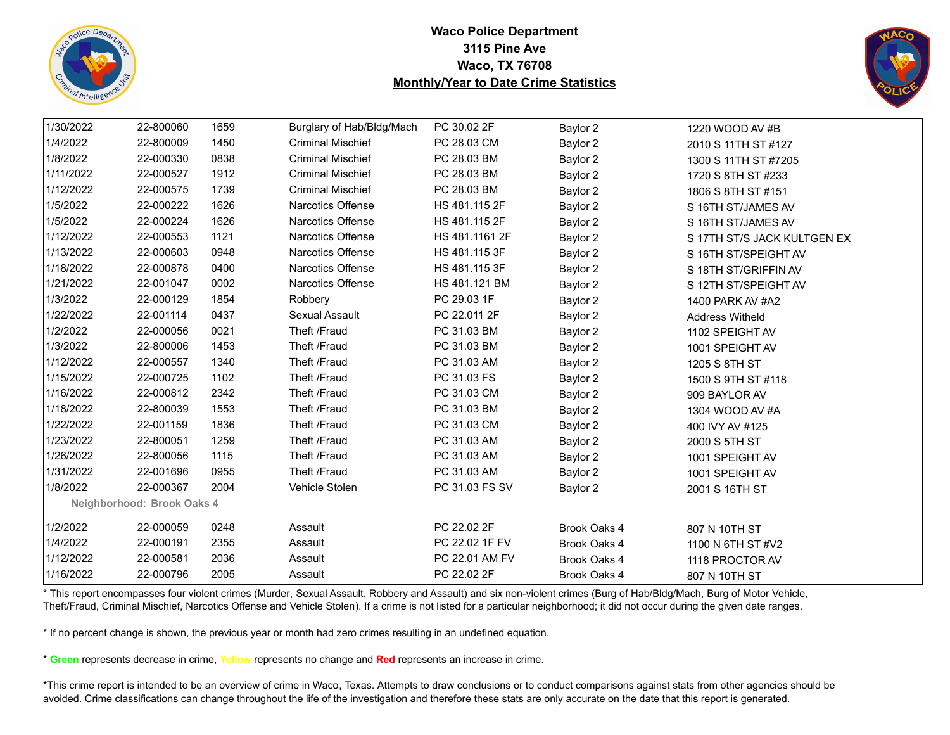



| 1/30/2022 | 22-800060                  | 1659 | Burglary of Hab/Bldg/Mach | PC 30.02 2F    | Baylor 2     | 1220 WOOD AV #B             |
|-----------|----------------------------|------|---------------------------|----------------|--------------|-----------------------------|
| 1/4/2022  | 22-800009                  | 1450 | <b>Criminal Mischief</b>  | PC 28.03 CM    | Baylor 2     | 2010 S 11TH ST #127         |
| 1/8/2022  | 22-000330                  | 0838 | <b>Criminal Mischief</b>  | PC 28.03 BM    | Baylor 2     | 1300 S 11TH ST #7205        |
| 1/11/2022 | 22-000527                  | 1912 | <b>Criminal Mischief</b>  | PC 28.03 BM    | Baylor 2     | 1720 S 8TH ST #233          |
| 1/12/2022 | 22-000575                  | 1739 | <b>Criminal Mischief</b>  | PC 28.03 BM    | Baylor 2     | 1806 S 8TH ST #151          |
| 1/5/2022  | 22-000222                  | 1626 | Narcotics Offense         | HS 481.115 2F  | Baylor 2     | S 16TH ST/JAMES AV          |
| 1/5/2022  | 22-000224                  | 1626 | Narcotics Offense         | HS 481.115 2F  | Baylor 2     | S 16TH ST/JAMES AV          |
| 1/12/2022 | 22-000553                  | 1121 | <b>Narcotics Offense</b>  | HS 481.1161 2F | Baylor 2     | S 17TH ST/S JACK KULTGEN EX |
| 1/13/2022 | 22-000603                  | 0948 | <b>Narcotics Offense</b>  | HS 481.115 3F  | Baylor 2     | S 16TH ST/SPEIGHT AV        |
| 1/18/2022 | 22-000878                  | 0400 | Narcotics Offense         | HS 481.115 3F  | Baylor 2     | S 18TH ST/GRIFFIN AV        |
| 1/21/2022 | 22-001047                  | 0002 | Narcotics Offense         | HS 481.121 BM  | Baylor 2     | S 12TH ST/SPEIGHT AV        |
| 1/3/2022  | 22-000129                  | 1854 | Robbery                   | PC 29.03 1F    | Baylor 2     | 1400 PARK AV #A2            |
| 1/22/2022 | 22-001114                  | 0437 | Sexual Assault            | PC 22.011 2F   | Baylor 2     | <b>Address Witheld</b>      |
| 1/2/2022  | 22-000056                  | 0021 | Theft /Fraud              | PC 31.03 BM    | Baylor 2     | 1102 SPEIGHT AV             |
| 1/3/2022  | 22-800006                  | 1453 | Theft /Fraud              | PC 31.03 BM    | Baylor 2     | 1001 SPEIGHT AV             |
| 1/12/2022 | 22-000557                  | 1340 | Theft /Fraud              | PC 31.03 AM    | Baylor 2     | 1205 S 8TH ST               |
| 1/15/2022 | 22-000725                  | 1102 | Theft /Fraud              | PC 31.03 FS    | Baylor 2     | 1500 S 9TH ST #118          |
| 1/16/2022 | 22-000812                  | 2342 | Theft /Fraud              | PC 31.03 CM    | Baylor 2     | 909 BAYLOR AV               |
| 1/18/2022 | 22-800039                  | 1553 | Theft /Fraud              | PC 31.03 BM    | Baylor 2     | 1304 WOOD AV #A             |
| 1/22/2022 | 22-001159                  | 1836 | Theft /Fraud              | PC 31.03 CM    | Baylor 2     | 400 IVY AV #125             |
| 1/23/2022 | 22-800051                  | 1259 | Theft /Fraud              | PC 31.03 AM    | Baylor 2     | 2000 S 5TH ST               |
| 1/26/2022 | 22-800056                  | 1115 | Theft /Fraud              | PC 31.03 AM    | Baylor 2     | 1001 SPEIGHT AV             |
| 1/31/2022 | 22-001696                  | 0955 | Theft /Fraud              | PC 31.03 AM    | Baylor 2     | 1001 SPEIGHT AV             |
| 1/8/2022  | 22-000367                  | 2004 | Vehicle Stolen            | PC 31.03 FS SV | Baylor 2     | 2001 S 16TH ST              |
|           | Neighborhood: Brook Oaks 4 |      |                           |                |              |                             |
| 1/2/2022  | 22-000059                  | 0248 | Assault                   | PC 22.02 2F    | Brook Oaks 4 | 807 N 10TH ST               |
| 1/4/2022  | 22-000191                  | 2355 | Assault                   | PC 22.02 1F FV | Brook Oaks 4 | 1100 N 6TH ST #V2           |
| 1/12/2022 | 22-000581                  | 2036 | Assault                   | PC 22.01 AM FV | Brook Oaks 4 | 1118 PROCTOR AV             |
| 1/16/2022 | 22-000796                  | 2005 | Assault                   | PC 22.02 2F    | Brook Oaks 4 | 807 N 10TH ST               |

\* This report encompasses four violent crimes (Murder, Sexual Assault, Robbery and Assault) and six non-violent crimes (Burg of Hab/Bldg/Mach, Burg of Motor Vehicle, Theft/Fraud, Criminal Mischief, Narcotics Offense and Vehicle Stolen). If a crime is not listed for a particular neighborhood; it did not occur during the given date ranges.

\* If no percent change is shown, the previous year or month had zero crimes resulting in an undefined equation.

\* **Green** represents decrease in crime, **Yellow** represents no change and **Red** represents an increase in crime.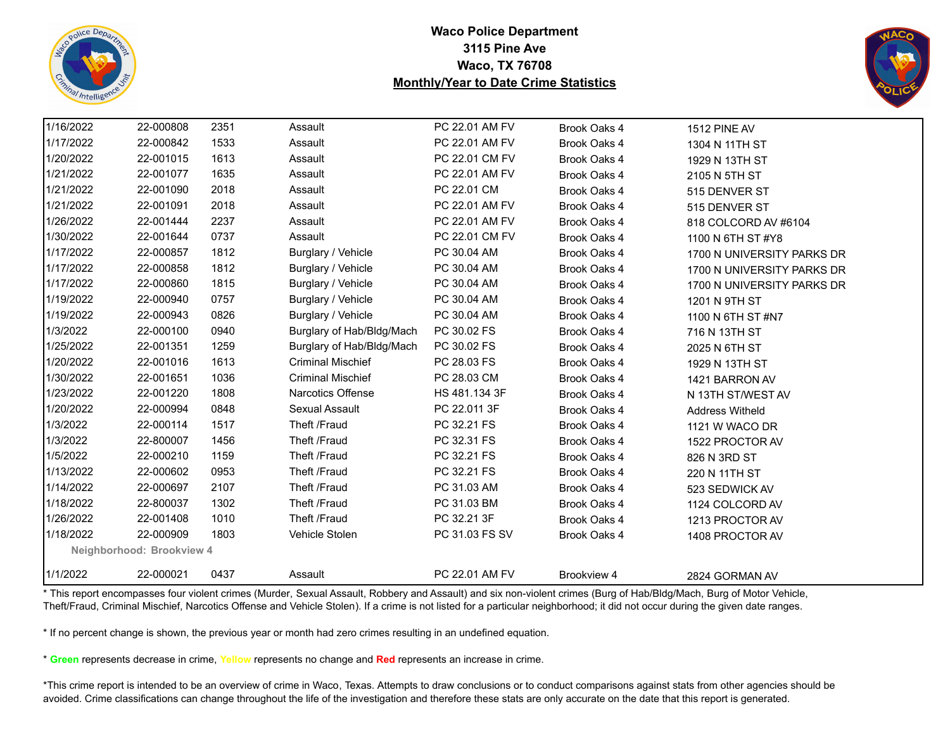



| 1/16/2022 | 22-000808                 | 2351 | Assault                   | PC 22.01 AM FV | Brook Oaks 4 | 1512 PINE AV               |
|-----------|---------------------------|------|---------------------------|----------------|--------------|----------------------------|
| 1/17/2022 | 22-000842                 | 1533 | Assault                   | PC 22.01 AM FV | Brook Oaks 4 | 1304 N 11TH ST             |
| 1/20/2022 | 22-001015                 | 1613 | Assault                   | PC 22.01 CM FV | Brook Oaks 4 | 1929 N 13TH ST             |
| 1/21/2022 | 22-001077                 | 1635 | Assault                   | PC 22.01 AM FV | Brook Oaks 4 | 2105 N 5TH ST              |
| 1/21/2022 | 22-001090                 | 2018 | Assault                   | PC 22.01 CM    | Brook Oaks 4 | 515 DENVER ST              |
| 1/21/2022 | 22-001091                 | 2018 | Assault                   | PC 22.01 AM FV | Brook Oaks 4 | 515 DENVER ST              |
| 1/26/2022 | 22-001444                 | 2237 | Assault                   | PC 22.01 AM FV | Brook Oaks 4 | 818 COLCORD AV #6104       |
| 1/30/2022 | 22-001644                 | 0737 | Assault                   | PC 22.01 CM FV | Brook Oaks 4 | 1100 N 6TH ST #Y8          |
| 1/17/2022 | 22-000857                 | 1812 | Burglary / Vehicle        | PC 30.04 AM    | Brook Oaks 4 | 1700 N UNIVERSITY PARKS DR |
| 1/17/2022 | 22-000858                 | 1812 | Burglary / Vehicle        | PC 30.04 AM    | Brook Oaks 4 | 1700 N UNIVERSITY PARKS DR |
| 1/17/2022 | 22-000860                 | 1815 | Burglary / Vehicle        | PC 30.04 AM    | Brook Oaks 4 | 1700 N UNIVERSITY PARKS DR |
| 1/19/2022 | 22-000940                 | 0757 | Burglary / Vehicle        | PC 30.04 AM    | Brook Oaks 4 | 1201 N 9TH ST              |
| 1/19/2022 | 22-000943                 | 0826 | Burglary / Vehicle        | PC 30.04 AM    | Brook Oaks 4 | 1100 N 6TH ST #N7          |
| 1/3/2022  | 22-000100                 | 0940 | Burglary of Hab/Bldg/Mach | PC 30.02 FS    | Brook Oaks 4 | 716 N 13TH ST              |
| 1/25/2022 | 22-001351                 | 1259 | Burglary of Hab/Bldg/Mach | PC 30.02 FS    | Brook Oaks 4 | 2025 N 6TH ST              |
| 1/20/2022 | 22-001016                 | 1613 | <b>Criminal Mischief</b>  | PC 28.03 FS    | Brook Oaks 4 | 1929 N 13TH ST             |
| 1/30/2022 | 22-001651                 | 1036 | <b>Criminal Mischief</b>  | PC 28.03 CM    | Brook Oaks 4 | 1421 BARRON AV             |
| 1/23/2022 | 22-001220                 | 1808 | Narcotics Offense         | HS 481.134 3F  | Brook Oaks 4 | N 13TH ST/WEST AV          |
| 1/20/2022 | 22-000994                 | 0848 | Sexual Assault            | PC 22.011 3F   | Brook Oaks 4 | <b>Address Witheld</b>     |
| 1/3/2022  | 22-000114                 | 1517 | Theft /Fraud              | PC 32.21 FS    | Brook Oaks 4 | 1121 W WACO DR             |
| 1/3/2022  | 22-800007                 | 1456 | Theft /Fraud              | PC 32.31 FS    | Brook Oaks 4 | 1522 PROCTOR AV            |
| 1/5/2022  | 22-000210                 | 1159 | Theft /Fraud              | PC 32.21 FS    | Brook Oaks 4 | 826 N 3RD ST               |
| 1/13/2022 | 22-000602                 | 0953 | Theft /Fraud              | PC 32.21 FS    | Brook Oaks 4 | 220 N 11TH ST              |
| 1/14/2022 | 22-000697                 | 2107 | Theft /Fraud              | PC 31.03 AM    | Brook Oaks 4 | 523 SEDWICK AV             |
| 1/18/2022 | 22-800037                 | 1302 | Theft /Fraud              | PC 31.03 BM    | Brook Oaks 4 | 1124 COLCORD AV            |
| 1/26/2022 | 22-001408                 | 1010 | Theft /Fraud              | PC 32.21 3F    | Brook Oaks 4 | 1213 PROCTOR AV            |
| 1/18/2022 | 22-000909                 | 1803 | Vehicle Stolen            | PC 31.03 FS SV | Brook Oaks 4 | 1408 PROCTOR AV            |
|           | Neighborhood: Brookview 4 |      |                           |                |              |                            |
| 1/1/2022  | 22-000021                 | 0437 | Assault                   | PC 22.01 AM FV | Brookview 4  | 2824 GORMAN AV             |

\* This report encompasses four violent crimes (Murder, Sexual Assault, Robbery and Assault) and six non-violent crimes (Burg of Hab/Bldg/Mach, Burg of Motor Vehicle, Theft/Fraud, Criminal Mischief, Narcotics Offense and Vehicle Stolen). If a crime is not listed for a particular neighborhood; it did not occur during the given date ranges.

\* If no percent change is shown, the previous year or month had zero crimes resulting in an undefined equation.

\* **Green** represents decrease in crime, **Yellow** represents no change and **Red** represents an increase in crime.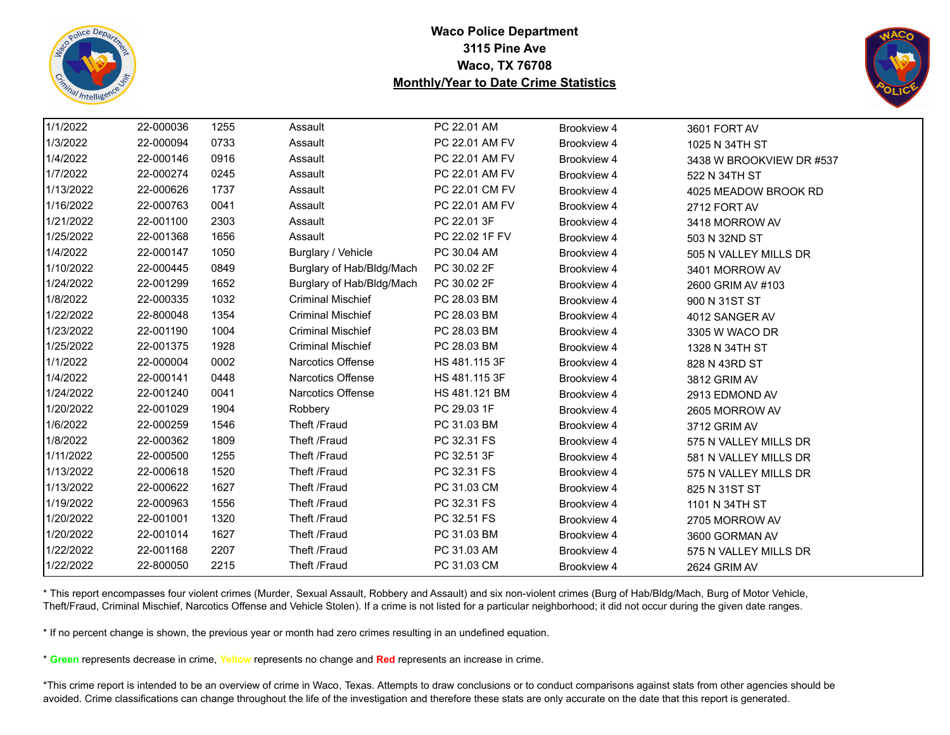



| 1/1/2022  | 22-000036 | 1255 | Assault                   | PC 22.01 AM    | Brookview 4 | 3601 FORT AV             |
|-----------|-----------|------|---------------------------|----------------|-------------|--------------------------|
| 1/3/2022  | 22-000094 | 0733 | Assault                   | PC 22.01 AM FV | Brookview 4 | 1025 N 34TH ST           |
| 1/4/2022  | 22-000146 | 0916 | Assault                   | PC 22.01 AM FV | Brookview 4 | 3438 W BROOKVIEW DR #537 |
| 1/7/2022  | 22-000274 | 0245 | Assault                   | PC 22.01 AM FV | Brookview 4 | 522 N 34TH ST            |
| 1/13/2022 | 22-000626 | 1737 | Assault                   | PC 22.01 CM FV | Brookview 4 | 4025 MEADOW BROOK RD     |
| 1/16/2022 | 22-000763 | 0041 | Assault                   | PC 22.01 AM FV | Brookview 4 | 2712 FORT AV             |
| 1/21/2022 | 22-001100 | 2303 | Assault                   | PC 22.01 3F    | Brookview 4 | 3418 MORROW AV           |
| 1/25/2022 | 22-001368 | 1656 | Assault                   | PC 22.02 1F FV | Brookview 4 | 503 N 32ND ST            |
| 1/4/2022  | 22-000147 | 1050 | Burglary / Vehicle        | PC 30.04 AM    | Brookview 4 | 505 N VALLEY MILLS DR    |
| 1/10/2022 | 22-000445 | 0849 | Burglary of Hab/Bldg/Mach | PC 30.02 2F    | Brookview 4 | 3401 MORROW AV           |
| 1/24/2022 | 22-001299 | 1652 | Burglary of Hab/Bldg/Mach | PC 30.02 2F    | Brookview 4 | 2600 GRIM AV #103        |
| 1/8/2022  | 22-000335 | 1032 | <b>Criminal Mischief</b>  | PC 28.03 BM    | Brookview 4 | 900 N 31ST ST            |
| 1/22/2022 | 22-800048 | 1354 | <b>Criminal Mischief</b>  | PC 28.03 BM    | Brookview 4 | 4012 SANGER AV           |
| 1/23/2022 | 22-001190 | 1004 | <b>Criminal Mischief</b>  | PC 28.03 BM    | Brookview 4 | 3305 W WACO DR           |
| 1/25/2022 | 22-001375 | 1928 | <b>Criminal Mischief</b>  | PC 28.03 BM    | Brookview 4 | 1328 N 34TH ST           |
| 1/1/2022  | 22-000004 | 0002 | <b>Narcotics Offense</b>  | HS 481.115 3F  | Brookview 4 | 828 N 43RD ST            |
| 1/4/2022  | 22-000141 | 0448 | <b>Narcotics Offense</b>  | HS 481.115 3F  | Brookview 4 | 3812 GRIM AV             |
| 1/24/2022 | 22-001240 | 0041 | Narcotics Offense         | HS 481.121 BM  | Brookview 4 | 2913 EDMOND AV           |
| 1/20/2022 | 22-001029 | 1904 | Robbery                   | PC 29.03 1F    | Brookview 4 | 2605 MORROW AV           |
| 1/6/2022  | 22-000259 | 1546 | Theft /Fraud              | PC 31.03 BM    | Brookview 4 | 3712 GRIM AV             |
| 1/8/2022  | 22-000362 | 1809 | Theft /Fraud              | PC 32.31 FS    | Brookview 4 | 575 N VALLEY MILLS DR    |
| 1/11/2022 | 22-000500 | 1255 | Theft /Fraud              | PC 32.51 3F    | Brookview 4 | 581 N VALLEY MILLS DR    |
| 1/13/2022 | 22-000618 | 1520 | Theft /Fraud              | PC 32.31 FS    | Brookview 4 | 575 N VALLEY MILLS DR    |
| 1/13/2022 | 22-000622 | 1627 | Theft /Fraud              | PC 31.03 CM    | Brookview 4 | 825 N 31ST ST            |
| 1/19/2022 | 22-000963 | 1556 | Theft /Fraud              | PC 32.31 FS    | Brookview 4 | 1101 N 34TH ST           |
| 1/20/2022 | 22-001001 | 1320 | Theft /Fraud              | PC 32.51 FS    | Brookview 4 | 2705 MORROW AV           |
| 1/20/2022 | 22-001014 | 1627 | Theft /Fraud              | PC 31.03 BM    | Brookview 4 | 3600 GORMAN AV           |
| 1/22/2022 | 22-001168 | 2207 | Theft /Fraud              | PC 31.03 AM    | Brookview 4 | 575 N VALLEY MILLS DR    |
| 1/22/2022 | 22-800050 | 2215 | Theft /Fraud              | PC 31.03 CM    | Brookview 4 | 2624 GRIM AV             |

\* This report encompasses four violent crimes (Murder, Sexual Assault, Robbery and Assault) and six non-violent crimes (Burg of Hab/Bldg/Mach, Burg of Motor Vehicle, Theft/Fraud, Criminal Mischief, Narcotics Offense and Vehicle Stolen). If a crime is not listed for a particular neighborhood; it did not occur during the given date ranges.

\* If no percent change is shown, the previous year or month had zero crimes resulting in an undefined equation.

\* **Green** represents decrease in crime, **Yellow** represents no change and **Red** represents an increase in crime.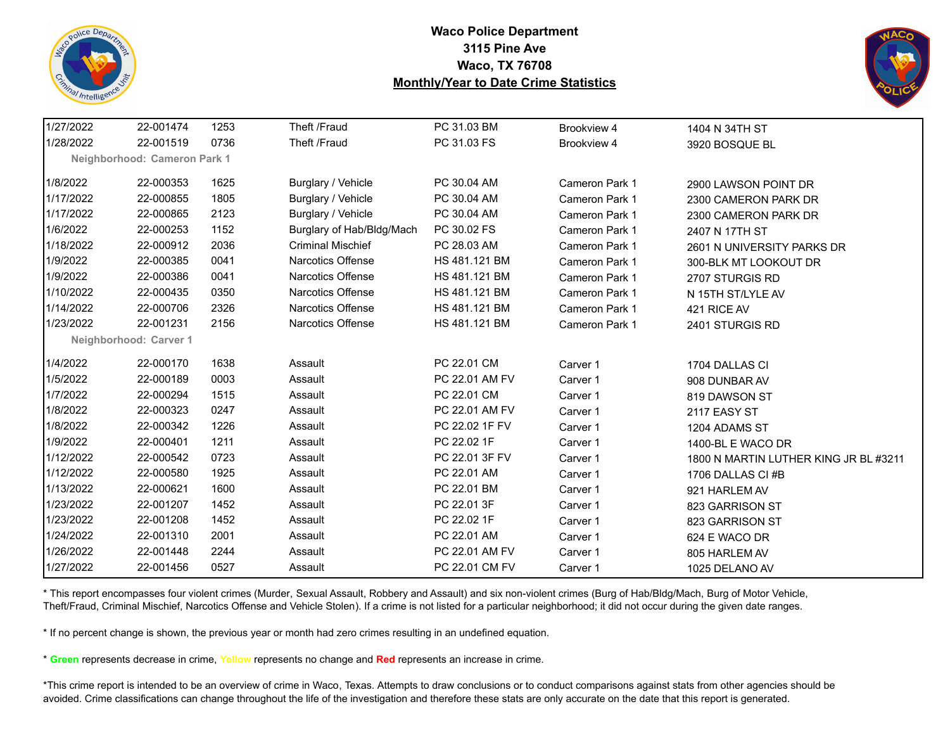



| 1/27/2022 | 22-001474                    | 1253 | Theft /Fraud              | PC 31.03 BM    | Brookview 4           | 1404 N 34TH ST                        |
|-----------|------------------------------|------|---------------------------|----------------|-----------------------|---------------------------------------|
| 1/28/2022 | 22-001519                    | 0736 | Theft /Fraud              | PC 31.03 FS    | Brookview 4           | 3920 BOSQUE BL                        |
|           | Neighborhood: Cameron Park 1 |      |                           |                |                       |                                       |
| 1/8/2022  | 22-000353                    | 1625 | Burglary / Vehicle        | PC 30.04 AM    | <b>Cameron Park 1</b> | 2900 LAWSON POINT DR                  |
| 1/17/2022 | 22-000855                    | 1805 | Burglary / Vehicle        | PC 30.04 AM    | Cameron Park 1        | 2300 CAMERON PARK DR                  |
| 1/17/2022 | 22-000865                    | 2123 | Burglary / Vehicle        | PC 30.04 AM    | Cameron Park 1        | 2300 CAMERON PARK DR                  |
| 1/6/2022  | 22-000253                    | 1152 | Burglary of Hab/Bldg/Mach | PC 30.02 FS    | <b>Cameron Park 1</b> | 2407 N 17TH ST                        |
| 1/18/2022 | 22-000912                    | 2036 | <b>Criminal Mischief</b>  | PC 28.03 AM    | Cameron Park 1        | 2601 N UNIVERSITY PARKS DR            |
| 1/9/2022  | 22-000385                    | 0041 | <b>Narcotics Offense</b>  | HS 481.121 BM  | Cameron Park 1        | 300-BLK MT LOOKOUT DR                 |
| 1/9/2022  | 22-000386                    | 0041 | <b>Narcotics Offense</b>  | HS 481.121 BM  | Cameron Park 1        | 2707 STURGIS RD                       |
| 1/10/2022 | 22-000435                    | 0350 | Narcotics Offense         | HS 481.121 BM  | Cameron Park 1        | N 15TH ST/LYLE AV                     |
| 1/14/2022 | 22-000706                    | 2326 | <b>Narcotics Offense</b>  | HS 481.121 BM  | Cameron Park 1        | 421 RICE AV                           |
| 1/23/2022 | 22-001231                    | 2156 | <b>Narcotics Offense</b>  | HS 481.121 BM  | <b>Cameron Park 1</b> | 2401 STURGIS RD                       |
|           | Neighborhood: Carver 1       |      |                           |                |                       |                                       |
| 1/4/2022  | 22-000170                    | 1638 | Assault                   | PC 22.01 CM    | Carver 1              | 1704 DALLAS CI                        |
| 1/5/2022  | 22-000189                    | 0003 | Assault                   | PC 22.01 AM FV | Carver 1              | 908 DUNBAR AV                         |
| 1/7/2022  | 22-000294                    | 1515 | Assault                   | PC 22.01 CM    | Carver 1              | 819 DAWSON ST                         |
| 1/8/2022  | 22-000323                    | 0247 | Assault                   | PC 22.01 AM FV | Carver 1              | 2117 EASY ST                          |
| 1/8/2022  | 22-000342                    | 1226 | Assault                   | PC 22.02 1F FV | Carver 1              | 1204 ADAMS ST                         |
| 1/9/2022  | 22-000401                    | 1211 | Assault                   | PC 22.02 1F    | Carver 1              | 1400-BL E WACO DR                     |
| 1/12/2022 | 22-000542                    | 0723 | Assault                   | PC 22.01 3F FV | Carver 1              | 1800 N MARTIN LUTHER KING JR BL #3211 |
| 1/12/2022 | 22-000580                    | 1925 | Assault                   | PC 22.01 AM    | Carver 1              | 1706 DALLAS CI#B                      |
| 1/13/2022 | 22-000621                    | 1600 | Assault                   | PC 22.01 BM    | Carver 1              | 921 HARLEM AV                         |
| 1/23/2022 | 22-001207                    | 1452 | Assault                   | PC 22.01 3F    | Carver 1              | 823 GARRISON ST                       |
| 1/23/2022 | 22-001208                    | 1452 | Assault                   | PC 22.02 1F    | Carver 1              | 823 GARRISON ST                       |
| 1/24/2022 | 22-001310                    | 2001 | Assault                   | PC 22.01 AM    | Carver 1              | 624 E WACO DR                         |
| 1/26/2022 | 22-001448                    | 2244 | Assault                   | PC 22.01 AM FV | Carver 1              | 805 HARLEM AV                         |
| 1/27/2022 | 22-001456                    | 0527 | Assault                   | PC 22.01 CM FV | Carver 1              | 1025 DELANO AV                        |

\* This report encompasses four violent crimes (Murder, Sexual Assault, Robbery and Assault) and six non-violent crimes (Burg of Hab/Bldg/Mach, Burg of Motor Vehicle, Theft/Fraud, Criminal Mischief, Narcotics Offense and Vehicle Stolen). If a crime is not listed for a particular neighborhood; it did not occur during the given date ranges.

\* If no percent change is shown, the previous year or month had zero crimes resulting in an undefined equation.

\* **Green** represents decrease in crime, **Yellow** represents no change and **Red** represents an increase in crime.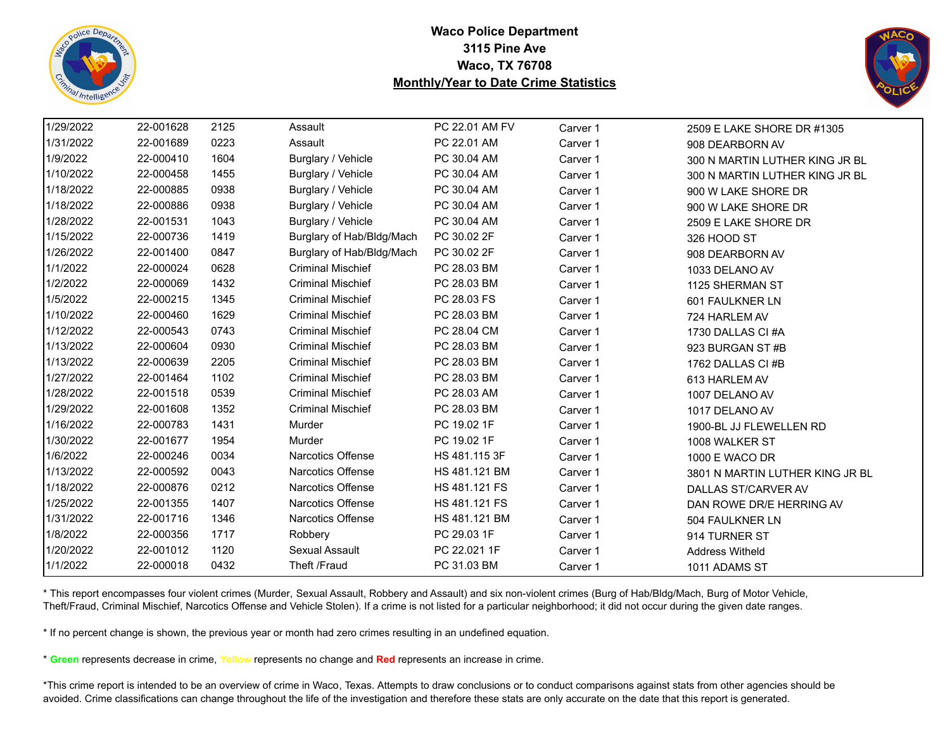



| 1/29/2022 | 22-001628 | 2125 | Assault                   | PC 22.01 AM FV | Carver 1 | 2509 E LAKE SHORE DR #1305      |
|-----------|-----------|------|---------------------------|----------------|----------|---------------------------------|
| 1/31/2022 | 22-001689 | 0223 | Assault                   | PC 22.01 AM    | Carver 1 | 908 DEARBORN AV                 |
| 1/9/2022  | 22-000410 | 1604 | Burglary / Vehicle        | PC 30.04 AM    | Carver 1 | 300 N MARTIN LUTHER KING JR BL  |
| 1/10/2022 | 22-000458 | 1455 | Burglary / Vehicle        | PC 30.04 AM    | Carver 1 | 300 N MARTIN LUTHER KING JR BL  |
| 1/18/2022 | 22-000885 | 0938 | Burglary / Vehicle        | PC 30.04 AM    | Carver 1 | 900 W LAKE SHORE DR             |
| 1/18/2022 | 22-000886 | 0938 | Burglary / Vehicle        | PC 30.04 AM    | Carver 1 | 900 W LAKE SHORE DR             |
| 1/28/2022 | 22-001531 | 1043 | Burglary / Vehicle        | PC 30.04 AM    | Carver 1 | 2509 E LAKE SHORE DR            |
| 1/15/2022 | 22-000736 | 1419 | Burglary of Hab/Bldg/Mach | PC 30.02 2F    | Carver 1 | 326 HOOD ST                     |
| 1/26/2022 | 22-001400 | 0847 | Burglary of Hab/Bldg/Mach | PC 30.02 2F    | Carver 1 | 908 DEARBORN AV                 |
| 1/1/2022  | 22-000024 | 0628 | <b>Criminal Mischief</b>  | PC 28.03 BM    | Carver 1 | 1033 DELANO AV                  |
| 1/2/2022  | 22-000069 | 1432 | <b>Criminal Mischief</b>  | PC 28.03 BM    | Carver 1 | 1125 SHERMAN ST                 |
| 1/5/2022  | 22-000215 | 1345 | <b>Criminal Mischief</b>  | PC 28.03 FS    | Carver 1 | 601 FAULKNER LN                 |
| 1/10/2022 | 22-000460 | 1629 | <b>Criminal Mischief</b>  | PC 28.03 BM    | Carver 1 | 724 HARLEM AV                   |
| 1/12/2022 | 22-000543 | 0743 | <b>Criminal Mischief</b>  | PC 28.04 CM    | Carver 1 | 1730 DALLAS CI#A                |
| 1/13/2022 | 22-000604 | 0930 | <b>Criminal Mischief</b>  | PC 28.03 BM    | Carver 1 | 923 BURGAN ST #B                |
| 1/13/2022 | 22-000639 | 2205 | <b>Criminal Mischief</b>  | PC 28.03 BM    | Carver 1 | 1762 DALLAS CI #B               |
| 1/27/2022 | 22-001464 | 1102 | <b>Criminal Mischief</b>  | PC 28.03 BM    | Carver 1 | 613 HARLEM AV                   |
| 1/28/2022 | 22-001518 | 0539 | <b>Criminal Mischief</b>  | PC 28.03 AM    | Carver 1 | 1007 DELANO AV                  |
| 1/29/2022 | 22-001608 | 1352 | <b>Criminal Mischief</b>  | PC 28.03 BM    | Carver 1 | 1017 DELANO AV                  |
| 1/16/2022 | 22-000783 | 1431 | <b>Murder</b>             | PC 19.02 1F    | Carver 1 | 1900-BL JJ FLEWELLEN RD         |
| 1/30/2022 | 22-001677 | 1954 | Murder                    | PC 19.02 1F    | Carver 1 | 1008 WALKER ST                  |
| 1/6/2022  | 22-000246 | 0034 | Narcotics Offense         | HS 481.115 3F  | Carver 1 | 1000 E WACO DR                  |
| 1/13/2022 | 22-000592 | 0043 | <b>Narcotics Offense</b>  | HS 481.121 BM  | Carver 1 | 3801 N MARTIN LUTHER KING JR BL |
| 1/18/2022 | 22-000876 | 0212 | <b>Narcotics Offense</b>  | HS 481.121 FS  | Carver 1 | DALLAS ST/CARVER AV             |
| 1/25/2022 | 22-001355 | 1407 | Narcotics Offense         | HS 481.121 FS  | Carver 1 | DAN ROWE DR/E HERRING AV        |
| 1/31/2022 | 22-001716 | 1346 | Narcotics Offense         | HS 481.121 BM  | Carver 1 | 504 FAULKNER LN                 |
| 1/8/2022  | 22-000356 | 1717 | Robbery                   | PC 29.03 1F    | Carver 1 | 914 TURNER ST                   |
| 1/20/2022 | 22-001012 | 1120 | Sexual Assault            | PC 22.021 1F   | Carver 1 | <b>Address Witheld</b>          |
| 1/1/2022  | 22-000018 | 0432 | Theft /Fraud              | PC 31.03 BM    | Carver 1 | 1011 ADAMS ST                   |
|           |           |      |                           |                |          |                                 |

\* This report encompasses four violent crimes (Murder, Sexual Assault, Robbery and Assault) and six non-violent crimes (Burg of Hab/Bldg/Mach, Burg of Motor Vehicle, Theft/Fraud, Criminal Mischief, Narcotics Offense and Vehicle Stolen). If a crime is not listed for a particular neighborhood; it did not occur during the given date ranges.

\* If no percent change is shown, the previous year or month had zero crimes resulting in an undefined equation.

\* **Green** represents decrease in crime, **Yellow** represents no change and **Red** represents an increase in crime.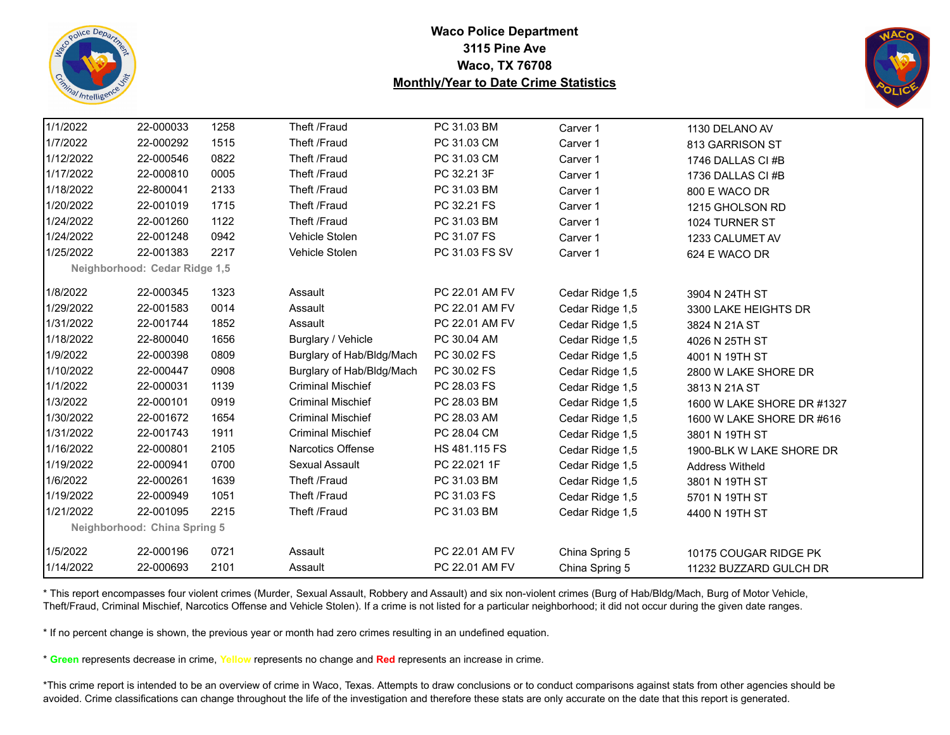



| 1/1/2022  | 22-000033                     | 1258 | Theft /Fraud              | PC 31.03 BM    | Carver 1        | 1130 DELANO AV             |  |
|-----------|-------------------------------|------|---------------------------|----------------|-----------------|----------------------------|--|
| 1/7/2022  | 22-000292                     | 1515 | Theft /Fraud              | PC 31.03 CM    | Carver 1        | 813 GARRISON ST            |  |
| 1/12/2022 | 22-000546                     | 0822 | Theft /Fraud              | PC 31.03 CM    | Carver 1        | 1746 DALLAS CI #B          |  |
| 1/17/2022 | 22-000810                     | 0005 | Theft /Fraud              | PC 32.21 3F    | Carver 1        | 1736 DALLAS CI#B           |  |
| 1/18/2022 | 22-800041                     | 2133 | Theft /Fraud              | PC 31.03 BM    | Carver 1        | 800 E WACO DR              |  |
| 1/20/2022 | 22-001019                     | 1715 | Theft /Fraud              | PC 32.21 FS    | Carver 1        | 1215 GHOLSON RD            |  |
| 1/24/2022 | 22-001260                     | 1122 | Theft /Fraud              | PC 31.03 BM    | Carver 1        | 1024 TURNER ST             |  |
| 1/24/2022 | 22-001248                     | 0942 | Vehicle Stolen            | PC 31.07 FS    | Carver 1        | 1233 CALUMET AV            |  |
| 1/25/2022 | 22-001383                     | 2217 | Vehicle Stolen            | PC 31.03 FS SV | Carver 1        | 624 E WACO DR              |  |
|           | Neighborhood: Cedar Ridge 1,5 |      |                           |                |                 |                            |  |
| 1/8/2022  | 22-000345                     | 1323 | Assault                   | PC 22.01 AM FV |                 |                            |  |
| 1/29/2022 | 22-001583                     | 0014 | Assault                   | PC 22.01 AM FV | Cedar Ridge 1,5 | 3904 N 24TH ST             |  |
| 1/31/2022 |                               |      |                           |                | Cedar Ridge 1,5 | 3300 LAKE HEIGHTS DR       |  |
|           | 22-001744                     | 1852 | Assault                   | PC 22.01 AM FV | Cedar Ridge 1,5 | 3824 N 21A ST              |  |
| 1/18/2022 | 22-800040                     | 1656 | Burglary / Vehicle        | PC 30.04 AM    | Cedar Ridge 1,5 | 4026 N 25TH ST             |  |
| 1/9/2022  | 22-000398                     | 0809 | Burglary of Hab/Bldg/Mach | PC 30.02 FS    | Cedar Ridge 1,5 | 4001 N 19TH ST             |  |
| 1/10/2022 | 22-000447                     | 0908 | Burglary of Hab/Bldg/Mach | PC 30.02 FS    | Cedar Ridge 1,5 | 2800 W LAKE SHORE DR       |  |
| 1/1/2022  | 22-000031                     | 1139 | <b>Criminal Mischief</b>  | PC 28.03 FS    | Cedar Ridge 1,5 | 3813 N 21A ST              |  |
| 1/3/2022  | 22-000101                     | 0919 | <b>Criminal Mischief</b>  | PC 28.03 BM    | Cedar Ridge 1,5 | 1600 W LAKE SHORE DR #1327 |  |
| 1/30/2022 | 22-001672                     | 1654 | <b>Criminal Mischief</b>  | PC 28.03 AM    | Cedar Ridge 1,5 | 1600 W LAKE SHORE DR #616  |  |
| 1/31/2022 | 22-001743                     | 1911 | <b>Criminal Mischief</b>  | PC 28.04 CM    | Cedar Ridge 1,5 | 3801 N 19TH ST             |  |
| 1/16/2022 | 22-000801                     | 2105 | <b>Narcotics Offense</b>  | HS 481.115 FS  | Cedar Ridge 1,5 | 1900-BLK W LAKE SHORE DR   |  |
| 1/19/2022 | 22-000941                     | 0700 | Sexual Assault            | PC 22.021 1F   | Cedar Ridge 1,5 | <b>Address Witheld</b>     |  |
| 1/6/2022  | 22-000261                     | 1639 | Theft /Fraud              | PC 31.03 BM    | Cedar Ridge 1,5 | 3801 N 19TH ST             |  |
| 1/19/2022 | 22-000949                     | 1051 | Theft /Fraud              | PC 31.03 FS    | Cedar Ridge 1,5 | 5701 N 19TH ST             |  |
| 1/21/2022 | 22-001095                     | 2215 | Theft /Fraud              | PC 31.03 BM    | Cedar Ridge 1,5 | 4400 N 19TH ST             |  |
|           | Neighborhood: China Spring 5  |      |                           |                |                 |                            |  |
| 1/5/2022  | 22-000196                     | 0721 | Assault                   | PC 22.01 AM FV | China Spring 5  | 10175 COUGAR RIDGE PK      |  |
| 1/14/2022 | 22-000693                     | 2101 | Assault                   | PC 22.01 AM FV | China Spring 5  | 11232 BUZZARD GULCH DR     |  |

\* This report encompasses four violent crimes (Murder, Sexual Assault, Robbery and Assault) and six non-violent crimes (Burg of Hab/Bldg/Mach, Burg of Motor Vehicle, Theft/Fraud, Criminal Mischief, Narcotics Offense and Vehicle Stolen). If a crime is not listed for a particular neighborhood; it did not occur during the given date ranges.

\* If no percent change is shown, the previous year or month had zero crimes resulting in an undefined equation.

\* **Green** represents decrease in crime, **Yellow** represents no change and **Red** represents an increase in crime.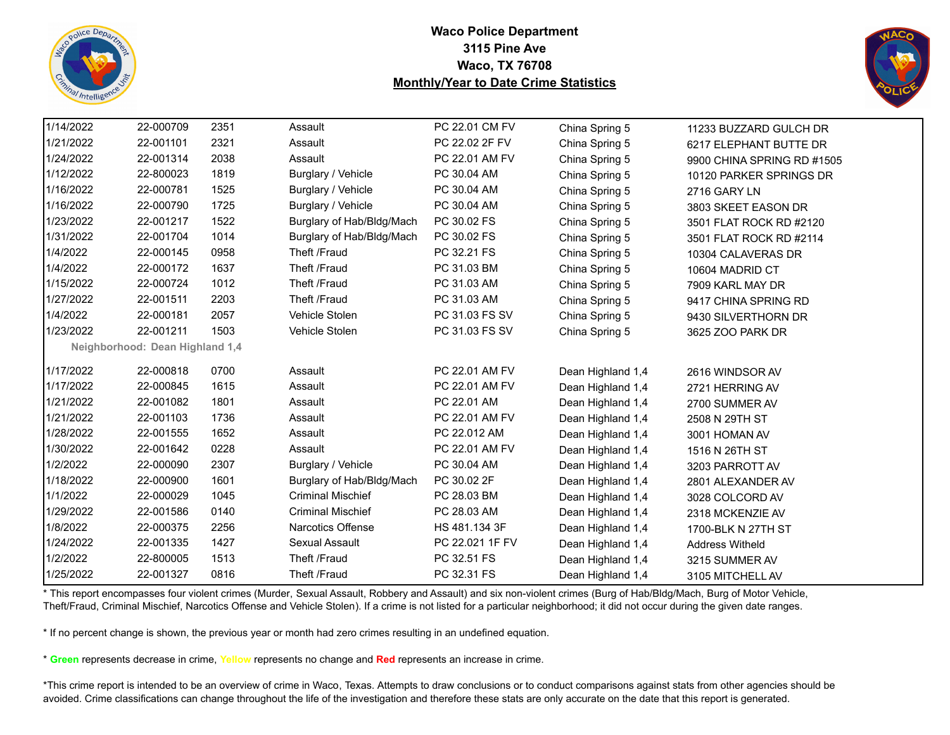



| 1/14/2022 | 22-000709                       | 2351 | Assault                   | PC 22.01 CM FV  | China Spring 5    | 11233 BUZZARD GULCH DR     |
|-----------|---------------------------------|------|---------------------------|-----------------|-------------------|----------------------------|
| 1/21/2022 | 22-001101                       | 2321 | Assault                   | PC 22.02 2F FV  | China Spring 5    | 6217 ELEPHANT BUTTE DR     |
| 1/24/2022 | 22-001314                       | 2038 | Assault                   | PC 22.01 AM FV  | China Spring 5    | 9900 CHINA SPRING RD #1505 |
| 1/12/2022 | 22-800023                       | 1819 | Burglary / Vehicle        | PC 30.04 AM     | China Spring 5    | 10120 PARKER SPRINGS DR    |
| 1/16/2022 | 22-000781                       | 1525 | Burglary / Vehicle        | PC 30.04 AM     | China Spring 5    | 2716 GARY LN               |
| 1/16/2022 | 22-000790                       | 1725 | Burglary / Vehicle        | PC 30.04 AM     | China Spring 5    | 3803 SKEET EASON DR        |
| 1/23/2022 | 22-001217                       | 1522 | Burglary of Hab/Bldg/Mach | PC 30.02 FS     | China Spring 5    | 3501 FLAT ROCK RD #2120    |
| 1/31/2022 | 22-001704                       | 1014 | Burglary of Hab/Bldg/Mach | PC 30.02 FS     | China Spring 5    | 3501 FLAT ROCK RD #2114    |
| 1/4/2022  | 22-000145                       | 0958 | Theft /Fraud              | PC 32.21 FS     | China Spring 5    | 10304 CALAVERAS DR         |
| 1/4/2022  | 22-000172                       | 1637 | Theft /Fraud              | PC 31.03 BM     | China Spring 5    | 10604 MADRID CT            |
| 1/15/2022 | 22-000724                       | 1012 | Theft /Fraud              | PC 31.03 AM     | China Spring 5    | 7909 KARL MAY DR           |
| 1/27/2022 | 22-001511                       | 2203 | Theft /Fraud              | PC 31.03 AM     | China Spring 5    | 9417 CHINA SPRING RD       |
| 1/4/2022  | 22-000181                       | 2057 | Vehicle Stolen            | PC 31.03 FS SV  | China Spring 5    | 9430 SILVERTHORN DR        |
| 1/23/2022 | 22-001211                       | 1503 | Vehicle Stolen            | PC 31.03 FS SV  | China Spring 5    | 3625 ZOO PARK DR           |
|           | Neighborhood: Dean Highland 1,4 |      |                           |                 |                   |                            |
| 1/17/2022 | 22-000818                       | 0700 | Assault                   | PC 22.01 AM FV  | Dean Highland 1,4 | 2616 WINDSOR AV            |
| 1/17/2022 | 22-000845                       | 1615 | Assault                   | PC 22.01 AM FV  | Dean Highland 1,4 | 2721 HERRING AV            |
| 1/21/2022 | 22-001082                       | 1801 | Assault                   | PC 22.01 AM     | Dean Highland 1,4 | 2700 SUMMER AV             |
| 1/21/2022 | 22-001103                       | 1736 | Assault                   | PC 22.01 AM FV  | Dean Highland 1,4 | 2508 N 29TH ST             |
| 1/28/2022 | 22-001555                       | 1652 | Assault                   | PC 22.012 AM    | Dean Highland 1,4 | 3001 HOMAN AV              |
| 1/30/2022 | 22-001642                       | 0228 | Assault                   | PC 22.01 AM FV  | Dean Highland 1,4 | 1516 N 26TH ST             |
| 1/2/2022  | 22-000090                       | 2307 | Burglary / Vehicle        | PC 30.04 AM     | Dean Highland 1,4 | 3203 PARROTT AV            |
| 1/18/2022 | 22-000900                       | 1601 | Burglary of Hab/Bldg/Mach | PC 30.02 2F     | Dean Highland 1,4 | 2801 ALEXANDER AV          |
| 1/1/2022  | 22-000029                       | 1045 | <b>Criminal Mischief</b>  | PC 28.03 BM     | Dean Highland 1,4 | 3028 COLCORD AV            |
| 1/29/2022 | 22-001586                       | 0140 | <b>Criminal Mischief</b>  | PC 28.03 AM     | Dean Highland 1,4 | 2318 MCKENZIE AV           |
| 1/8/2022  | 22-000375                       | 2256 | Narcotics Offense         | HS 481.134 3F   | Dean Highland 1,4 | 1700-BLK N 27TH ST         |
| 1/24/2022 | 22-001335                       | 1427 | Sexual Assault            | PC 22.021 1F FV | Dean Highland 1,4 | <b>Address Witheld</b>     |
| 1/2/2022  | 22-800005                       | 1513 | Theft /Fraud              | PC 32.51 FS     | Dean Highland 1,4 | 3215 SUMMER AV             |
| 1/25/2022 | 22-001327                       | 0816 | Theft /Fraud              | PC 32.31 FS     | Dean Highland 1,4 | 3105 MITCHELL AV           |

\* This report encompasses four violent crimes (Murder, Sexual Assault, Robbery and Assault) and six non-violent crimes (Burg of Hab/Bldg/Mach, Burg of Motor Vehicle, Theft/Fraud, Criminal Mischief, Narcotics Offense and Vehicle Stolen). If a crime is not listed for a particular neighborhood; it did not occur during the given date ranges.

\* If no percent change is shown, the previous year or month had zero crimes resulting in an undefined equation.

\* **Green** represents decrease in crime, **Yellow** represents no change and **Red** represents an increase in crime.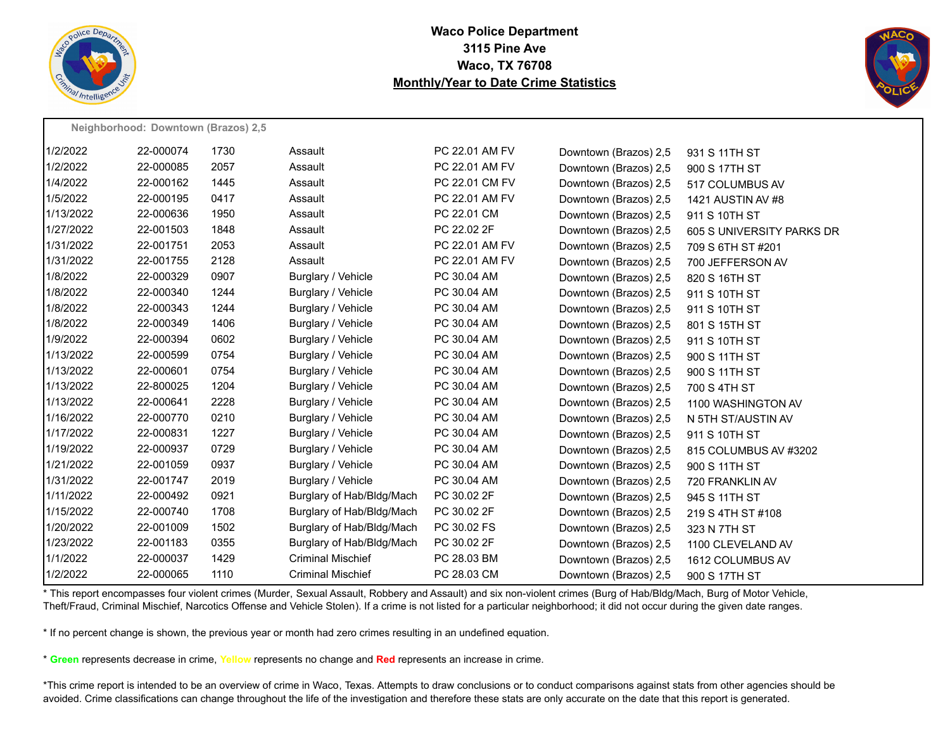



|           | Neighborhood: Downtown (Brazos) 2,5 |      |                           |                |                       |                           |  |  |  |  |
|-----------|-------------------------------------|------|---------------------------|----------------|-----------------------|---------------------------|--|--|--|--|
| 1/2/2022  | 22-000074                           | 1730 | Assault                   | PC 22.01 AM FV | Downtown (Brazos) 2,5 | 931 S 11TH ST             |  |  |  |  |
| 1/2/2022  | 22-000085                           | 2057 | Assault                   | PC 22.01 AM FV | Downtown (Brazos) 2,5 | 900 S 17TH ST             |  |  |  |  |
| 1/4/2022  | 22-000162                           | 1445 | Assault                   | PC 22.01 CM FV | Downtown (Brazos) 2,5 | 517 COLUMBUS AV           |  |  |  |  |
| 1/5/2022  | 22-000195                           | 0417 | Assault                   | PC 22.01 AM FV | Downtown (Brazos) 2,5 | 1421 AUSTIN AV #8         |  |  |  |  |
| 1/13/2022 | 22-000636                           | 1950 | Assault                   | PC 22.01 CM    | Downtown (Brazos) 2,5 | 911 S 10TH ST             |  |  |  |  |
| 1/27/2022 | 22-001503                           | 1848 | Assault                   | PC 22.02 2F    | Downtown (Brazos) 2,5 | 605 S UNIVERSITY PARKS DR |  |  |  |  |
| 1/31/2022 | 22-001751                           | 2053 | Assault                   | PC 22.01 AM FV | Downtown (Brazos) 2,5 | 709 S 6TH ST #201         |  |  |  |  |
| 1/31/2022 | 22-001755                           | 2128 | Assault                   | PC 22.01 AM FV | Downtown (Brazos) 2,5 | 700 JEFFERSON AV          |  |  |  |  |
| 1/8/2022  | 22-000329                           | 0907 | Burglary / Vehicle        | PC 30.04 AM    | Downtown (Brazos) 2,5 | 820 S 16TH ST             |  |  |  |  |
| 1/8/2022  | 22-000340                           | 1244 | Burglary / Vehicle        | PC 30.04 AM    | Downtown (Brazos) 2,5 | 911 S 10TH ST             |  |  |  |  |
| 1/8/2022  | 22-000343                           | 1244 | Burglary / Vehicle        | PC 30.04 AM    | Downtown (Brazos) 2,5 | 911 S 10TH ST             |  |  |  |  |
| 1/8/2022  | 22-000349                           | 1406 | Burglary / Vehicle        | PC 30.04 AM    | Downtown (Brazos) 2,5 | 801 S 15TH ST             |  |  |  |  |
| 1/9/2022  | 22-000394                           | 0602 | Burglary / Vehicle        | PC 30.04 AM    | Downtown (Brazos) 2,5 | 911 S 10TH ST             |  |  |  |  |
| 1/13/2022 | 22-000599                           | 0754 | Burglary / Vehicle        | PC 30.04 AM    | Downtown (Brazos) 2,5 | 900 S 11TH ST             |  |  |  |  |
| 1/13/2022 | 22-000601                           | 0754 | Burglary / Vehicle        | PC 30.04 AM    | Downtown (Brazos) 2,5 | 900 S 11TH ST             |  |  |  |  |
| 1/13/2022 | 22-800025                           | 1204 | Burglary / Vehicle        | PC 30.04 AM    | Downtown (Brazos) 2,5 | 700 S 4TH ST              |  |  |  |  |
| 1/13/2022 | 22-000641                           | 2228 | Burglary / Vehicle        | PC 30.04 AM    | Downtown (Brazos) 2,5 | 1100 WASHINGTON AV        |  |  |  |  |
| 1/16/2022 | 22-000770                           | 0210 | Burglary / Vehicle        | PC 30.04 AM    | Downtown (Brazos) 2,5 | N 5TH ST/AUSTIN AV        |  |  |  |  |
| 1/17/2022 | 22-000831                           | 1227 | Burglary / Vehicle        | PC 30.04 AM    | Downtown (Brazos) 2,5 | 911 S 10TH ST             |  |  |  |  |
| 1/19/2022 | 22-000937                           | 0729 | Burglary / Vehicle        | PC 30.04 AM    | Downtown (Brazos) 2,5 | 815 COLUMBUS AV #3202     |  |  |  |  |
| 1/21/2022 | 22-001059                           | 0937 | Burglary / Vehicle        | PC 30.04 AM    | Downtown (Brazos) 2,5 | 900 S 11TH ST             |  |  |  |  |
| 1/31/2022 | 22-001747                           | 2019 | Burglary / Vehicle        | PC 30.04 AM    | Downtown (Brazos) 2,5 | 720 FRANKLIN AV           |  |  |  |  |
| 1/11/2022 | 22-000492                           | 0921 | Burglary of Hab/Bldg/Mach | PC 30.02 2F    | Downtown (Brazos) 2,5 | 945 S 11TH ST             |  |  |  |  |
| 1/15/2022 | 22-000740                           | 1708 | Burglary of Hab/Bldg/Mach | PC 30.02 2F    | Downtown (Brazos) 2,5 | 219 S 4TH ST #108         |  |  |  |  |
| 1/20/2022 | 22-001009                           | 1502 | Burglary of Hab/Bldg/Mach | PC 30.02 FS    | Downtown (Brazos) 2,5 | 323 N 7TH ST              |  |  |  |  |
| 1/23/2022 | 22-001183                           | 0355 | Burglary of Hab/Bldg/Mach | PC 30.02 2F    | Downtown (Brazos) 2,5 | 1100 CLEVELAND AV         |  |  |  |  |
| 1/1/2022  | 22-000037                           | 1429 | <b>Criminal Mischief</b>  | PC 28.03 BM    | Downtown (Brazos) 2,5 | 1612 COLUMBUS AV          |  |  |  |  |
| 1/2/2022  | 22-000065                           | 1110 | <b>Criminal Mischief</b>  | PC 28.03 CM    | Downtown (Brazos) 2,5 | 900 S 17TH ST             |  |  |  |  |

\* This report encompasses four violent crimes (Murder, Sexual Assault, Robbery and Assault) and six non-violent crimes (Burg of Hab/Bldg/Mach, Burg of Motor Vehicle, Theft/Fraud, Criminal Mischief, Narcotics Offense and Vehicle Stolen). If a crime is not listed for a particular neighborhood; it did not occur during the given date ranges.

\* If no percent change is shown, the previous year or month had zero crimes resulting in an undefined equation.

\* **Green** represents decrease in crime, **Yellow** represents no change and **Red** represents an increase in crime.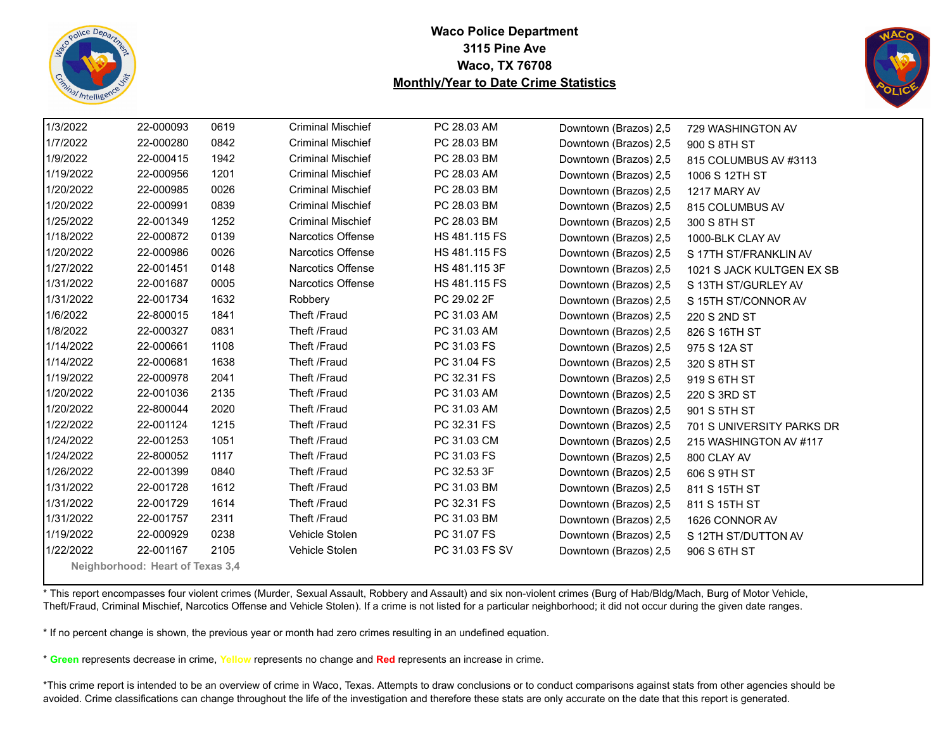



| 1/3/2022  | 22-000093                        | 0619 | <b>Criminal Mischief</b> | PC 28.03 AM    | Downtown (Brazos) 2,5 | 729 WASHINGTON AV         |
|-----------|----------------------------------|------|--------------------------|----------------|-----------------------|---------------------------|
| 1/7/2022  | 22-000280                        | 0842 | <b>Criminal Mischief</b> | PC 28.03 BM    | Downtown (Brazos) 2,5 | 900 S 8TH ST              |
| 1/9/2022  | 22-000415                        | 1942 | <b>Criminal Mischief</b> | PC 28.03 BM    | Downtown (Brazos) 2,5 | 815 COLUMBUS AV #3113     |
| 1/19/2022 | 22-000956                        | 1201 | <b>Criminal Mischief</b> | PC 28.03 AM    | Downtown (Brazos) 2,5 | 1006 S 12TH ST            |
| 1/20/2022 | 22-000985                        | 0026 | <b>Criminal Mischief</b> | PC 28.03 BM    | Downtown (Brazos) 2,5 | 1217 MARY AV              |
| 1/20/2022 | 22-000991                        | 0839 | <b>Criminal Mischief</b> | PC 28.03 BM    | Downtown (Brazos) 2,5 | 815 COLUMBUS AV           |
| 1/25/2022 | 22-001349                        | 1252 | <b>Criminal Mischief</b> | PC 28.03 BM    | Downtown (Brazos) 2,5 | 300 S 8TH ST              |
| 1/18/2022 | 22-000872                        | 0139 | Narcotics Offense        | HS 481.115 FS  | Downtown (Brazos) 2,5 | 1000-BLK CLAY AV          |
| 1/20/2022 | 22-000986                        | 0026 | Narcotics Offense        | HS 481.115 FS  | Downtown (Brazos) 2,5 | S 17TH ST/FRANKLIN AV     |
| 1/27/2022 | 22-001451                        | 0148 | Narcotics Offense        | HS 481.115 3F  | Downtown (Brazos) 2,5 | 1021 S JACK KULTGEN EX SB |
| 1/31/2022 | 22-001687                        | 0005 | Narcotics Offense        | HS 481.115 FS  | Downtown (Brazos) 2,5 | S 13TH ST/GURLEY AV       |
| 1/31/2022 | 22-001734                        | 1632 | Robbery                  | PC 29.02 2F    | Downtown (Brazos) 2,5 | S 15TH ST/CONNOR AV       |
| 1/6/2022  | 22-800015                        | 1841 | Theft /Fraud             | PC 31.03 AM    | Downtown (Brazos) 2,5 | 220 S 2ND ST              |
| 1/8/2022  | 22-000327                        | 0831 | Theft /Fraud             | PC 31.03 AM    | Downtown (Brazos) 2,5 | 826 S 16TH ST             |
| 1/14/2022 | 22-000661                        | 1108 | Theft /Fraud             | PC 31.03 FS    | Downtown (Brazos) 2,5 | 975 S 12A ST              |
| 1/14/2022 | 22-000681                        | 1638 | Theft /Fraud             | PC 31.04 FS    | Downtown (Brazos) 2,5 | 320 S 8TH ST              |
| 1/19/2022 | 22-000978                        | 2041 | Theft /Fraud             | PC 32.31 FS    | Downtown (Brazos) 2,5 | 919 S 6TH ST              |
| 1/20/2022 | 22-001036                        | 2135 | Theft /Fraud             | PC 31.03 AM    | Downtown (Brazos) 2,5 | 220 S 3RD ST              |
| 1/20/2022 | 22-800044                        | 2020 | Theft /Fraud             | PC 31.03 AM    | Downtown (Brazos) 2,5 | 901 S 5TH ST              |
| 1/22/2022 | 22-001124                        | 1215 | Theft /Fraud             | PC 32.31 FS    | Downtown (Brazos) 2,5 | 701 S UNIVERSITY PARKS DR |
| 1/24/2022 | 22-001253                        | 1051 | Theft /Fraud             | PC 31.03 CM    | Downtown (Brazos) 2,5 | 215 WASHINGTON AV #117    |
| 1/24/2022 | 22-800052                        | 1117 | Theft /Fraud             | PC 31.03 FS    | Downtown (Brazos) 2,5 | 800 CLAY AV               |
| 1/26/2022 | 22-001399                        | 0840 | Theft /Fraud             | PC 32.53 3F    | Downtown (Brazos) 2,5 | 606 S 9TH ST              |
| 1/31/2022 | 22-001728                        | 1612 | Theft /Fraud             | PC 31.03 BM    | Downtown (Brazos) 2,5 | 811 S 15TH ST             |
| 1/31/2022 | 22-001729                        | 1614 | Theft /Fraud             | PC 32.31 FS    | Downtown (Brazos) 2,5 | 811 S 15TH ST             |
| 1/31/2022 | 22-001757                        | 2311 | Theft /Fraud             | PC 31.03 BM    | Downtown (Brazos) 2,5 | 1626 CONNOR AV            |
| 1/19/2022 | 22-000929                        | 0238 | Vehicle Stolen           | PC 31.07 FS    | Downtown (Brazos) 2,5 | S 12TH ST/DUTTON AV       |
| 1/22/2022 | 22-001167                        | 2105 | Vehicle Stolen           | PC 31.03 FS SV | Downtown (Brazos) 2,5 | 906 S 6TH ST              |
|           | Neighborhood: Heart of Texas 3,4 |      |                          |                |                       |                           |

\* This report encompasses four violent crimes (Murder, Sexual Assault, Robbery and Assault) and six non-violent crimes (Burg of Hab/Bldg/Mach, Burg of Motor Vehicle, Theft/Fraud, Criminal Mischief, Narcotics Offense and Vehicle Stolen). If a crime is not listed for a particular neighborhood; it did not occur during the given date ranges.

\* If no percent change is shown, the previous year or month had zero crimes resulting in an undefined equation.

\* **Green** represents decrease in crime, **Yellow** represents no change and **Red** represents an increase in crime.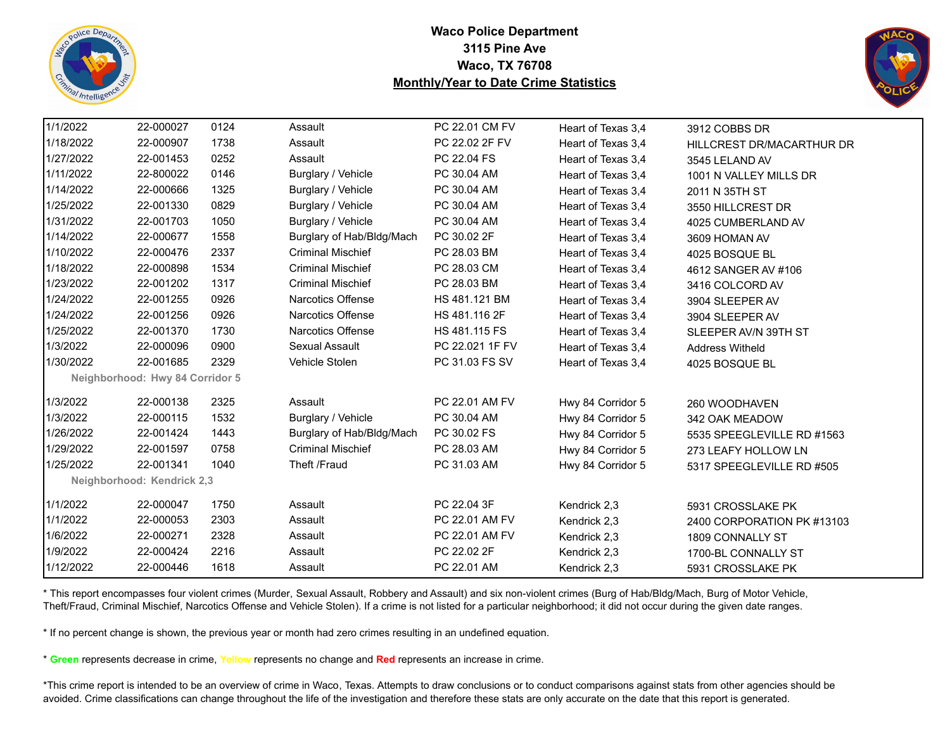



| 1/1/2022  | 22-000027                       | 0124 | Assault                   | PC 22.01 CM FV  | Heart of Texas 3,4 | 3912 COBBS DR              |
|-----------|---------------------------------|------|---------------------------|-----------------|--------------------|----------------------------|
| 1/18/2022 | 22-000907                       | 1738 | Assault                   | PC 22.02 2F FV  | Heart of Texas 3,4 | HILLCREST DR/MACARTHUR DR  |
| 1/27/2022 | 22-001453                       | 0252 | Assault                   | PC 22.04 FS     | Heart of Texas 3,4 | 3545 LELAND AV             |
| 1/11/2022 | 22-800022                       | 0146 | Burglary / Vehicle        | PC 30.04 AM     | Heart of Texas 3,4 | 1001 N VALLEY MILLS DR     |
| 1/14/2022 | 22-000666                       | 1325 | Burglary / Vehicle        | PC 30.04 AM     | Heart of Texas 3,4 | 2011 N 35TH ST             |
| 1/25/2022 | 22-001330                       | 0829 | Burglary / Vehicle        | PC 30.04 AM     | Heart of Texas 3,4 | 3550 HILLCREST DR          |
| 1/31/2022 | 22-001703                       | 1050 | Burglary / Vehicle        | PC 30.04 AM     | Heart of Texas 3,4 | 4025 CUMBERLAND AV         |
| 1/14/2022 | 22-000677                       | 1558 | Burglary of Hab/Bldg/Mach | PC 30.02 2F     | Heart of Texas 3,4 | 3609 HOMAN AV              |
| 1/10/2022 | 22-000476                       | 2337 | <b>Criminal Mischief</b>  | PC 28.03 BM     | Heart of Texas 3.4 | 4025 BOSQUE BL             |
| 1/18/2022 | 22-000898                       | 1534 | <b>Criminal Mischief</b>  | PC 28.03 CM     | Heart of Texas 3,4 | 4612 SANGER AV #106        |
| 1/23/2022 | 22-001202                       | 1317 | <b>Criminal Mischief</b>  | PC 28.03 BM     | Heart of Texas 3,4 | 3416 COLCORD AV            |
| 1/24/2022 | 22-001255                       | 0926 | Narcotics Offense         | HS 481.121 BM   | Heart of Texas 3,4 | 3904 SLEEPER AV            |
| 1/24/2022 | 22-001256                       | 0926 | <b>Narcotics Offense</b>  | HS 481.116 2F   | Heart of Texas 3.4 | 3904 SLEEPER AV            |
| 1/25/2022 | 22-001370                       | 1730 | <b>Narcotics Offense</b>  | HS 481.115 FS   | Heart of Texas 3,4 | SLEEPER AV/N 39TH ST       |
| 1/3/2022  | 22-000096                       | 0900 | Sexual Assault            | PC 22.021 1F FV | Heart of Texas 3,4 | <b>Address Witheld</b>     |
| 1/30/2022 | 22-001685                       | 2329 | Vehicle Stolen            | PC 31.03 FS SV  | Heart of Texas 3,4 | 4025 BOSQUE BL             |
|           | Neighborhood: Hwy 84 Corridor 5 |      |                           |                 |                    |                            |
| 1/3/2022  | 22-000138                       | 2325 | Assault                   | PC 22.01 AM FV  | Hwy 84 Corridor 5  | 260 WOODHAVEN              |
| 1/3/2022  | 22-000115                       | 1532 | Burglary / Vehicle        | PC 30.04 AM     | Hwy 84 Corridor 5  | 342 OAK MEADOW             |
| 1/26/2022 | 22-001424                       | 1443 | Burglary of Hab/Bldg/Mach | PC 30.02 FS     | Hwy 84 Corridor 5  | 5535 SPEEGLEVILLE RD #1563 |
| 1/29/2022 | 22-001597                       | 0758 | <b>Criminal Mischief</b>  | PC 28.03 AM     | Hwy 84 Corridor 5  | 273 LEAFY HOLLOW LN        |
| 1/25/2022 | 22-001341                       | 1040 | Theft /Fraud              | PC 31.03 AM     | Hwy 84 Corridor 5  | 5317 SPEEGLEVILLE RD #505  |
|           | Neighborhood: Kendrick 2,3      |      |                           |                 |                    |                            |
| 1/1/2022  | 22-000047                       | 1750 | Assault                   | PC 22.04 3F     | Kendrick 2,3       | 5931 CROSSLAKE PK          |
| 1/1/2022  | 22-000053                       | 2303 | Assault                   | PC 22.01 AM FV  | Kendrick 2,3       | 2400 CORPORATION PK #13103 |
| 1/6/2022  | 22-000271                       | 2328 | Assault                   | PC 22.01 AM FV  | Kendrick 2,3       | 1809 CONNALLY ST           |
| 1/9/2022  | 22-000424                       | 2216 | Assault                   | PC 22.02 2F     | Kendrick 2,3       | 1700-BL CONNALLY ST        |
| 1/12/2022 | 22-000446                       | 1618 | Assault                   | PC 22.01 AM     | Kendrick 2,3       | 5931 CROSSLAKE PK          |
|           |                                 |      |                           |                 |                    |                            |

\* This report encompasses four violent crimes (Murder, Sexual Assault, Robbery and Assault) and six non-violent crimes (Burg of Hab/Bldg/Mach, Burg of Motor Vehicle, Theft/Fraud, Criminal Mischief, Narcotics Offense and Vehicle Stolen). If a crime is not listed for a particular neighborhood; it did not occur during the given date ranges.

\* If no percent change is shown, the previous year or month had zero crimes resulting in an undefined equation.

\* **Green** represents decrease in crime, **Yellow** represents no change and **Red** represents an increase in crime.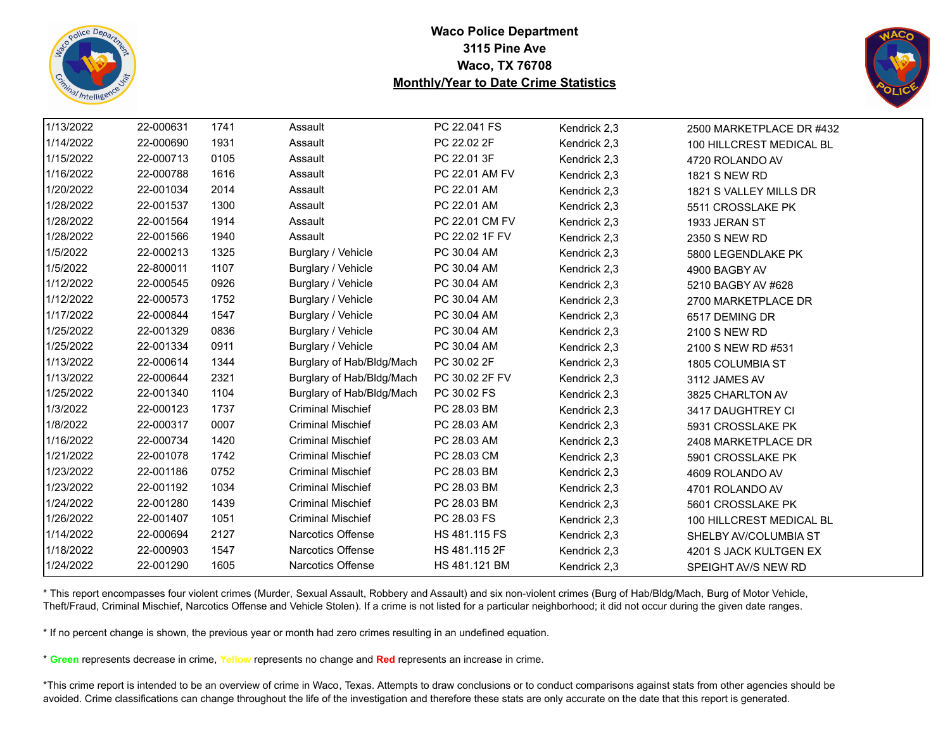



| 1/13/2022 | 22-000631 | 1741 | Assault                   | PC 22.041 FS   | Kendrick 2,3 | 2500 MARKETPLACE DR #432 |
|-----------|-----------|------|---------------------------|----------------|--------------|--------------------------|
| 1/14/2022 | 22-000690 | 1931 | Assault                   | PC 22.02 2F    | Kendrick 2,3 | 100 HILLCREST MEDICAL BL |
| 1/15/2022 | 22-000713 | 0105 | Assault                   | PC 22.01 3F    | Kendrick 2,3 | 4720 ROLANDO AV          |
| 1/16/2022 | 22-000788 | 1616 | Assault                   | PC 22.01 AM FV | Kendrick 2,3 | 1821 S NEW RD            |
| 1/20/2022 | 22-001034 | 2014 | Assault                   | PC 22.01 AM    | Kendrick 2,3 | 1821 S VALLEY MILLS DR   |
| 1/28/2022 | 22-001537 | 1300 | Assault                   | PC 22.01 AM    | Kendrick 2,3 | 5511 CROSSLAKE PK        |
| 1/28/2022 | 22-001564 | 1914 | Assault                   | PC 22.01 CM FV | Kendrick 2,3 | 1933 JERAN ST            |
| 1/28/2022 | 22-001566 | 1940 | Assault                   | PC 22.02 1F FV | Kendrick 2,3 | 2350 S NEW RD            |
| 1/5/2022  | 22-000213 | 1325 | Burglary / Vehicle        | PC 30.04 AM    | Kendrick 2,3 | 5800 LEGENDLAKE PK       |
| 1/5/2022  | 22-800011 | 1107 | Burglary / Vehicle        | PC 30.04 AM    | Kendrick 2,3 | 4900 BAGBY AV            |
| 1/12/2022 | 22-000545 | 0926 | Burglary / Vehicle        | PC 30.04 AM    | Kendrick 2,3 | 5210 BAGBY AV #628       |
| 1/12/2022 | 22-000573 | 1752 | Burglary / Vehicle        | PC 30.04 AM    | Kendrick 2,3 | 2700 MARKETPLACE DR      |
| 1/17/2022 | 22-000844 | 1547 | Burglary / Vehicle        | PC 30.04 AM    | Kendrick 2,3 | 6517 DEMING DR           |
| 1/25/2022 | 22-001329 | 0836 | Burglary / Vehicle        | PC 30.04 AM    | Kendrick 2,3 | 2100 S NEW RD            |
| 1/25/2022 | 22-001334 | 0911 | Burglary / Vehicle        | PC 30.04 AM    | Kendrick 2,3 | 2100 S NEW RD #531       |
| 1/13/2022 | 22-000614 | 1344 | Burglary of Hab/Bldg/Mach | PC 30.02 2F    | Kendrick 2,3 | 1805 COLUMBIA ST         |
| 1/13/2022 | 22-000644 | 2321 | Burglary of Hab/Bldg/Mach | PC 30.02 2F FV | Kendrick 2,3 | 3112 JAMES AV            |
| 1/25/2022 | 22-001340 | 1104 | Burglary of Hab/Bldg/Mach | PC 30.02 FS    | Kendrick 2,3 | 3825 CHARLTON AV         |
| 1/3/2022  | 22-000123 | 1737 | <b>Criminal Mischief</b>  | PC 28.03 BM    | Kendrick 2,3 | 3417 DAUGHTREY CI        |
| 1/8/2022  | 22-000317 | 0007 | <b>Criminal Mischief</b>  | PC 28.03 AM    | Kendrick 2,3 | 5931 CROSSLAKE PK        |
| 1/16/2022 | 22-000734 | 1420 | <b>Criminal Mischief</b>  | PC 28.03 AM    | Kendrick 2,3 | 2408 MARKETPLACE DR      |
| 1/21/2022 | 22-001078 | 1742 | <b>Criminal Mischief</b>  | PC 28.03 CM    | Kendrick 2,3 | 5901 CROSSLAKE PK        |
| 1/23/2022 | 22-001186 | 0752 | <b>Criminal Mischief</b>  | PC 28.03 BM    | Kendrick 2,3 | 4609 ROLANDO AV          |
| 1/23/2022 | 22-001192 | 1034 | <b>Criminal Mischief</b>  | PC 28.03 BM    | Kendrick 2,3 | 4701 ROLANDO AV          |
| 1/24/2022 | 22-001280 | 1439 | <b>Criminal Mischief</b>  | PC 28.03 BM    | Kendrick 2,3 | 5601 CROSSLAKE PK        |
| 1/26/2022 | 22-001407 | 1051 | <b>Criminal Mischief</b>  | PC 28.03 FS    | Kendrick 2,3 | 100 HILLCREST MEDICAL BL |
| 1/14/2022 | 22-000694 | 2127 | Narcotics Offense         | HS 481.115 FS  | Kendrick 2,3 | SHELBY AV/COLUMBIA ST    |
| 1/18/2022 | 22-000903 | 1547 | <b>Narcotics Offense</b>  | HS 481.115 2F  | Kendrick 2,3 | 4201 S JACK KULTGEN EX   |
| 1/24/2022 | 22-001290 | 1605 | Narcotics Offense         | HS 481.121 BM  | Kendrick 2,3 | SPEIGHT AV/S NEW RD      |

\* This report encompasses four violent crimes (Murder, Sexual Assault, Robbery and Assault) and six non-violent crimes (Burg of Hab/Bldg/Mach, Burg of Motor Vehicle, Theft/Fraud, Criminal Mischief, Narcotics Offense and Vehicle Stolen). If a crime is not listed for a particular neighborhood; it did not occur during the given date ranges.

\* If no percent change is shown, the previous year or month had zero crimes resulting in an undefined equation.

\* **Green** represents decrease in crime, **Yellow** represents no change and **Red** represents an increase in crime.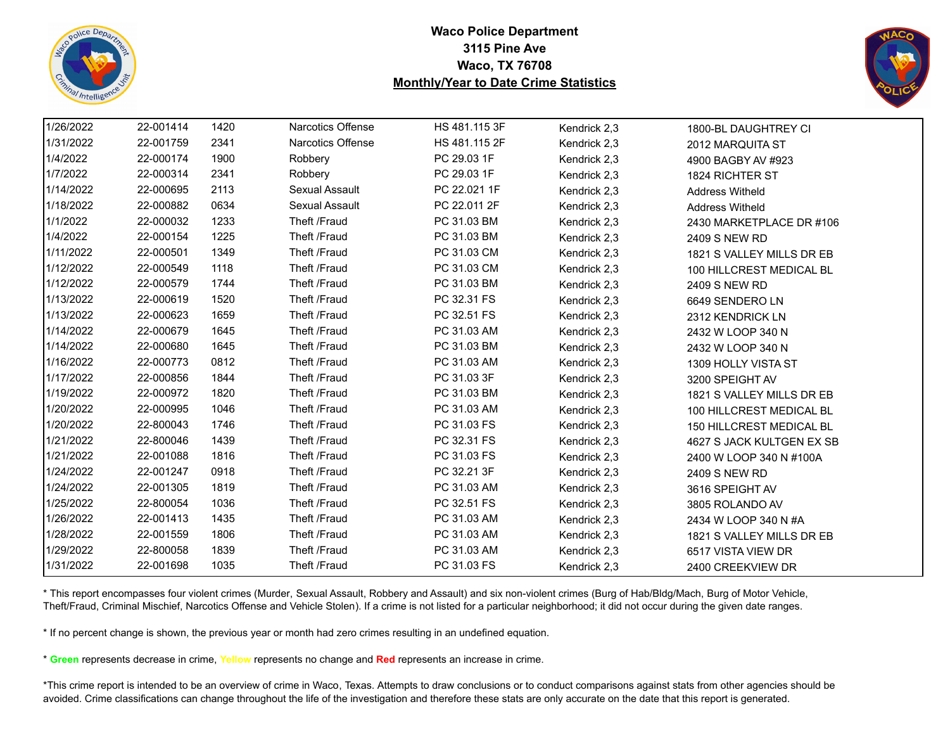



| 1/26/2022 | 22-001414 | 1420 | <b>Narcotics Offense</b> | HS 481.115 3F | Kendrick 2,3 | 1800-BL DAUGHTREY CI      |
|-----------|-----------|------|--------------------------|---------------|--------------|---------------------------|
| 1/31/2022 | 22-001759 | 2341 | Narcotics Offense        | HS 481.115 2F | Kendrick 2,3 | 2012 MARQUITA ST          |
| 1/4/2022  | 22-000174 | 1900 | Robbery                  | PC 29.03 1F   | Kendrick 2,3 | 4900 BAGBY AV #923        |
| 1/7/2022  | 22-000314 | 2341 | Robbery                  | PC 29.03 1F   | Kendrick 2,3 | 1824 RICHTER ST           |
| 1/14/2022 | 22-000695 | 2113 | Sexual Assault           | PC 22.021 1F  | Kendrick 2,3 | <b>Address Witheld</b>    |
| 1/18/2022 | 22-000882 | 0634 | Sexual Assault           | PC 22.011 2F  | Kendrick 2,3 | <b>Address Witheld</b>    |
| 1/1/2022  | 22-000032 | 1233 | Theft /Fraud             | PC 31.03 BM   | Kendrick 2,3 | 2430 MARKETPLACE DR #106  |
| 1/4/2022  | 22-000154 | 1225 | Theft /Fraud             | PC 31.03 BM   | Kendrick 2,3 | 2409 S NEW RD             |
| 1/11/2022 | 22-000501 | 1349 | Theft /Fraud             | PC 31.03 CM   | Kendrick 2,3 | 1821 S VALLEY MILLS DR EB |
| 1/12/2022 | 22-000549 | 1118 | Theft /Fraud             | PC 31.03 CM   | Kendrick 2,3 | 100 HILLCREST MEDICAL BL  |
| 1/12/2022 | 22-000579 | 1744 | Theft /Fraud             | PC 31.03 BM   | Kendrick 2,3 | 2409 S NEW RD             |
| 1/13/2022 | 22-000619 | 1520 | Theft /Fraud             | PC 32.31 FS   | Kendrick 2,3 | 6649 SENDERO LN           |
| 1/13/2022 | 22-000623 | 1659 | Theft /Fraud             | PC 32.51 FS   | Kendrick 2,3 | 2312 KENDRICK LN          |
| 1/14/2022 | 22-000679 | 1645 | Theft /Fraud             | PC 31.03 AM   | Kendrick 2,3 | 2432 W LOOP 340 N         |
| 1/14/2022 | 22-000680 | 1645 | Theft /Fraud             | PC 31.03 BM   | Kendrick 2,3 | 2432 W LOOP 340 N         |
| 1/16/2022 | 22-000773 | 0812 | Theft /Fraud             | PC 31.03 AM   | Kendrick 2,3 | 1309 HOLLY VISTA ST       |
| 1/17/2022 | 22-000856 | 1844 | Theft /Fraud             | PC 31.03 3F   | Kendrick 2,3 | 3200 SPEIGHT AV           |
| 1/19/2022 | 22-000972 | 1820 | Theft /Fraud             | PC 31.03 BM   | Kendrick 2,3 | 1821 S VALLEY MILLS DR EB |
| 1/20/2022 | 22-000995 | 1046 | Theft /Fraud             | PC 31.03 AM   | Kendrick 2,3 | 100 HILLCREST MEDICAL BL  |
| 1/20/2022 | 22-800043 | 1746 | Theft /Fraud             | PC 31.03 FS   | Kendrick 2,3 | 150 HILLCREST MEDICAL BL  |
| 1/21/2022 | 22-800046 | 1439 | Theft /Fraud             | PC 32.31 FS   | Kendrick 2,3 | 4627 S JACK KULTGEN EX SB |
| 1/21/2022 | 22-001088 | 1816 | Theft /Fraud             | PC 31.03 FS   | Kendrick 2,3 | 2400 W LOOP 340 N #100A   |
| 1/24/2022 | 22-001247 | 0918 | Theft /Fraud             | PC 32.21 3F   | Kendrick 2,3 | 2409 S NEW RD             |
| 1/24/2022 | 22-001305 | 1819 | Theft /Fraud             | PC 31.03 AM   | Kendrick 2,3 | 3616 SPEIGHT AV           |
| 1/25/2022 | 22-800054 | 1036 | Theft /Fraud             | PC 32.51 FS   | Kendrick 2,3 | 3805 ROLANDO AV           |
| 1/26/2022 | 22-001413 | 1435 | Theft /Fraud             | PC 31.03 AM   | Kendrick 2,3 | 2434 W LOOP 340 N #A      |
| 1/28/2022 | 22-001559 | 1806 | Theft /Fraud             | PC 31.03 AM   | Kendrick 2,3 | 1821 S VALLEY MILLS DR EB |
| 1/29/2022 | 22-800058 | 1839 | Theft /Fraud             | PC 31.03 AM   | Kendrick 2,3 | 6517 VISTA VIEW DR        |
| 1/31/2022 | 22-001698 | 1035 | Theft /Fraud             | PC 31.03 FS   | Kendrick 2,3 | 2400 CREEKVIEW DR         |

\* This report encompasses four violent crimes (Murder, Sexual Assault, Robbery and Assault) and six non-violent crimes (Burg of Hab/Bldg/Mach, Burg of Motor Vehicle, Theft/Fraud, Criminal Mischief, Narcotics Offense and Vehicle Stolen). If a crime is not listed for a particular neighborhood; it did not occur during the given date ranges.

\* If no percent change is shown, the previous year or month had zero crimes resulting in an undefined equation.

\* **Green** represents decrease in crime, **Yellow** represents no change and **Red** represents an increase in crime.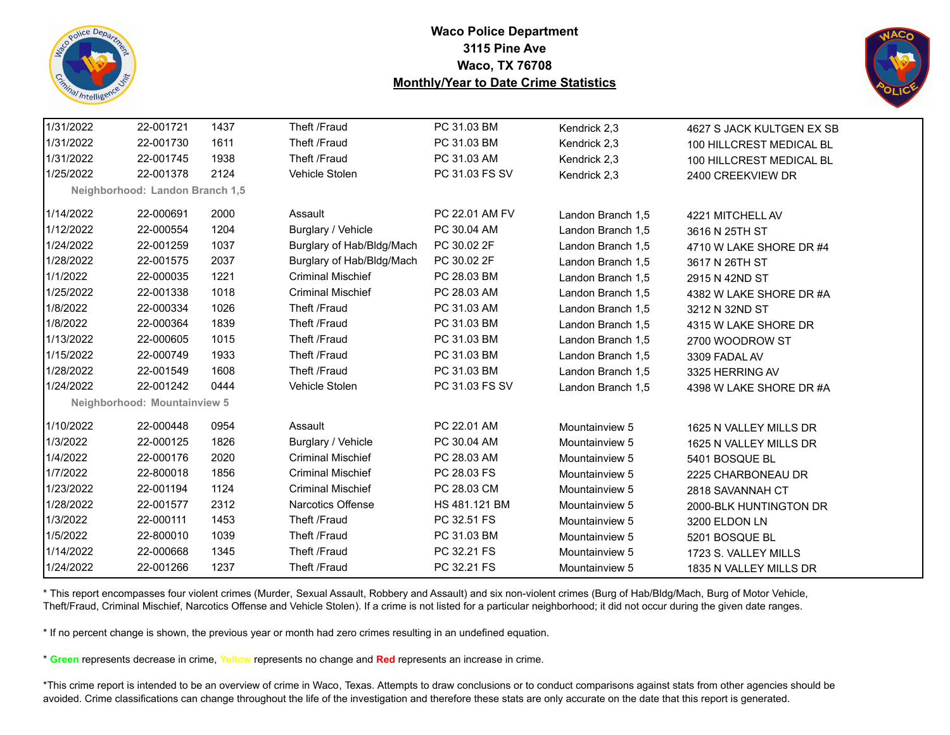



| 1/31/2022 | 22-001721                       | 1437 | Theft /Fraud              | PC 31.03 BM    | Kendrick 2,3      | 4627 S JACK KULTGEN EX SB |
|-----------|---------------------------------|------|---------------------------|----------------|-------------------|---------------------------|
| 1/31/2022 | 22-001730                       | 1611 | Theft /Fraud              | PC 31.03 BM    | Kendrick 2,3      | 100 HILLCREST MEDICAL BL  |
| 1/31/2022 | 22-001745                       | 1938 | Theft /Fraud              | PC 31.03 AM    | Kendrick 2,3      | 100 HILLCREST MEDICAL BL  |
| 1/25/2022 | 22-001378                       | 2124 | Vehicle Stolen            | PC 31.03 FS SV | Kendrick 2,3      | 2400 CREEKVIEW DR         |
|           | Neighborhood: Landon Branch 1,5 |      |                           |                |                   |                           |
| 1/14/2022 | 22-000691                       | 2000 | Assault                   | PC 22.01 AM FV | Landon Branch 1,5 | 4221 MITCHELL AV          |
| 1/12/2022 | 22-000554                       | 1204 | Burglary / Vehicle        | PC 30.04 AM    | Landon Branch 1,5 | 3616 N 25TH ST            |
| 1/24/2022 | 22-001259                       | 1037 | Burglary of Hab/Bldg/Mach | PC 30.02 2F    | Landon Branch 1,5 | 4710 W LAKE SHORE DR #4   |
| 1/28/2022 | 22-001575                       | 2037 | Burglary of Hab/Bldg/Mach | PC 30.02 2F    | Landon Branch 1,5 | 3617 N 26TH ST            |
| 1/1/2022  | 22-000035                       | 1221 | <b>Criminal Mischief</b>  | PC 28.03 BM    | Landon Branch 1,5 | 2915 N 42ND ST            |
| 1/25/2022 | 22-001338                       | 1018 | <b>Criminal Mischief</b>  | PC 28.03 AM    | Landon Branch 1,5 | 4382 W LAKE SHORE DR #A   |
| 1/8/2022  | 22-000334                       | 1026 | Theft /Fraud              | PC 31.03 AM    | Landon Branch 1,5 | 3212 N 32ND ST            |
| 1/8/2022  | 22-000364                       | 1839 | Theft /Fraud              | PC 31.03 BM    | Landon Branch 1,5 | 4315 W LAKE SHORE DR      |
| 1/13/2022 | 22-000605                       | 1015 | Theft /Fraud              | PC 31.03 BM    | Landon Branch 1,5 | 2700 WOODROW ST           |
| 1/15/2022 | 22-000749                       | 1933 | Theft /Fraud              | PC 31.03 BM    | Landon Branch 1,5 | 3309 FADAL AV             |
| 1/28/2022 | 22-001549                       | 1608 | Theft /Fraud              | PC 31.03 BM    | Landon Branch 1.5 | 3325 HERRING AV           |
| 1/24/2022 | 22-001242                       | 0444 | Vehicle Stolen            | PC 31.03 FS SV | Landon Branch 1,5 | 4398 W LAKE SHORE DR #A   |
|           | Neighborhood: Mountainview 5    |      |                           |                |                   |                           |
| 1/10/2022 | 22-000448                       | 0954 | Assault                   | PC 22.01 AM    | Mountainview 5    | 1625 N VALLEY MILLS DR    |
| 1/3/2022  | 22-000125                       | 1826 | Burglary / Vehicle        | PC 30.04 AM    | Mountainview 5    | 1625 N VALLEY MILLS DR    |
| 1/4/2022  | 22-000176                       | 2020 | <b>Criminal Mischief</b>  | PC 28.03 AM    | Mountainview 5    | 5401 BOSQUE BL            |
| 1/7/2022  | 22-800018                       | 1856 | <b>Criminal Mischief</b>  | PC 28.03 FS    | Mountainview 5    | 2225 CHARBONEAU DR        |
| 1/23/2022 | 22-001194                       | 1124 | <b>Criminal Mischief</b>  | PC 28.03 CM    | Mountainview 5    | 2818 SAVANNAH CT          |
| 1/28/2022 | 22-001577                       | 2312 | <b>Narcotics Offense</b>  | HS 481.121 BM  | Mountainview 5    | 2000-BLK HUNTINGTON DR    |
| 1/3/2022  | 22-000111                       | 1453 | Theft /Fraud              | PC 32.51 FS    | Mountainview 5    | 3200 ELDON LN             |
| 1/5/2022  | 22-800010                       | 1039 | Theft /Fraud              | PC 31.03 BM    | Mountainview 5    | 5201 BOSQUE BL            |
| 1/14/2022 | 22-000668                       | 1345 | Theft /Fraud              | PC 32.21 FS    | Mountainview 5    | 1723 S. VALLEY MILLS      |
| 1/24/2022 | 22-001266                       | 1237 | Theft /Fraud              | PC 32.21 FS    | Mountainview 5    | 1835 N VALLEY MILLS DR    |

\* This report encompasses four violent crimes (Murder, Sexual Assault, Robbery and Assault) and six non-violent crimes (Burg of Hab/Bldg/Mach, Burg of Motor Vehicle, Theft/Fraud, Criminal Mischief, Narcotics Offense and Vehicle Stolen). If a crime is not listed for a particular neighborhood; it did not occur during the given date ranges.

\* If no percent change is shown, the previous year or month had zero crimes resulting in an undefined equation.

\* **Green** represents decrease in crime, **Yellow** represents no change and **Red** represents an increase in crime.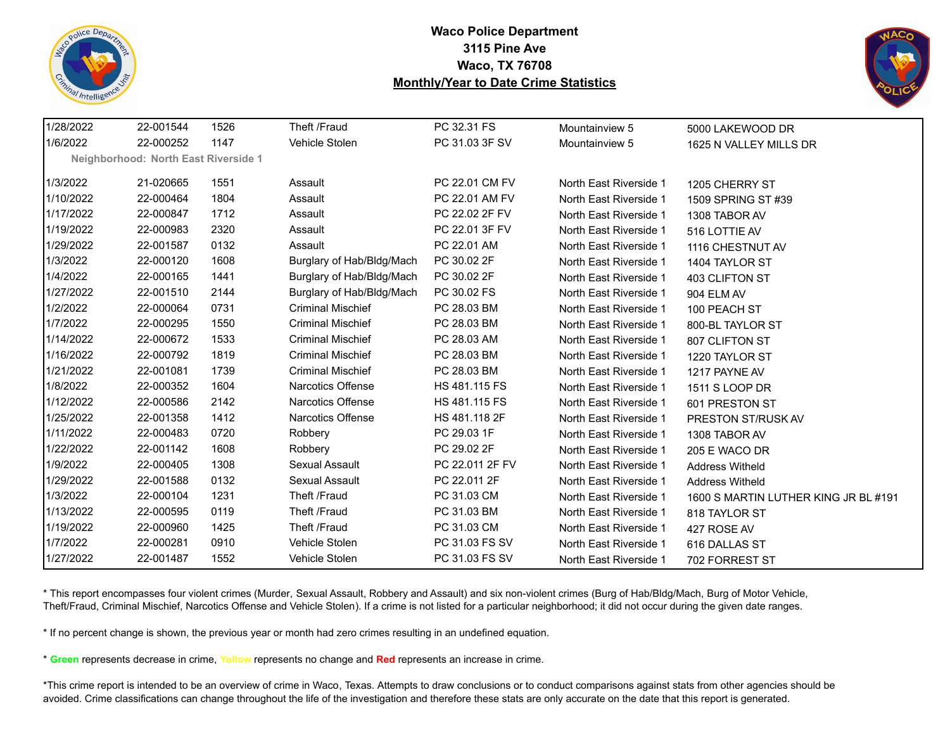



| 1/28/2022 | 22-001544                                   | 1526 | Theft /Fraud              | PC 32.31 FS          | Mountainview 5         | 5000 LAKEWOOD DR                     |
|-----------|---------------------------------------------|------|---------------------------|----------------------|------------------------|--------------------------------------|
| 1/6/2022  | 22-000252                                   | 1147 | Vehicle Stolen            | PC 31.03 3F SV       | Mountainview 5         | 1625 N VALLEY MILLS DR               |
|           | <b>Neighborhood: North East Riverside 1</b> |      |                           |                      |                        |                                      |
| 1/3/2022  | 21-020665                                   | 1551 | Assault                   | PC 22.01 CM FV       | North East Riverside 1 | 1205 CHERRY ST                       |
| 1/10/2022 | 22-000464                                   | 1804 | Assault                   | PC 22.01 AM FV       | North East Riverside 1 | 1509 SPRING ST #39                   |
| 1/17/2022 | 22-000847                                   | 1712 | Assault                   | PC 22.02 2F FV       | North East Riverside 1 | 1308 TABOR AV                        |
| 1/19/2022 | 22-000983                                   | 2320 | Assault                   | PC 22.01 3F FV       | North East Riverside 1 | 516 LOTTIE AV                        |
| 1/29/2022 | 22-001587                                   | 0132 | Assault                   | PC 22.01 AM          | North East Riverside 1 | 1116 CHESTNUT AV                     |
| 1/3/2022  | 22-000120                                   | 1608 | Burglary of Hab/Bldg/Mach | PC 30.02 2F          | North East Riverside 1 | 1404 TAYLOR ST                       |
| 1/4/2022  | 22-000165                                   | 1441 | Burglary of Hab/Bldg/Mach | PC 30.02 2F          | North East Riverside 1 | 403 CLIFTON ST                       |
| 1/27/2022 | 22-001510                                   | 2144 | Burglary of Hab/Bldg/Mach | PC 30.02 FS          | North East Riverside 1 | 904 ELM AV                           |
| 1/2/2022  | 22-000064                                   | 0731 | <b>Criminal Mischief</b>  | PC 28.03 BM          | North East Riverside 1 | 100 PEACH ST                         |
| 1/7/2022  | 22-000295                                   | 1550 | <b>Criminal Mischief</b>  | PC 28.03 BM          | North East Riverside 1 | 800-BL TAYLOR ST                     |
| 1/14/2022 | 22-000672                                   | 1533 | <b>Criminal Mischief</b>  | PC 28.03 AM          | North East Riverside 1 | 807 CLIFTON ST                       |
| 1/16/2022 | 22-000792                                   | 1819 | <b>Criminal Mischief</b>  | PC 28.03 BM          | North East Riverside 1 | 1220 TAYLOR ST                       |
| 1/21/2022 | 22-001081                                   | 1739 | <b>Criminal Mischief</b>  | PC 28.03 BM          | North East Riverside 1 | 1217 PAYNE AV                        |
| 1/8/2022  | 22-000352                                   | 1604 | <b>Narcotics Offense</b>  | <b>HS 481.115 FS</b> | North East Riverside 1 | 1511 S LOOP DR                       |
| 1/12/2022 | 22-000586                                   | 2142 | <b>Narcotics Offense</b>  | HS 481.115 FS        | North East Riverside 1 | 601 PRESTON ST                       |
| 1/25/2022 | 22-001358                                   | 1412 | <b>Narcotics Offense</b>  | HS 481.118 2F        | North East Riverside 1 | PRESTON ST/RUSK AV                   |
| 1/11/2022 | 22-000483                                   | 0720 | Robbery                   | PC 29.03 1F          | North East Riverside 1 | 1308 TABOR AV                        |
| 1/22/2022 | 22-001142                                   | 1608 | Robbery                   | PC 29.02 2F          | North East Riverside 1 | 205 E WACO DR                        |
| 1/9/2022  | 22-000405                                   | 1308 | Sexual Assault            | PC 22.011 2F FV      | North East Riverside 1 | <b>Address Witheld</b>               |
| 1/29/2022 | 22-001588                                   | 0132 | Sexual Assault            | PC 22.011 2F         | North East Riverside 1 | <b>Address Witheld</b>               |
| 1/3/2022  | 22-000104                                   | 1231 | Theft /Fraud              | PC 31.03 CM          | North East Riverside 1 | 1600 S MARTIN LUTHER KING JR BL #191 |
| 1/13/2022 | 22-000595                                   | 0119 | Theft /Fraud              | PC 31.03 BM          | North East Riverside 1 | 818 TAYLOR ST                        |
| 1/19/2022 | 22-000960                                   | 1425 | Theft /Fraud              | PC 31.03 CM          | North East Riverside 1 | 427 ROSE AV                          |
| 1/7/2022  | 22-000281                                   | 0910 | Vehicle Stolen            | PC 31.03 FS SV       | North East Riverside 1 | 616 DALLAS ST                        |
| 1/27/2022 | 22-001487                                   | 1552 | Vehicle Stolen            | PC 31.03 FS SV       | North East Riverside 1 | 702 FORREST ST                       |

\* This report encompasses four violent crimes (Murder, Sexual Assault, Robbery and Assault) and six non-violent crimes (Burg of Hab/Bldg/Mach, Burg of Motor Vehicle, Theft/Fraud, Criminal Mischief, Narcotics Offense and Vehicle Stolen). If a crime is not listed for a particular neighborhood; it did not occur during the given date ranges.

\* If no percent change is shown, the previous year or month had zero crimes resulting in an undefined equation.

\* **Green** represents decrease in crime, **Yellow** represents no change and **Red** represents an increase in crime.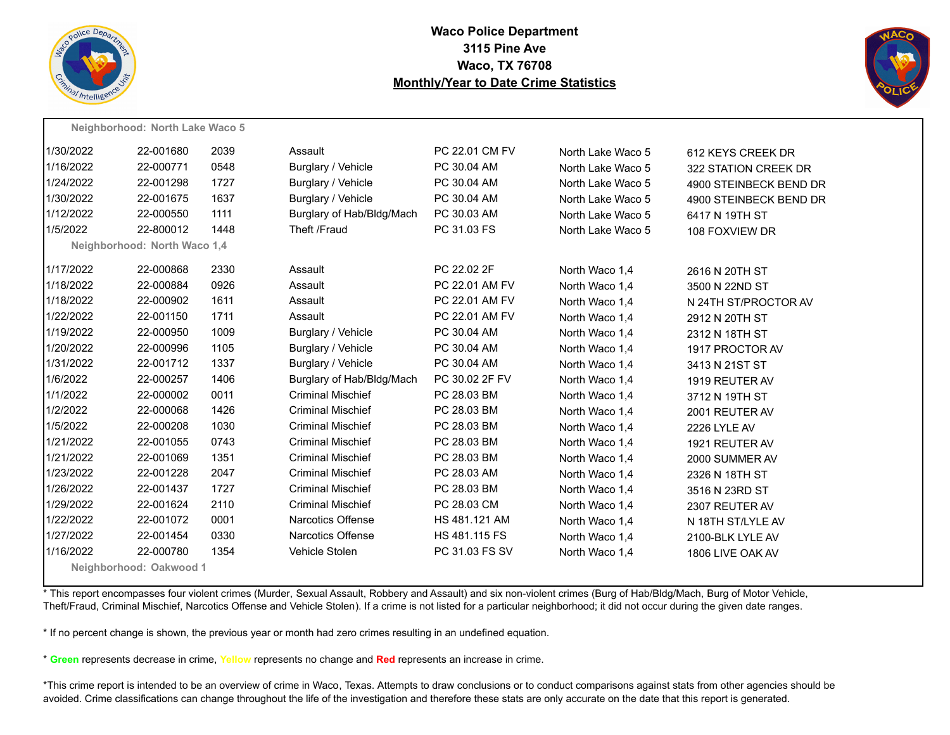



|           | Neighborhood: North Lake Waco 5 |      |                           |                |                   |                        |
|-----------|---------------------------------|------|---------------------------|----------------|-------------------|------------------------|
| 1/30/2022 | 22-001680                       | 2039 | Assault                   | PC 22.01 CM FV | North Lake Waco 5 | 612 KEYS CREEK DR      |
| 1/16/2022 | 22-000771                       | 0548 | Burglary / Vehicle        | PC 30.04 AM    | North Lake Waco 5 | 322 STATION CREEK DR   |
| 1/24/2022 | 22-001298                       | 1727 | Burglary / Vehicle        | PC 30.04 AM    | North Lake Waco 5 | 4900 STEINBECK BEND DR |
| 1/30/2022 | 22-001675                       | 1637 | Burglary / Vehicle        | PC 30.04 AM    | North Lake Waco 5 | 4900 STEINBECK BEND DR |
| 1/12/2022 | 22-000550                       | 1111 | Burglary of Hab/Bldg/Mach | PC 30.03 AM    | North Lake Waco 5 | 6417 N 19TH ST         |
| 1/5/2022  | 22-800012                       | 1448 | Theft /Fraud              | PC 31.03 FS    | North Lake Waco 5 | 108 FOXVIEW DR         |
|           | Neighborhood: North Waco 1,4    |      |                           |                |                   |                        |
| 1/17/2022 | 22-000868                       | 2330 | Assault                   | PC 22.02 2F    | North Waco 1,4    | 2616 N 20TH ST         |
| 1/18/2022 | 22-000884                       | 0926 | Assault                   | PC 22.01 AM FV | North Waco 1,4    | 3500 N 22ND ST         |
| 1/18/2022 | 22-000902                       | 1611 | Assault                   | PC 22.01 AM FV | North Waco 1,4    | N 24TH ST/PROCTOR AV   |
| 1/22/2022 | 22-001150                       | 1711 | Assault                   | PC 22.01 AM FV | North Waco 1,4    | 2912 N 20TH ST         |
| 1/19/2022 | 22-000950                       | 1009 | Burglary / Vehicle        | PC 30.04 AM    | North Waco 1,4    | 2312 N 18TH ST         |
| 1/20/2022 | 22-000996                       | 1105 | Burglary / Vehicle        | PC 30.04 AM    | North Waco 1,4    | 1917 PROCTOR AV        |
| 1/31/2022 | 22-001712                       | 1337 | Burglary / Vehicle        | PC 30.04 AM    | North Waco 1,4    | 3413 N 21ST ST         |
| 1/6/2022  | 22-000257                       | 1406 | Burglary of Hab/Bldg/Mach | PC 30.02 2F FV | North Waco 1,4    | 1919 REUTER AV         |
| 1/1/2022  | 22-000002                       | 0011 | <b>Criminal Mischief</b>  | PC 28.03 BM    | North Waco 1.4    | 3712 N 19TH ST         |
| 1/2/2022  | 22-000068                       | 1426 | <b>Criminal Mischief</b>  | PC 28.03 BM    | North Waco 1,4    | 2001 REUTER AV         |
| 1/5/2022  | 22-000208                       | 1030 | <b>Criminal Mischief</b>  | PC 28.03 BM    | North Waco 1.4    | <b>2226 LYLE AV</b>    |
| 1/21/2022 | 22-001055                       | 0743 | <b>Criminal Mischief</b>  | PC 28.03 BM    | North Waco 1.4    | 1921 REUTER AV         |
| 1/21/2022 | 22-001069                       | 1351 | <b>Criminal Mischief</b>  | PC 28.03 BM    | North Waco 1,4    | 2000 SUMMER AV         |
| 1/23/2022 | 22-001228                       | 2047 | <b>Criminal Mischief</b>  | PC 28.03 AM    | North Waco 1,4    | 2326 N 18TH ST         |
| 1/26/2022 | 22-001437                       | 1727 | <b>Criminal Mischief</b>  | PC 28.03 BM    | North Waco 1,4    | 3516 N 23RD ST         |
| 1/29/2022 | 22-001624                       | 2110 | <b>Criminal Mischief</b>  | PC 28.03 CM    | North Waco 1,4    | 2307 REUTER AV         |
| 1/22/2022 | 22-001072                       | 0001 | <b>Narcotics Offense</b>  | HS 481.121 AM  | North Waco 1,4    | N 18TH ST/LYLE AV      |
| 1/27/2022 | 22-001454                       | 0330 | <b>Narcotics Offense</b>  | HS 481.115 FS  | North Waco 1,4    | 2100-BLK LYLE AV       |
| 1/16/2022 | 22-000780                       | 1354 | <b>Vehicle Stolen</b>     | PC 31.03 FS SV | North Waco 1,4    | 1806 LIVE OAK AV       |
|           | Neighborhood: Oakwood 1         |      |                           |                |                   |                        |

\* This report encompasses four violent crimes (Murder, Sexual Assault, Robbery and Assault) and six non-violent crimes (Burg of Hab/Bldg/Mach, Burg of Motor Vehicle, Theft/Fraud, Criminal Mischief, Narcotics Offense and Vehicle Stolen). If a crime is not listed for a particular neighborhood; it did not occur during the given date ranges.

\* If no percent change is shown, the previous year or month had zero crimes resulting in an undefined equation.

\* **Green** represents decrease in crime, **Yellow** represents no change and **Red** represents an increase in crime.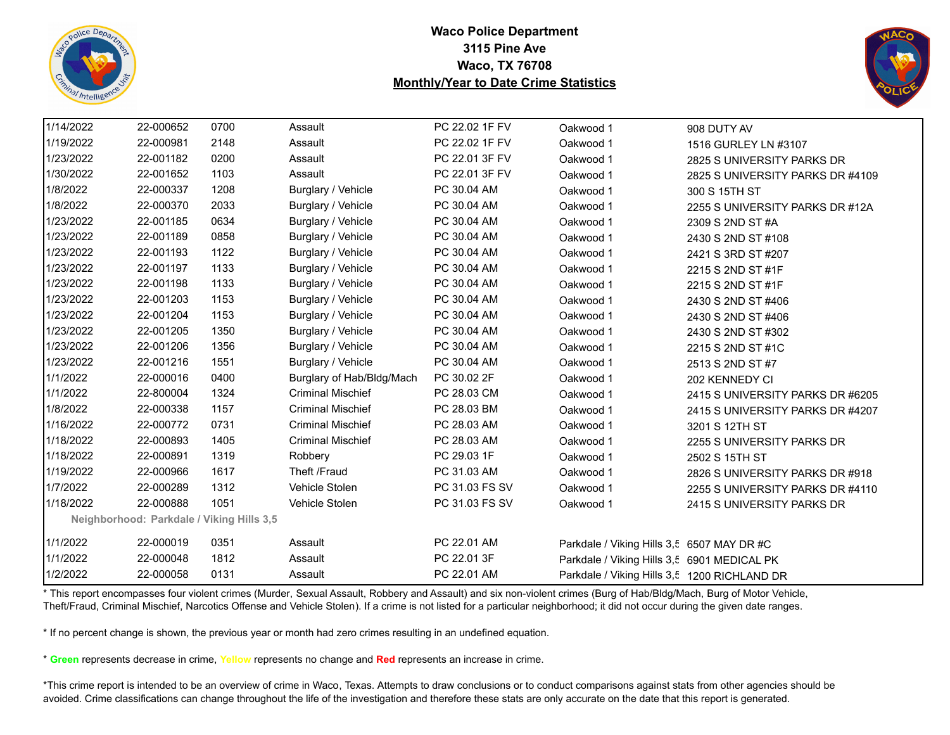



| 1/14/2022 | 22-000652                                 | 0700 | Assault                   | PC 22.02 1F FV | Oakwood 1                                    | 908 DUTY AV                      |
|-----------|-------------------------------------------|------|---------------------------|----------------|----------------------------------------------|----------------------------------|
| 1/19/2022 | 22-000981                                 | 2148 | Assault                   | PC 22.02 1F FV | Oakwood 1                                    | 1516 GURLEY LN #3107             |
| 1/23/2022 | 22-001182                                 | 0200 | Assault                   | PC 22.01 3F FV | Oakwood 1                                    | 2825 S UNIVERSITY PARKS DR       |
| 1/30/2022 | 22-001652                                 | 1103 | Assault                   | PC 22.01 3F FV | Oakwood 1                                    | 2825 S UNIVERSITY PARKS DR #4109 |
| 1/8/2022  | 22-000337                                 | 1208 | Burglary / Vehicle        | PC 30.04 AM    | Oakwood 1                                    | 300 S 15TH ST                    |
| 1/8/2022  | 22-000370                                 | 2033 | Burglary / Vehicle        | PC 30.04 AM    | Oakwood 1                                    | 2255 S UNIVERSITY PARKS DR #12A  |
| 1/23/2022 | 22-001185                                 | 0634 | Burglary / Vehicle        | PC 30.04 AM    | Oakwood 1                                    | 2309 S 2ND ST #A                 |
| 1/23/2022 | 22-001189                                 | 0858 | Burglary / Vehicle        | PC 30.04 AM    | Oakwood 1                                    | 2430 S 2ND ST #108               |
| 1/23/2022 | 22-001193                                 | 1122 | Burglary / Vehicle        | PC 30.04 AM    | Oakwood 1                                    | 2421 S 3RD ST #207               |
| 1/23/2022 | 22-001197                                 | 1133 | Burglary / Vehicle        | PC 30.04 AM    | Oakwood 1                                    | 2215 S 2ND ST #1F                |
| 1/23/2022 | 22-001198                                 | 1133 | Burglary / Vehicle        | PC 30.04 AM    | Oakwood 1                                    | 2215 S 2ND ST #1F                |
| 1/23/2022 | 22-001203                                 | 1153 | Burglary / Vehicle        | PC 30.04 AM    | Oakwood 1                                    | 2430 S 2ND ST #406               |
| 1/23/2022 | 22-001204                                 | 1153 | Burglary / Vehicle        | PC 30.04 AM    | Oakwood 1                                    | 2430 S 2ND ST #406               |
| 1/23/2022 | 22-001205                                 | 1350 | Burglary / Vehicle        | PC 30.04 AM    | Oakwood 1                                    | 2430 S 2ND ST #302               |
| 1/23/2022 | 22-001206                                 | 1356 | Burglary / Vehicle        | PC 30.04 AM    | Oakwood 1                                    | 2215 S 2ND ST #1C                |
| 1/23/2022 | 22-001216                                 | 1551 | Burglary / Vehicle        | PC 30.04 AM    | Oakwood 1                                    | 2513 S 2ND ST #7                 |
| 1/1/2022  | 22-000016                                 | 0400 | Burglary of Hab/Bldg/Mach | PC 30.02 2F    | Oakwood 1                                    | 202 KENNEDY CI                   |
| 1/1/2022  | 22-800004                                 | 1324 | <b>Criminal Mischief</b>  | PC 28.03 CM    | Oakwood 1                                    | 2415 S UNIVERSITY PARKS DR #6205 |
| 1/8/2022  | 22-000338                                 | 1157 | <b>Criminal Mischief</b>  | PC 28.03 BM    | Oakwood 1                                    | 2415 S UNIVERSITY PARKS DR #4207 |
| 1/16/2022 | 22-000772                                 | 0731 | <b>Criminal Mischief</b>  | PC 28.03 AM    | Oakwood 1                                    | 3201 S 12TH ST                   |
| 1/18/2022 | 22-000893                                 | 1405 | <b>Criminal Mischief</b>  | PC 28.03 AM    | Oakwood 1                                    | 2255 S UNIVERSITY PARKS DR       |
| 1/18/2022 | 22-000891                                 | 1319 | Robbery                   | PC 29.03 1F    | Oakwood 1                                    | 2502 S 15TH ST                   |
| 1/19/2022 | 22-000966                                 | 1617 | Theft /Fraud              | PC 31.03 AM    | Oakwood 1                                    | 2826 S UNIVERSITY PARKS DR #918  |
| 1/7/2022  | 22-000289                                 | 1312 | Vehicle Stolen            | PC 31.03 FS SV | Oakwood 1                                    | 2255 S UNIVERSITY PARKS DR #4110 |
| 1/18/2022 | 22-000888                                 | 1051 | Vehicle Stolen            | PC 31.03 FS SV | Oakwood 1                                    | 2415 S UNIVERSITY PARKS DR       |
|           | Neighborhood: Parkdale / Viking Hills 3,5 |      |                           |                |                                              |                                  |
| 1/1/2022  | 22-000019                                 | 0351 | Assault                   | PC 22.01 AM    | Parkdale / Viking Hills 3,5 6507 MAY DR #C   |                                  |
| 1/1/2022  | 22-000048                                 | 1812 | Assault                   | PC 22.01 3F    | Parkdale / Viking Hills 3,5 6901 MEDICAL PK  |                                  |
| 1/2/2022  | 22-000058                                 | 0131 | Assault                   | PC 22.01 AM    | Parkdale / Viking Hills 3,5 1200 RICHLAND DR |                                  |

\* This report encompasses four violent crimes (Murder, Sexual Assault, Robbery and Assault) and six non-violent crimes (Burg of Hab/Bldg/Mach, Burg of Motor Vehicle, Theft/Fraud, Criminal Mischief, Narcotics Offense and Vehicle Stolen). If a crime is not listed for a particular neighborhood; it did not occur during the given date ranges.

\* If no percent change is shown, the previous year or month had zero crimes resulting in an undefined equation.

\* **Green** represents decrease in crime, **Yellow** represents no change and **Red** represents an increase in crime.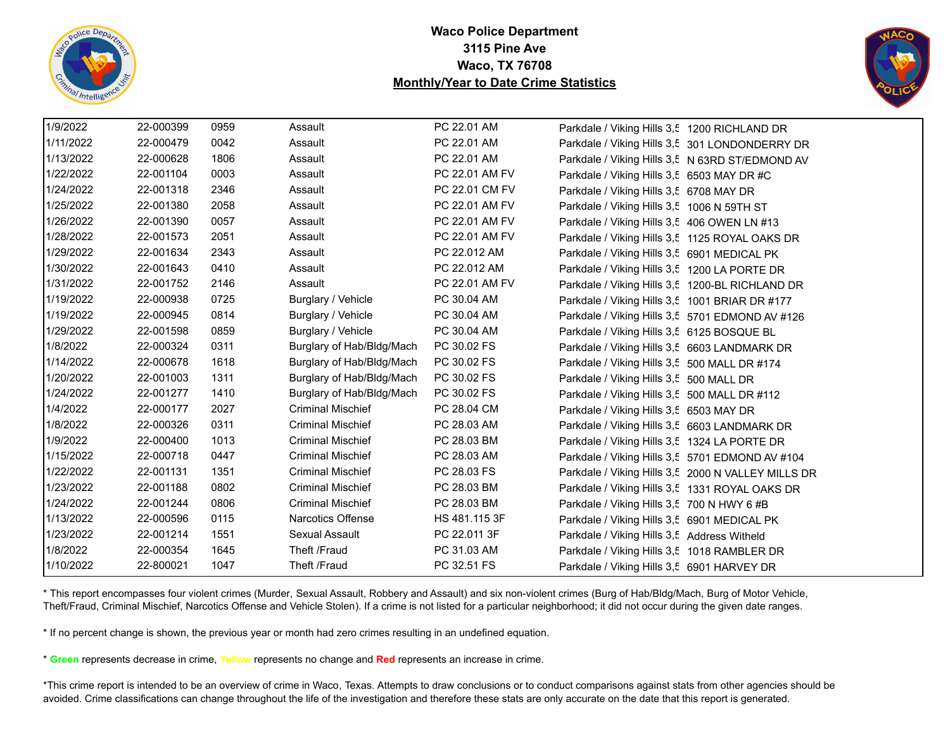



| 1/9/2022  | 22-000399 | 0959 | Assault                   | PC 22.01 AM    | Parkdale / Viking Hills 3,5 1200 RICHLAND DR       |
|-----------|-----------|------|---------------------------|----------------|----------------------------------------------------|
| 1/11/2022 | 22-000479 | 0042 | Assault                   | PC 22.01 AM    | Parkdale / Viking Hills 3,5 301 LONDONDERRY DR     |
| 1/13/2022 | 22-000628 | 1806 | Assault                   | PC 22.01 AM    | Parkdale / Viking Hills 3,5 N 63RD ST/EDMOND AV    |
| 1/22/2022 | 22-001104 | 0003 | Assault                   | PC 22.01 AM FV | Parkdale / Viking Hills 3,5 6503 MAY DR #C         |
| 1/24/2022 | 22-001318 | 2346 | Assault                   | PC 22.01 CM FV | Parkdale / Viking Hills 3,5 6708 MAY DR            |
| 1/25/2022 | 22-001380 | 2058 | Assault                   | PC 22.01 AM FV | Parkdale / Viking Hills 3,5 1006 N 59TH ST         |
| 1/26/2022 | 22-001390 | 0057 | Assault                   | PC 22.01 AM FV | Parkdale / Viking Hills 3,5 406 OWEN LN #13        |
| 1/28/2022 | 22-001573 | 2051 | Assault                   | PC 22.01 AM FV | Parkdale / Viking Hills 3,5 1125 ROYAL OAKS DR     |
| 1/29/2022 | 22-001634 | 2343 | Assault                   | PC 22.012 AM   | Parkdale / Viking Hills 3,5 6901 MEDICAL PK        |
| 1/30/2022 | 22-001643 | 0410 | Assault                   | PC 22.012 AM   | Parkdale / Viking Hills 3,5 1200 LA PORTE DR       |
| 1/31/2022 | 22-001752 | 2146 | Assault                   | PC 22.01 AM FV | Parkdale / Viking Hills 3,5 1200-BL RICHLAND DR    |
| 1/19/2022 | 22-000938 | 0725 | Burglary / Vehicle        | PC 30.04 AM    | Parkdale / Viking Hills 3,5 1001 BRIAR DR #177     |
| 1/19/2022 | 22-000945 | 0814 | Burglary / Vehicle        | PC 30.04 AM    | Parkdale / Viking Hills 3,5 5701 EDMOND AV #126    |
| 1/29/2022 | 22-001598 | 0859 | Burglary / Vehicle        | PC 30.04 AM    | Parkdale / Viking Hills 3,5 6125 BOSQUE BL         |
| 1/8/2022  | 22-000324 | 0311 | Burglary of Hab/Bldg/Mach | PC 30.02 FS    | Parkdale / Viking Hills 3,5 6603 LANDMARK DR       |
| 1/14/2022 | 22-000678 | 1618 | Burglary of Hab/Bldg/Mach | PC 30.02 FS    | Parkdale / Viking Hills 3,5 500 MALL DR #174       |
| 1/20/2022 | 22-001003 | 1311 | Burglary of Hab/Bldg/Mach | PC 30.02 FS    | Parkdale / Viking Hills 3,5 500 MALL DR            |
| 1/24/2022 | 22-001277 | 1410 | Burglary of Hab/Bldg/Mach | PC 30.02 FS    | Parkdale / Viking Hills 3,5 500 MALL DR #112       |
| 1/4/2022  | 22-000177 | 2027 | <b>Criminal Mischief</b>  | PC 28.04 CM    | Parkdale / Viking Hills 3,5 6503 MAY DR            |
| 1/8/2022  | 22-000326 | 0311 | <b>Criminal Mischief</b>  | PC 28.03 AM    | Parkdale / Viking Hills 3,5 6603 LANDMARK DR       |
| 1/9/2022  | 22-000400 | 1013 | <b>Criminal Mischief</b>  | PC 28.03 BM    | Parkdale / Viking Hills 3,5 1324 LA PORTE DR       |
| 1/15/2022 | 22-000718 | 0447 | <b>Criminal Mischief</b>  | PC 28.03 AM    | Parkdale / Viking Hills 3,5 5701 EDMOND AV #104    |
| 1/22/2022 | 22-001131 | 1351 | <b>Criminal Mischief</b>  | PC 28.03 FS    | Parkdale / Viking Hills 3,5 2000 N VALLEY MILLS DR |
| 1/23/2022 | 22-001188 | 0802 | <b>Criminal Mischief</b>  | PC 28.03 BM    | Parkdale / Viking Hills 3,5 1331 ROYAL OAKS DR     |
| 1/24/2022 | 22-001244 | 0806 | <b>Criminal Mischief</b>  | PC 28.03 BM    | Parkdale / Viking Hills 3,5 700 N HWY 6 #B         |
| 1/13/2022 | 22-000596 | 0115 | Narcotics Offense         | HS 481.115 3F  | Parkdale / Viking Hills 3,5 6901 MEDICAL PK        |
| 1/23/2022 | 22-001214 | 1551 | Sexual Assault            | PC 22.011 3F   | Parkdale / Viking Hills 3,5 Address Witheld        |
| 1/8/2022  | 22-000354 | 1645 | Theft /Fraud              | PC 31.03 AM    | Parkdale / Viking Hills 3,5 1018 RAMBLER DR        |
| 1/10/2022 | 22-800021 | 1047 | Theft /Fraud              | PC 32.51 FS    | Parkdale / Viking Hills 3,5 6901 HARVEY DR         |

\* This report encompasses four violent crimes (Murder, Sexual Assault, Robbery and Assault) and six non-violent crimes (Burg of Hab/Bldg/Mach, Burg of Motor Vehicle, Theft/Fraud, Criminal Mischief, Narcotics Offense and Vehicle Stolen). If a crime is not listed for a particular neighborhood; it did not occur during the given date ranges.

\* If no percent change is shown, the previous year or month had zero crimes resulting in an undefined equation.

\* **Green** represents decrease in crime, **Yellow** represents no change and **Red** represents an increase in crime.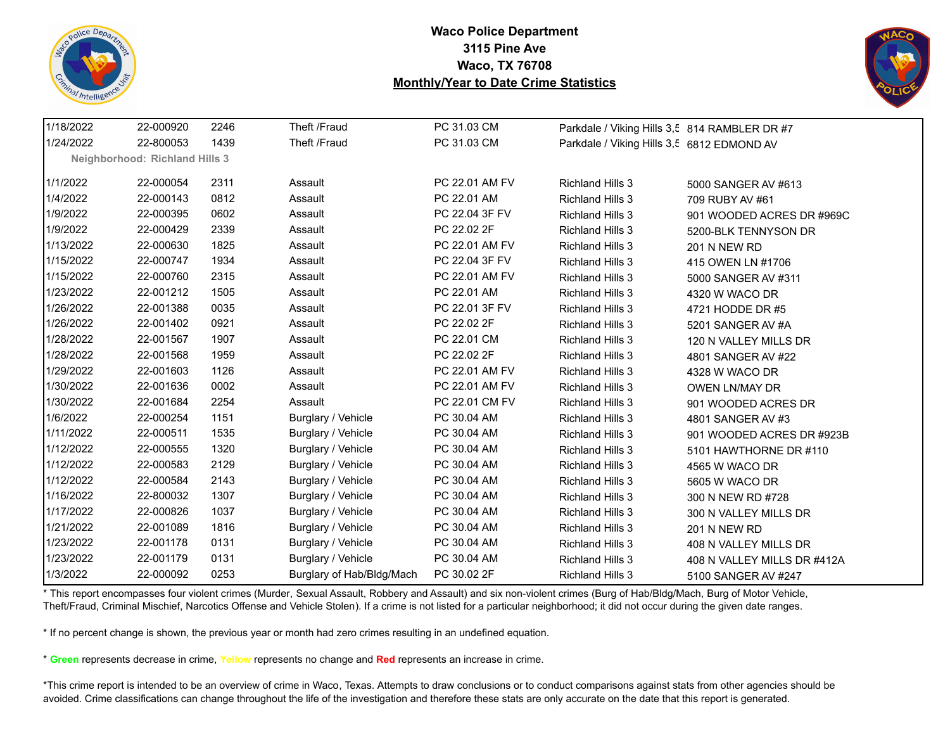



| 1/18/2022 | 22-000920                             | 2246 | Theft /Fraud              | PC 31.03 CM    | Parkdale / Viking Hills 3,5 814 RAMBLER DR #7 |                             |
|-----------|---------------------------------------|------|---------------------------|----------------|-----------------------------------------------|-----------------------------|
| 1/24/2022 | 22-800053                             | 1439 | Theft /Fraud              | PC 31.03 CM    | Parkdale / Viking Hills 3,5 6812 EDMOND AV    |                             |
|           | <b>Neighborhood: Richland Hills 3</b> |      |                           |                |                                               |                             |
| 1/1/2022  | 22-000054                             | 2311 | Assault                   | PC 22.01 AM FV | <b>Richland Hills 3</b>                       | 5000 SANGER AV #613         |
| 1/4/2022  | 22-000143                             | 0812 | Assault                   | PC 22.01 AM    | <b>Richland Hills 3</b>                       | 709 RUBY AV #61             |
| 1/9/2022  | 22-000395                             | 0602 | Assault                   | PC 22.04 3F FV | <b>Richland Hills 3</b>                       | 901 WOODED ACRES DR #969C   |
| 1/9/2022  | 22-000429                             | 2339 | Assault                   | PC 22.02 2F    | <b>Richland Hills 3</b>                       | 5200-BLK TENNYSON DR        |
| 1/13/2022 | 22-000630                             | 1825 | Assault                   | PC 22.01 AM FV | <b>Richland Hills 3</b>                       | <b>201 N NEW RD</b>         |
| 1/15/2022 | 22-000747                             | 1934 | Assault                   | PC 22.04 3F FV | <b>Richland Hills 3</b>                       | 415 OWEN LN #1706           |
| 1/15/2022 | 22-000760                             | 2315 | Assault                   | PC 22.01 AM FV | <b>Richland Hills 3</b>                       | 5000 SANGER AV #311         |
| 1/23/2022 | 22-001212                             | 1505 | Assault                   | PC 22.01 AM    | <b>Richland Hills 3</b>                       | 4320 W WACO DR              |
| 1/26/2022 | 22-001388                             | 0035 | Assault                   | PC 22.01 3F FV | <b>Richland Hills 3</b>                       | 4721 HODDE DR #5            |
| 1/26/2022 | 22-001402                             | 0921 | Assault                   | PC 22.02 2F    | <b>Richland Hills 3</b>                       | 5201 SANGER AV #A           |
| 1/28/2022 | 22-001567                             | 1907 | Assault                   | PC 22.01 CM    | <b>Richland Hills 3</b>                       | 120 N VALLEY MILLS DR       |
| 1/28/2022 | 22-001568                             | 1959 | Assault                   | PC 22.02 2F    | <b>Richland Hills 3</b>                       | 4801 SANGER AV #22          |
| 1/29/2022 | 22-001603                             | 1126 | Assault                   | PC 22.01 AM FV | <b>Richland Hills 3</b>                       | 4328 W WACO DR              |
| 1/30/2022 | 22-001636                             | 0002 | Assault                   | PC 22.01 AM FV | <b>Richland Hills 3</b>                       | OWEN LN/MAY DR              |
| 1/30/2022 | 22-001684                             | 2254 | Assault                   | PC 22.01 CM FV | <b>Richland Hills 3</b>                       | 901 WOODED ACRES DR         |
| 1/6/2022  | 22-000254                             | 1151 | Burglary / Vehicle        | PC 30.04 AM    | <b>Richland Hills 3</b>                       | 4801 SANGER AV #3           |
| 1/11/2022 | 22-000511                             | 1535 | Burglary / Vehicle        | PC 30.04 AM    | <b>Richland Hills 3</b>                       | 901 WOODED ACRES DR #923B   |
| 1/12/2022 | 22-000555                             | 1320 | Burglary / Vehicle        | PC 30.04 AM    | <b>Richland Hills 3</b>                       | 5101 HAWTHORNE DR #110      |
| 1/12/2022 | 22-000583                             | 2129 | Burglary / Vehicle        | PC 30.04 AM    | <b>Richland Hills 3</b>                       | 4565 W WACO DR              |
| 1/12/2022 | 22-000584                             | 2143 | Burglary / Vehicle        | PC 30.04 AM    | <b>Richland Hills 3</b>                       | 5605 W WACO DR              |
| 1/16/2022 | 22-800032                             | 1307 | Burglary / Vehicle        | PC 30.04 AM    | <b>Richland Hills 3</b>                       | 300 N NEW RD #728           |
| 1/17/2022 | 22-000826                             | 1037 | Burglary / Vehicle        | PC 30.04 AM    | <b>Richland Hills 3</b>                       | 300 N VALLEY MILLS DR       |
| 1/21/2022 | 22-001089                             | 1816 | Burglary / Vehicle        | PC 30.04 AM    | <b>Richland Hills 3</b>                       | <b>201 N NEW RD</b>         |
| 1/23/2022 | 22-001178                             | 0131 | Burglary / Vehicle        | PC 30.04 AM    | <b>Richland Hills 3</b>                       | 408 N VALLEY MILLS DR       |
| 1/23/2022 | 22-001179                             | 0131 | Burglary / Vehicle        | PC 30.04 AM    | <b>Richland Hills 3</b>                       | 408 N VALLEY MILLS DR #412A |
| 1/3/2022  | 22-000092                             | 0253 | Burglary of Hab/Bldg/Mach | PC 30.02 2F    | <b>Richland Hills 3</b>                       | 5100 SANGER AV #247         |

\* This report encompasses four violent crimes (Murder, Sexual Assault, Robbery and Assault) and six non-violent crimes (Burg of Hab/Bldg/Mach, Burg of Motor Vehicle, Theft/Fraud, Criminal Mischief, Narcotics Offense and Vehicle Stolen). If a crime is not listed for a particular neighborhood; it did not occur during the given date ranges.

\* If no percent change is shown, the previous year or month had zero crimes resulting in an undefined equation.

\* **Green** represents decrease in crime, **Yellow** represents no change and **Red** represents an increase in crime.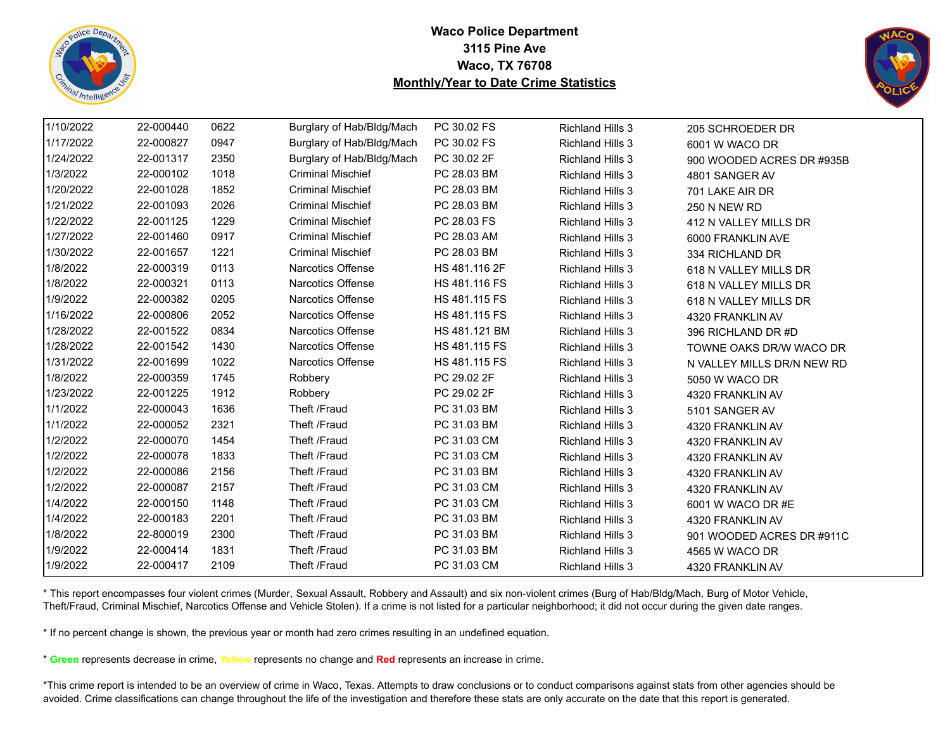



| 1/10/2022 |           |      |                           |                      |                         |                            |
|-----------|-----------|------|---------------------------|----------------------|-------------------------|----------------------------|
|           | 22-000440 | 0622 | Burglary of Hab/Bldg/Mach | PC 30.02 FS          | <b>Richland Hills 3</b> | 205 SCHROEDER DR           |
| 1/17/2022 | 22-000827 | 0947 | Burglary of Hab/Bldg/Mach | PC 30.02 FS          | <b>Richland Hills 3</b> | 6001 W WACO DR             |
| 1/24/2022 | 22-001317 | 2350 | Burglary of Hab/Bldg/Mach | PC 30.02 2F          | <b>Richland Hills 3</b> | 900 WOODED ACRES DR #935B  |
| 1/3/2022  | 22-000102 | 1018 | <b>Criminal Mischief</b>  | PC 28.03 BM          | <b>Richland Hills 3</b> | 4801 SANGER AV             |
| 1/20/2022 | 22-001028 | 1852 | <b>Criminal Mischief</b>  | PC 28.03 BM          | <b>Richland Hills 3</b> | 701 LAKE AIR DR            |
| 1/21/2022 | 22-001093 | 2026 | <b>Criminal Mischief</b>  | PC 28.03 BM          | <b>Richland Hills 3</b> | <b>250 N NEW RD</b>        |
| 1/22/2022 | 22-001125 | 1229 | <b>Criminal Mischief</b>  | PC 28.03 FS          | <b>Richland Hills 3</b> | 412 N VALLEY MILLS DR      |
| 1/27/2022 | 22-001460 | 0917 | <b>Criminal Mischief</b>  | PC 28.03 AM          | <b>Richland Hills 3</b> | 6000 FRANKLIN AVE          |
| 1/30/2022 | 22-001657 | 1221 | <b>Criminal Mischief</b>  | PC 28.03 BM          | <b>Richland Hills 3</b> | 334 RICHLAND DR            |
| 1/8/2022  | 22-000319 | 0113 | Narcotics Offense         | HS 481.116 2F        | <b>Richland Hills 3</b> | 618 N VALLEY MILLS DR      |
| 1/8/2022  | 22-000321 | 0113 | <b>Narcotics Offense</b>  | <b>HS 481.116 FS</b> | <b>Richland Hills 3</b> | 618 N VALLEY MILLS DR      |
| 1/9/2022  | 22-000382 | 0205 | <b>Narcotics Offense</b>  | HS 481.115 FS        | Richland Hills 3        | 618 N VALLEY MILLS DR      |
| 1/16/2022 | 22-000806 | 2052 | <b>Narcotics Offense</b>  | HS 481.115 FS        | <b>Richland Hills 3</b> | 4320 FRANKLIN AV           |
| 1/28/2022 | 22-001522 | 0834 | Narcotics Offense         | HS 481.121 BM        | <b>Richland Hills 3</b> | 396 RICHLAND DR #D         |
| 1/28/2022 | 22-001542 | 1430 | Narcotics Offense         | HS 481.115 FS        | <b>Richland Hills 3</b> | TOWNE OAKS DR/W WACO DR    |
| 1/31/2022 | 22-001699 | 1022 | <b>Narcotics Offense</b>  | HS 481.115 FS        | <b>Richland Hills 3</b> | N VALLEY MILLS DR/N NEW RD |
| 1/8/2022  | 22-000359 | 1745 | Robbery                   | PC 29.02 2F          | <b>Richland Hills 3</b> | 5050 W WACO DR             |
| 1/23/2022 | 22-001225 | 1912 | Robbery                   | PC 29.02 2F          | <b>Richland Hills 3</b> | 4320 FRANKLIN AV           |
| 1/1/2022  | 22-000043 | 1636 | Theft /Fraud              | PC 31.03 BM          | Richland Hills 3        | 5101 SANGER AV             |
| 1/1/2022  | 22-000052 | 2321 | Theft /Fraud              | PC 31.03 BM          | <b>Richland Hills 3</b> | 4320 FRANKLIN AV           |
| 1/2/2022  | 22-000070 | 1454 | Theft /Fraud              | PC 31.03 CM          | <b>Richland Hills 3</b> | 4320 FRANKLIN AV           |
| 1/2/2022  | 22-000078 | 1833 | Theft /Fraud              | PC 31.03 CM          | <b>Richland Hills 3</b> | 4320 FRANKLIN AV           |
| 1/2/2022  | 22-000086 | 2156 | Theft /Fraud              | PC 31.03 BM          | <b>Richland Hills 3</b> | 4320 FRANKLIN AV           |
| 1/2/2022  | 22-000087 | 2157 | Theft /Fraud              | PC 31.03 CM          | <b>Richland Hills 3</b> | 4320 FRANKLIN AV           |
| 1/4/2022  | 22-000150 | 1148 | Theft /Fraud              | PC 31.03 CM          | <b>Richland Hills 3</b> | 6001 W WACO DR #E          |
| 1/4/2022  | 22-000183 | 2201 | Theft /Fraud              | PC 31.03 BM          | <b>Richland Hills 3</b> | 4320 FRANKLIN AV           |
| 1/8/2022  | 22-800019 | 2300 | Theft /Fraud              | PC 31.03 BM          | <b>Richland Hills 3</b> | 901 WOODED ACRES DR #911C  |
| 1/9/2022  | 22-000414 | 1831 | Theft /Fraud              | PC 31.03 BM          | <b>Richland Hills 3</b> | 4565 W WACO DR             |
| 1/9/2022  | 22-000417 | 2109 | Theft /Fraud              | PC 31.03 CM          | <b>Richland Hills 3</b> | 4320 FRANKLIN AV           |

\* This report encompasses four violent crimes (Murder, Sexual Assault, Robbery and Assault) and six non-violent crimes (Burg of Hab/Bldg/Mach, Burg of Motor Vehicle, Theft/Fraud, Criminal Mischief, Narcotics Offense and Vehicle Stolen). If a crime is not listed for a particular neighborhood; it did not occur during the given date ranges.

\* If no percent change is shown, the previous year or month had zero crimes resulting in an undefined equation.

\* **Green** represents decrease in crime, **Yellow** represents no change and **Red** represents an increase in crime.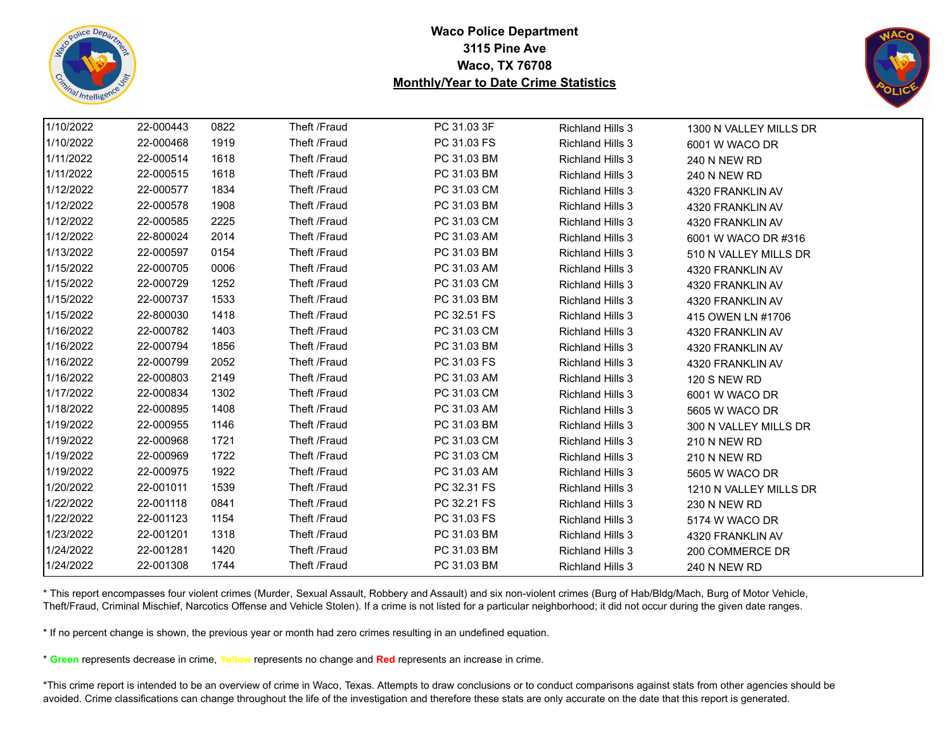



| 1/10/2022 | 22-000443 | 0822 | Theft /Fraud | PC 31.03 3F | <b>Richland Hills 3</b> | 1300 N VALLEY MILLS DR |
|-----------|-----------|------|--------------|-------------|-------------------------|------------------------|
| 1/10/2022 | 22-000468 | 1919 | Theft /Fraud | PC 31.03 FS | <b>Richland Hills 3</b> | 6001 W WACO DR         |
| 1/11/2022 | 22-000514 | 1618 | Theft /Fraud | PC 31.03 BM | <b>Richland Hills 3</b> | <b>240 N NEW RD</b>    |
| 1/11/2022 | 22-000515 | 1618 | Theft /Fraud | PC 31.03 BM | <b>Richland Hills 3</b> | 240 N NEW RD           |
| 1/12/2022 | 22-000577 | 1834 | Theft /Fraud | PC 31.03 CM | <b>Richland Hills 3</b> | 4320 FRANKLIN AV       |
| 1/12/2022 | 22-000578 | 1908 | Theft /Fraud | PC 31.03 BM | <b>Richland Hills 3</b> | 4320 FRANKLIN AV       |
| 1/12/2022 | 22-000585 | 2225 | Theft /Fraud | PC 31.03 CM | <b>Richland Hills 3</b> | 4320 FRANKLIN AV       |
| 1/12/2022 | 22-800024 | 2014 | Theft /Fraud | PC 31.03 AM | <b>Richland Hills 3</b> | 6001 W WACO DR #316    |
| 1/13/2022 | 22-000597 | 0154 | Theft /Fraud | PC 31.03 BM | <b>Richland Hills 3</b> | 510 N VALLEY MILLS DR  |
| 1/15/2022 | 22-000705 | 0006 | Theft /Fraud | PC 31.03 AM | <b>Richland Hills 3</b> | 4320 FRANKLIN AV       |
| 1/15/2022 | 22-000729 | 1252 | Theft /Fraud | PC 31.03 CM | <b>Richland Hills 3</b> | 4320 FRANKLIN AV       |
| 1/15/2022 | 22-000737 | 1533 | Theft /Fraud | PC 31.03 BM | <b>Richland Hills 3</b> | 4320 FRANKLIN AV       |
| 1/15/2022 | 22-800030 | 1418 | Theft /Fraud | PC 32.51 FS | <b>Richland Hills 3</b> | 415 OWEN LN #1706      |
| 1/16/2022 | 22-000782 | 1403 | Theft /Fraud | PC 31.03 CM | <b>Richland Hills 3</b> | 4320 FRANKLIN AV       |
| 1/16/2022 | 22-000794 | 1856 | Theft /Fraud | PC 31.03 BM | <b>Richland Hills 3</b> | 4320 FRANKLIN AV       |
| 1/16/2022 | 22-000799 | 2052 | Theft /Fraud | PC 31.03 FS | <b>Richland Hills 3</b> | 4320 FRANKLIN AV       |
| 1/16/2022 | 22-000803 | 2149 | Theft /Fraud | PC 31.03 AM | <b>Richland Hills 3</b> | <b>120 S NEW RD</b>    |
| 1/17/2022 | 22-000834 | 1302 | Theft /Fraud | PC 31.03 CM | <b>Richland Hills 3</b> | 6001 W WACO DR         |
| 1/18/2022 | 22-000895 | 1408 | Theft /Fraud | PC 31.03 AM | <b>Richland Hills 3</b> | 5605 W WACO DR         |
| 1/19/2022 | 22-000955 | 1146 | Theft /Fraud | PC 31.03 BM | <b>Richland Hills 3</b> | 300 N VALLEY MILLS DR  |
| 1/19/2022 | 22-000968 | 1721 | Theft /Fraud | PC 31.03 CM | <b>Richland Hills 3</b> | <b>210 N NEW RD</b>    |
| 1/19/2022 | 22-000969 | 1722 | Theft /Fraud | PC 31.03 CM | <b>Richland Hills 3</b> | 210 N NEW RD           |
| 1/19/2022 | 22-000975 | 1922 | Theft /Fraud | PC 31.03 AM | <b>Richland Hills 3</b> | 5605 W WACO DR         |
| 1/20/2022 | 22-001011 | 1539 | Theft /Fraud | PC 32.31 FS | <b>Richland Hills 3</b> | 1210 N VALLEY MILLS DR |
| 1/22/2022 | 22-001118 | 0841 | Theft /Fraud | PC 32.21 FS | <b>Richland Hills 3</b> | 230 N NEW RD           |
| 1/22/2022 | 22-001123 | 1154 | Theft /Fraud | PC 31.03 FS | <b>Richland Hills 3</b> | 5174 W WACO DR         |
| 1/23/2022 | 22-001201 | 1318 | Theft /Fraud | PC 31.03 BM | <b>Richland Hills 3</b> | 4320 FRANKLIN AV       |
| 1/24/2022 | 22-001281 | 1420 | Theft /Fraud | PC 31.03 BM | <b>Richland Hills 3</b> | 200 COMMERCE DR        |
| 1/24/2022 | 22-001308 | 1744 | Theft /Fraud | PC 31.03 BM | <b>Richland Hills 3</b> | <b>240 N NEW RD</b>    |

\* This report encompasses four violent crimes (Murder, Sexual Assault, Robbery and Assault) and six non-violent crimes (Burg of Hab/Bldg/Mach, Burg of Motor Vehicle, Theft/Fraud, Criminal Mischief, Narcotics Offense and Vehicle Stolen). If a crime is not listed for a particular neighborhood; it did not occur during the given date ranges.

\* If no percent change is shown, the previous year or month had zero crimes resulting in an undefined equation.

\* **Green** represents decrease in crime, **Yellow** represents no change and **Red** represents an increase in crime.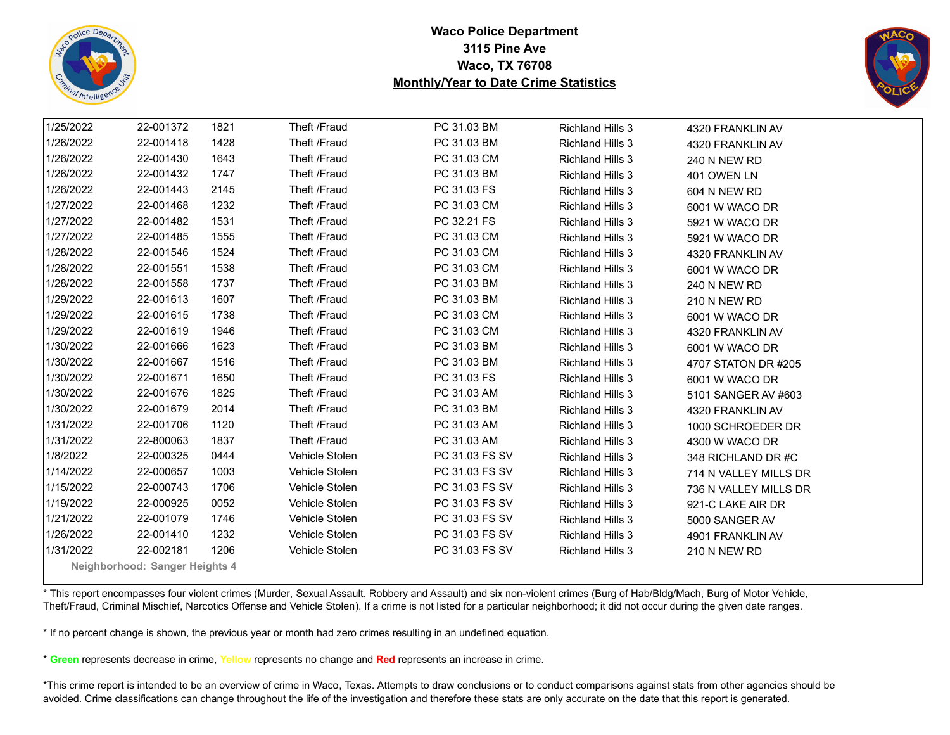



| 1/25/2022 | 22-001372                      | 1821 | Theft /Fraud   | PC 31.03 BM    | <b>Richland Hills 3</b> | 4320 FRANKLIN AV      |  |
|-----------|--------------------------------|------|----------------|----------------|-------------------------|-----------------------|--|
| 1/26/2022 | 22-001418                      | 1428 | Theft /Fraud   | PC 31.03 BM    | <b>Richland Hills 3</b> | 4320 FRANKLIN AV      |  |
| 1/26/2022 | 22-001430                      | 1643 | Theft /Fraud   | PC 31.03 CM    | <b>Richland Hills 3</b> | <b>240 N NEW RD</b>   |  |
| 1/26/2022 | 22-001432                      | 1747 | Theft /Fraud   | PC 31.03 BM    | <b>Richland Hills 3</b> | 401 OWEN LN           |  |
| 1/26/2022 | 22-001443                      | 2145 | Theft /Fraud   | PC 31.03 FS    | <b>Richland Hills 3</b> | 604 N NEW RD          |  |
| 1/27/2022 | 22-001468                      | 1232 | Theft /Fraud   | PC 31.03 CM    | <b>Richland Hills 3</b> | 6001 W WACO DR        |  |
| 1/27/2022 | 22-001482                      | 1531 | Theft /Fraud   | PC 32.21 FS    | <b>Richland Hills 3</b> | 5921 W WACO DR        |  |
| 1/27/2022 | 22-001485                      | 1555 | Theft /Fraud   | PC 31.03 CM    | <b>Richland Hills 3</b> | 5921 W WACO DR        |  |
| 1/28/2022 | 22-001546                      | 1524 | Theft /Fraud   | PC 31.03 CM    | <b>Richland Hills 3</b> | 4320 FRANKLIN AV      |  |
| 1/28/2022 | 22-001551                      | 1538 | Theft /Fraud   | PC 31.03 CM    | Richland Hills 3        | 6001 W WACO DR        |  |
| 1/28/2022 | 22-001558                      | 1737 | Theft /Fraud   | PC 31.03 BM    | <b>Richland Hills 3</b> | 240 N NEW RD          |  |
| 1/29/2022 | 22-001613                      | 1607 | Theft /Fraud   | PC 31.03 BM    | <b>Richland Hills 3</b> | <b>210 N NEW RD</b>   |  |
| 1/29/2022 | 22-001615                      | 1738 | Theft /Fraud   | PC 31.03 CM    | <b>Richland Hills 3</b> | 6001 W WACO DR        |  |
| 1/29/2022 | 22-001619                      | 1946 | Theft /Fraud   | PC 31.03 CM    | <b>Richland Hills 3</b> | 4320 FRANKLIN AV      |  |
| 1/30/2022 | 22-001666                      | 1623 | Theft /Fraud   | PC 31.03 BM    | <b>Richland Hills 3</b> | 6001 W WACO DR        |  |
| 1/30/2022 | 22-001667                      | 1516 | Theft /Fraud   | PC 31.03 BM    | <b>Richland Hills 3</b> | 4707 STATON DR #205   |  |
| 1/30/2022 | 22-001671                      | 1650 | Theft /Fraud   | PC 31.03 FS    | <b>Richland Hills 3</b> | 6001 W WACO DR        |  |
| 1/30/2022 | 22-001676                      | 1825 | Theft /Fraud   | PC 31.03 AM    | <b>Richland Hills 3</b> | 5101 SANGER AV #603   |  |
| 1/30/2022 | 22-001679                      | 2014 | Theft /Fraud   | PC 31.03 BM    | <b>Richland Hills 3</b> | 4320 FRANKLIN AV      |  |
| 1/31/2022 | 22-001706                      | 1120 | Theft /Fraud   | PC 31.03 AM    | <b>Richland Hills 3</b> | 1000 SCHROEDER DR     |  |
| 1/31/2022 | 22-800063                      | 1837 | Theft /Fraud   | PC 31.03 AM    | <b>Richland Hills 3</b> | 4300 W WACO DR        |  |
| 1/8/2022  | 22-000325                      | 0444 | Vehicle Stolen | PC 31.03 FS SV | <b>Richland Hills 3</b> | 348 RICHLAND DR #C    |  |
| 1/14/2022 | 22-000657                      | 1003 | Vehicle Stolen | PC 31.03 FS SV | <b>Richland Hills 3</b> | 714 N VALLEY MILLS DR |  |
| 1/15/2022 | 22-000743                      | 1706 | Vehicle Stolen | PC 31.03 FS SV | <b>Richland Hills 3</b> | 736 N VALLEY MILLS DR |  |
| 1/19/2022 | 22-000925                      | 0052 | Vehicle Stolen | PC 31.03 FS SV | <b>Richland Hills 3</b> | 921-C LAKE AIR DR     |  |
| 1/21/2022 | 22-001079                      | 1746 | Vehicle Stolen | PC 31.03 FS SV | <b>Richland Hills 3</b> | 5000 SANGER AV        |  |
| 1/26/2022 | 22-001410                      | 1232 | Vehicle Stolen | PC 31.03 FS SV | <b>Richland Hills 3</b> | 4901 FRANKLIN AV      |  |
| 1/31/2022 | 22-002181                      | 1206 | Vehicle Stolen | PC 31.03 FS SV | <b>Richland Hills 3</b> | <b>210 N NEW RD</b>   |  |
|           | Neighborhood: Sanger Heights 4 |      |                |                |                         |                       |  |

\* This report encompasses four violent crimes (Murder, Sexual Assault, Robbery and Assault) and six non-violent crimes (Burg of Hab/Bldg/Mach, Burg of Motor Vehicle, Theft/Fraud, Criminal Mischief, Narcotics Offense and Vehicle Stolen). If a crime is not listed for a particular neighborhood; it did not occur during the given date ranges.

\* If no percent change is shown, the previous year or month had zero crimes resulting in an undefined equation.

\* **Green** represents decrease in crime, **Yellow** represents no change and **Red** represents an increase in crime.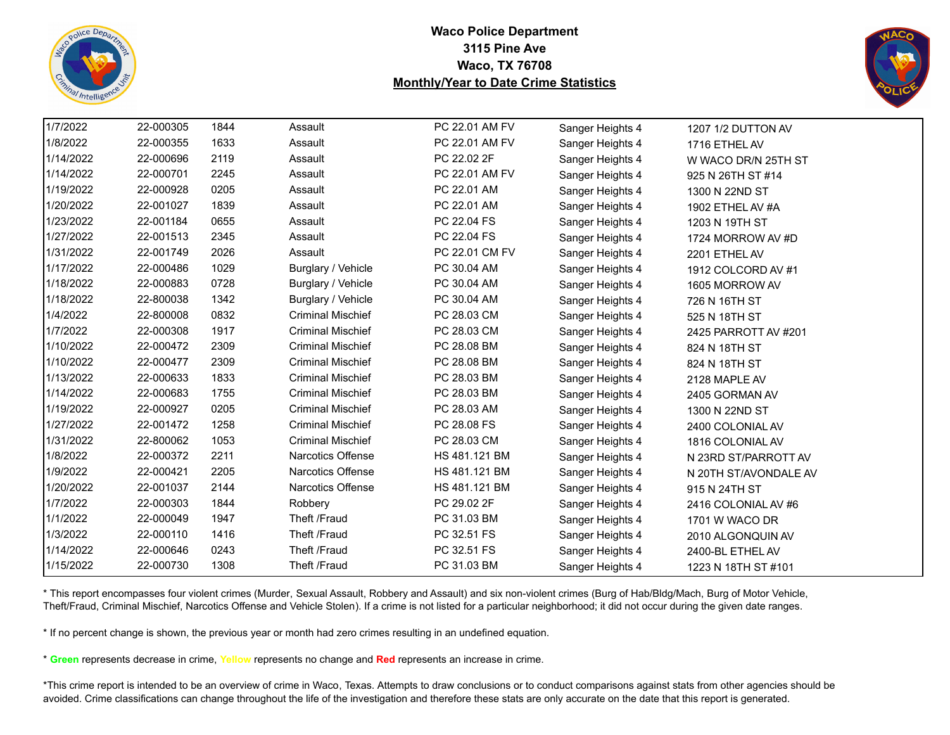



| 1/7/2022  | 22-000305 | 1844 | Assault                  | PC 22.01 AM FV | Sanger Heights 4 | 1207 1/2 DUTTON AV    |  |
|-----------|-----------|------|--------------------------|----------------|------------------|-----------------------|--|
| 1/8/2022  | 22-000355 | 1633 | Assault                  | PC 22.01 AM FV | Sanger Heights 4 | 1716 ETHEL AV         |  |
| 1/14/2022 | 22-000696 | 2119 | Assault                  | PC 22.02 2F    | Sanger Heights 4 | W WACO DR/N 25TH ST   |  |
| 1/14/2022 | 22-000701 | 2245 | Assault                  | PC 22.01 AM FV | Sanger Heights 4 | 925 N 26TH ST #14     |  |
| 1/19/2022 | 22-000928 | 0205 | Assault                  | PC 22.01 AM    | Sanger Heights 4 | 1300 N 22ND ST        |  |
| 1/20/2022 | 22-001027 | 1839 | Assault                  | PC 22.01 AM    | Sanger Heights 4 | 1902 ETHEL AV #A      |  |
| 1/23/2022 | 22-001184 | 0655 | Assault                  | PC 22.04 FS    | Sanger Heights 4 | 1203 N 19TH ST        |  |
| 1/27/2022 | 22-001513 | 2345 | Assault                  | PC 22.04 FS    | Sanger Heights 4 | 1724 MORROW AV #D     |  |
| 1/31/2022 | 22-001749 | 2026 | Assault                  | PC 22.01 CM FV | Sanger Heights 4 | 2201 ETHEL AV         |  |
| 1/17/2022 | 22-000486 | 1029 | Burglary / Vehicle       | PC 30.04 AM    | Sanger Heights 4 | 1912 COLCORD AV #1    |  |
| 1/18/2022 | 22-000883 | 0728 | Burglary / Vehicle       | PC 30.04 AM    | Sanger Heights 4 | 1605 MORROW AV        |  |
| 1/18/2022 | 22-800038 | 1342 | Burglary / Vehicle       | PC 30.04 AM    | Sanger Heights 4 | 726 N 16TH ST         |  |
| 1/4/2022  | 22-800008 | 0832 | <b>Criminal Mischief</b> | PC 28.03 CM    | Sanger Heights 4 | 525 N 18TH ST         |  |
| 1/7/2022  | 22-000308 | 1917 | <b>Criminal Mischief</b> | PC 28.03 CM    | Sanger Heights 4 | 2425 PARROTT AV #201  |  |
| 1/10/2022 | 22-000472 | 2309 | <b>Criminal Mischief</b> | PC 28.08 BM    | Sanger Heights 4 | 824 N 18TH ST         |  |
| 1/10/2022 | 22-000477 | 2309 | <b>Criminal Mischief</b> | PC 28.08 BM    | Sanger Heights 4 | 824 N 18TH ST         |  |
| 1/13/2022 | 22-000633 | 1833 | <b>Criminal Mischief</b> | PC 28.03 BM    | Sanger Heights 4 | 2128 MAPLE AV         |  |
| 1/14/2022 | 22-000683 | 1755 | <b>Criminal Mischief</b> | PC 28.03 BM    | Sanger Heights 4 | 2405 GORMAN AV        |  |
| 1/19/2022 | 22-000927 | 0205 | <b>Criminal Mischief</b> | PC 28.03 AM    | Sanger Heights 4 | 1300 N 22ND ST        |  |
| 1/27/2022 | 22-001472 | 1258 | <b>Criminal Mischief</b> | PC 28.08 FS    | Sanger Heights 4 | 2400 COLONIAL AV      |  |
| 1/31/2022 | 22-800062 | 1053 | <b>Criminal Mischief</b> | PC 28.03 CM    | Sanger Heights 4 | 1816 COLONIAL AV      |  |
| 1/8/2022  | 22-000372 | 2211 | <b>Narcotics Offense</b> | HS 481.121 BM  | Sanger Heights 4 | N 23RD ST/PARROTT AV  |  |
| 1/9/2022  | 22-000421 | 2205 | Narcotics Offense        | HS 481.121 BM  | Sanger Heights 4 | N 20TH ST/AVONDALE AV |  |
| 1/20/2022 | 22-001037 | 2144 | <b>Narcotics Offense</b> | HS 481.121 BM  | Sanger Heights 4 | 915 N 24TH ST         |  |
| 1/7/2022  | 22-000303 | 1844 | Robbery                  | PC 29.02 2F    | Sanger Heights 4 | 2416 COLONIAL AV #6   |  |
| 1/1/2022  | 22-000049 | 1947 | Theft /Fraud             | PC 31.03 BM    | Sanger Heights 4 | 1701 W WACO DR        |  |
| 1/3/2022  | 22-000110 | 1416 | Theft /Fraud             | PC 32.51 FS    | Sanger Heights 4 | 2010 ALGONQUIN AV     |  |
| 1/14/2022 | 22-000646 | 0243 | Theft /Fraud             | PC 32.51 FS    | Sanger Heights 4 | 2400-BL ETHEL AV      |  |
| 1/15/2022 | 22-000730 | 1308 | Theft /Fraud             | PC 31.03 BM    | Sanger Heights 4 | 1223 N 18TH ST #101   |  |

\* This report encompasses four violent crimes (Murder, Sexual Assault, Robbery and Assault) and six non-violent crimes (Burg of Hab/Bldg/Mach, Burg of Motor Vehicle, Theft/Fraud, Criminal Mischief, Narcotics Offense and Vehicle Stolen). If a crime is not listed for a particular neighborhood; it did not occur during the given date ranges.

\* If no percent change is shown, the previous year or month had zero crimes resulting in an undefined equation.

\* **Green** represents decrease in crime, **Yellow** represents no change and **Red** represents an increase in crime.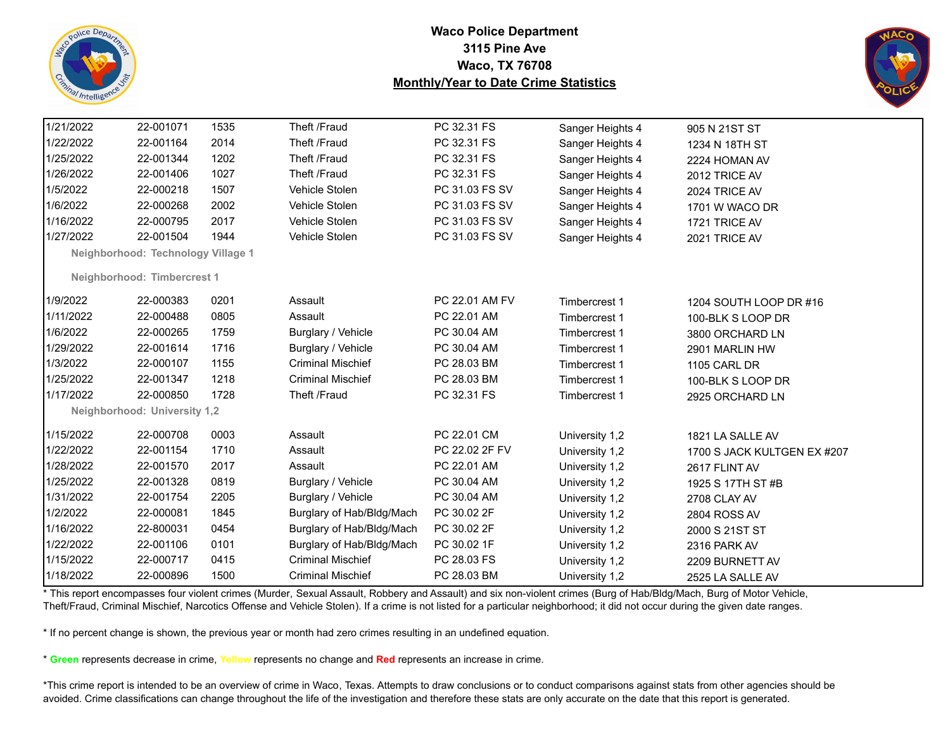



| 1/21/2022 | 22-001071                          | 1535 | Theft /Fraud              | PC 32.31 FS    | Sanger Heights 4 | 905 N 21ST ST               |
|-----------|------------------------------------|------|---------------------------|----------------|------------------|-----------------------------|
| 1/22/2022 | 22-001164                          | 2014 | Theft /Fraud              | PC 32.31 FS    | Sanger Heights 4 | 1234 N 18TH ST              |
| 1/25/2022 | 22-001344                          | 1202 | Theft /Fraud              | PC 32.31 FS    | Sanger Heights 4 | 2224 HOMAN AV               |
| 1/26/2022 | 22-001406                          | 1027 | Theft /Fraud              | PC 32.31 FS    | Sanger Heights 4 | 2012 TRICE AV               |
| 1/5/2022  | 22-000218                          | 1507 | Vehicle Stolen            | PC 31.03 FS SV | Sanger Heights 4 | 2024 TRICE AV               |
| 1/6/2022  | 22-000268                          | 2002 | Vehicle Stolen            | PC 31.03 FS SV | Sanger Heights 4 | 1701 W WACO DR              |
| 1/16/2022 | 22-000795                          | 2017 | Vehicle Stolen            | PC 31.03 FS SV | Sanger Heights 4 | 1721 TRICE AV               |
| 1/27/2022 | 22-001504                          | 1944 | Vehicle Stolen            | PC 31.03 FS SV | Sanger Heights 4 | 2021 TRICE AV               |
|           | Neighborhood: Technology Village 1 |      |                           |                |                  |                             |
|           | Neighborhood: Timbercrest 1        |      |                           |                |                  |                             |
|           |                                    |      |                           |                |                  |                             |
| 1/9/2022  | 22-000383                          | 0201 | Assault                   | PC 22.01 AM FV | Timbercrest 1    | 1204 SOUTH LOOP DR #16      |
| 1/11/2022 | 22-000488                          | 0805 | Assault                   | PC 22.01 AM    | Timbercrest 1    | 100-BLK S LOOP DR           |
| 1/6/2022  | 22-000265                          | 1759 | Burglary / Vehicle        | PC 30.04 AM    | Timbercrest 1    | 3800 ORCHARD LN             |
| 1/29/2022 | 22-001614                          | 1716 | Burglary / Vehicle        | PC 30.04 AM    | Timbercrest 1    | 2901 MARLIN HW              |
| 1/3/2022  | 22-000107                          | 1155 | <b>Criminal Mischief</b>  | PC 28.03 BM    | Timbercrest 1    | 1105 CARL DR                |
| 1/25/2022 | 22-001347                          | 1218 | <b>Criminal Mischief</b>  | PC 28.03 BM    | Timbercrest 1    | 100-BLK S LOOP DR           |
| 1/17/2022 | 22-000850                          | 1728 | Theft /Fraud              | PC 32.31 FS    | Timbercrest 1    | 2925 ORCHARD LN             |
|           | Neighborhood: University 1,2       |      |                           |                |                  |                             |
| 1/15/2022 | 22-000708                          | 0003 | Assault                   | PC 22.01 CM    | University 1,2   | 1821 LA SALLE AV            |
| 1/22/2022 | 22-001154                          | 1710 | Assault                   | PC 22.02 2F FV | University 1,2   | 1700 S JACK KULTGEN EX #207 |
| 1/28/2022 | 22-001570                          | 2017 | Assault                   | PC 22.01 AM    | University 1,2   | 2617 FLINT AV               |
| 1/25/2022 | 22-001328                          | 0819 | Burglary / Vehicle        | PC 30.04 AM    | University 1,2   | 1925 S 17TH ST #B           |
| 1/31/2022 | 22-001754                          | 2205 | Burglary / Vehicle        | PC 30.04 AM    | University 1,2   | 2708 CLAY AV                |
| 1/2/2022  | 22-000081                          | 1845 | Burglary of Hab/Bldg/Mach | PC 30.02 2F    | University 1,2   | 2804 ROSS AV                |
| 1/16/2022 | 22-800031                          | 0454 | Burglary of Hab/Bldg/Mach | PC 30.02 2F    | University 1,2   | 2000 S 21ST ST              |
| 1/22/2022 | 22-001106                          | 0101 | Burglary of Hab/Bldg/Mach | PC 30.02 1F    | University 1,2   | 2316 PARK AV                |
| 1/15/2022 | 22-000717                          | 0415 | <b>Criminal Mischief</b>  | PC 28.03 FS    | University 1,2   | 2209 BURNETT AV             |
| 1/18/2022 | 22-000896                          | 1500 | <b>Criminal Mischief</b>  | PC 28.03 BM    | University 1,2   | 2525 LA SALLE AV            |

\* This report encompasses four violent crimes (Murder, Sexual Assault, Robbery and Assault) and six non-violent crimes (Burg of Hab/Bldg/Mach, Burg of Motor Vehicle, Theft/Fraud, Criminal Mischief, Narcotics Offense and Vehicle Stolen). If a crime is not listed for a particular neighborhood; it did not occur during the given date ranges.

\* If no percent change is shown, the previous year or month had zero crimes resulting in an undefined equation.

\* **Green** represents decrease in crime, **Yellow** represents no change and **Red** represents an increase in crime.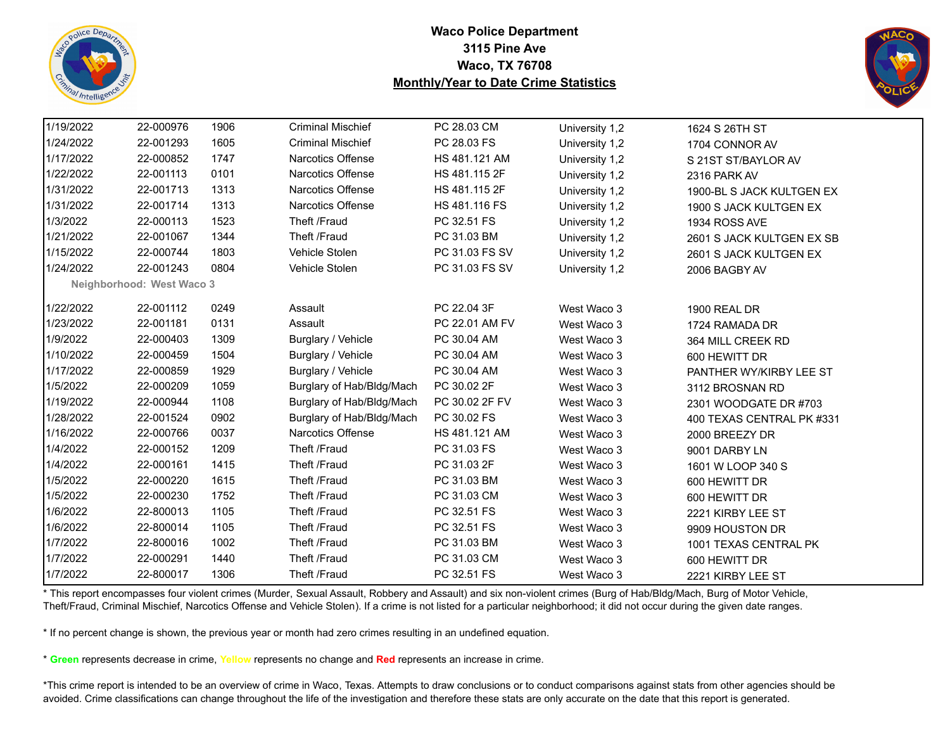



| 1/19/2022 | 22-000976                 | 1906 | <b>Criminal Mischief</b>  | PC 28.03 CM    | University 1,2 | 1624 S 26TH ST            |
|-----------|---------------------------|------|---------------------------|----------------|----------------|---------------------------|
| 1/24/2022 | 22-001293                 | 1605 | <b>Criminal Mischief</b>  | PC 28.03 FS    | University 1,2 | 1704 CONNOR AV            |
| 1/17/2022 | 22-000852                 | 1747 | <b>Narcotics Offense</b>  | HS 481.121 AM  | University 1,2 | S 21ST ST/BAYLOR AV       |
| 1/22/2022 | 22-001113                 | 0101 | Narcotics Offense         | HS 481.115 2F  | University 1,2 | 2316 PARK AV              |
| 1/31/2022 | 22-001713                 | 1313 | Narcotics Offense         | HS 481.115 2F  | University 1,2 | 1900-BL S JACK KULTGEN EX |
| 1/31/2022 | 22-001714                 | 1313 | <b>Narcotics Offense</b>  | HS 481.116 FS  | University 1,2 | 1900 S JACK KULTGEN EX    |
| 1/3/2022  | 22-000113                 | 1523 | Theft /Fraud              | PC 32.51 FS    | University 1,2 | 1934 ROSS AVE             |
| 1/21/2022 | 22-001067                 | 1344 | Theft /Fraud              | PC 31.03 BM    | University 1,2 | 2601 S JACK KULTGEN EX SB |
| 1/15/2022 | 22-000744                 | 1803 | Vehicle Stolen            | PC 31.03 FS SV | University 1,2 | 2601 S JACK KULTGEN EX    |
| 1/24/2022 | 22-001243                 | 0804 | Vehicle Stolen            | PC 31.03 FS SV | University 1,2 | 2006 BAGBY AV             |
|           | Neighborhood: West Waco 3 |      |                           |                |                |                           |
| 1/22/2022 | 22-001112                 | 0249 | Assault                   | PC 22.04 3F    | West Waco 3    | <b>1900 REAL DR</b>       |
| 1/23/2022 | 22-001181                 | 0131 | Assault                   | PC 22.01 AM FV | West Waco 3    | 1724 RAMADA DR            |
| 1/9/2022  | 22-000403                 | 1309 | Burglary / Vehicle        | PC 30.04 AM    | West Waco 3    | 364 MILL CREEK RD         |
| 1/10/2022 | 22-000459                 | 1504 | Burglary / Vehicle        | PC 30.04 AM    | West Waco 3    | 600 HEWITT DR             |
| 1/17/2022 | 22-000859                 | 1929 | Burglary / Vehicle        | PC 30.04 AM    | West Waco 3    | PANTHER WY/KIRBY LEE ST   |
| 1/5/2022  | 22-000209                 | 1059 | Burglary of Hab/Bldg/Mach | PC 30.02 2F    | West Waco 3    | 3112 BROSNAN RD           |
| 1/19/2022 | 22-000944                 | 1108 | Burglary of Hab/Bldg/Mach | PC 30.02 2F FV | West Waco 3    | 2301 WOODGATE DR #703     |
| 1/28/2022 | 22-001524                 | 0902 | Burglary of Hab/Bldg/Mach | PC 30.02 FS    | West Waco 3    | 400 TEXAS CENTRAL PK #331 |
| 1/16/2022 | 22-000766                 | 0037 | <b>Narcotics Offense</b>  | HS 481.121 AM  | West Waco 3    | 2000 BREEZY DR            |
| 1/4/2022  | 22-000152                 | 1209 | Theft /Fraud              | PC 31.03 FS    | West Waco 3    | 9001 DARBY LN             |
| 1/4/2022  | 22-000161                 | 1415 | Theft /Fraud              | PC 31.03 2F    | West Waco 3    | 1601 W LOOP 340 S         |
| 1/5/2022  | 22-000220                 | 1615 | Theft /Fraud              | PC 31.03 BM    | West Waco 3    | 600 HEWITT DR             |
| 1/5/2022  | 22-000230                 | 1752 | Theft /Fraud              | PC 31.03 CM    | West Waco 3    | 600 HEWITT DR             |
| 1/6/2022  | 22-800013                 | 1105 | Theft /Fraud              | PC 32.51 FS    | West Waco 3    | 2221 KIRBY LEE ST         |
| 1/6/2022  | 22-800014                 | 1105 | Theft /Fraud              | PC 32.51 FS    | West Waco 3    | 9909 HOUSTON DR           |
| 1/7/2022  | 22-800016                 | 1002 | Theft /Fraud              | PC 31.03 BM    | West Waco 3    | 1001 TEXAS CENTRAL PK     |
| 1/7/2022  | 22-000291                 | 1440 | Theft /Fraud              | PC 31.03 CM    | West Waco 3    | 600 HEWITT DR             |
| 1/7/2022  | 22-800017                 | 1306 | Theft /Fraud              | PC 32.51 FS    | West Waco 3    | 2221 KIRBY LEE ST         |

\* This report encompasses four violent crimes (Murder, Sexual Assault, Robbery and Assault) and six non-violent crimes (Burg of Hab/Bldg/Mach, Burg of Motor Vehicle, Theft/Fraud, Criminal Mischief, Narcotics Offense and Vehicle Stolen). If a crime is not listed for a particular neighborhood; it did not occur during the given date ranges.

\* If no percent change is shown, the previous year or month had zero crimes resulting in an undefined equation.

\* **Green** represents decrease in crime, **Yellow** represents no change and **Red** represents an increase in crime.